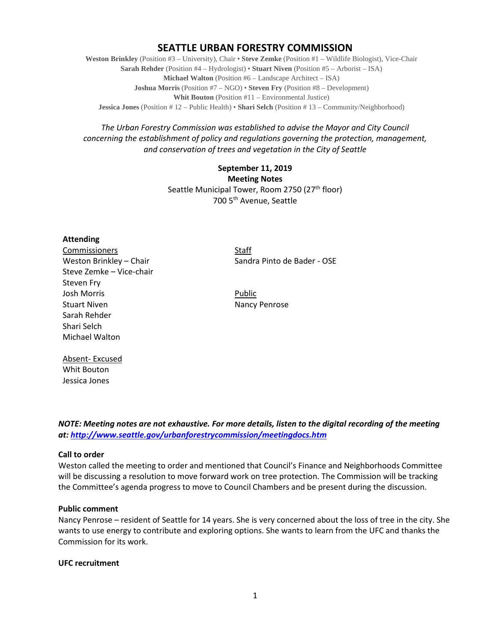# **SEATTLE URBAN FORESTRY COMMISSION**

**Weston Brinkley** (Position #3 – University), Chair • **Steve Zemke** (Position #1 – Wildlife Biologist), Vice-Chair **Sarah Rehder** (Position #4 – Hydrologist) • **Stuart Niven** (Position #5 – Arborist – ISA) **Michael Walton** (Position #6 – Landscape Architect – ISA) **Joshua Morris** (Position #7 – NGO) • **Steven Fry** (Position #8 – Development) **Whit Bouton** (Position #11 – Environmental Justice) **Jessica Jones** (Position # 12 – Public Health) • **Shari Selch** (Position # 13 – Community/Neighborhood)

*The Urban Forestry Commission was established to advise the Mayor and City Council concerning the establishment of policy and regulations governing the protection, management, and conservation of trees and vegetation in the City of Seattle*

> **September 11, 2019 Meeting Notes** Seattle Municipal Tower, Room 2750 (27<sup>th</sup> floor) 700 5th Avenue, Seattle

### **Attending**

Commissioners Staff Steve Zemke – Vice-chair Steven Fry Josh Morris **Public** Stuart Niven Nancy Penrose Sarah Rehder Shari Selch Michael Walton

Absent- Excused Whit Bouton

Weston Brinkley – Chair Sandra Pinto de Bader - OSE

Jessica Jones

*NOTE: Meeting notes are not exhaustive. For more details, listen to the digital recording of the meeting at:<http://www.seattle.gov/urbanforestrycommission/meetingdocs.htm>*

# **Call to order**

Weston called the meeting to order and mentioned that Council's Finance and Neighborhoods Committee will be discussing a resolution to move forward work on tree protection. The Commission will be tracking the Committee's agenda progress to move to Council Chambers and be present during the discussion.

### **Public comment**

Nancy Penrose – resident of Seattle for 14 years. She is very concerned about the loss of tree in the city. She wants to use energy to contribute and exploring options. She wants to learn from the UFC and thanks the Commission for its work.

### **UFC recruitment**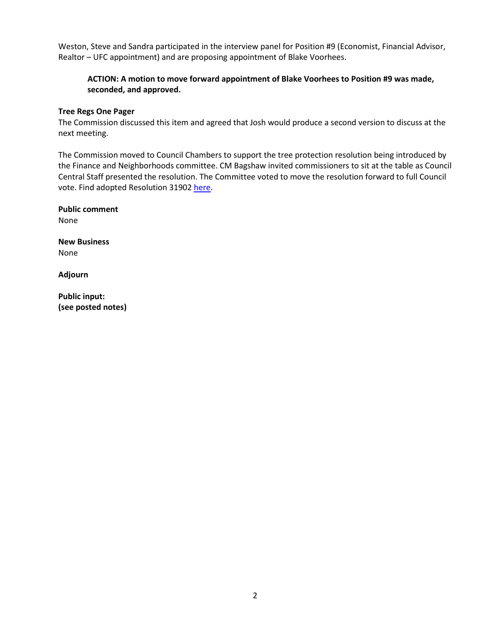Weston, Steve and Sandra participated in the interview panel for Position #9 (Economist, Financial Advisor, Realtor – UFC appointment) and are proposing appointment of Blake Voorhees.

# **ACTION: A motion to move forward appointment of Blake Voorhees to Position #9 was made, seconded, and approved.**

### **Tree Regs One Pager**

The Commission discussed this item and agreed that Josh would produce a second version to discuss at the next meeting.

The Commission moved to Council Chambers to support the tree protection resolution being introduced by the Finance and Neighborhoods committee. CM Bagshaw invited commissioners to sit at the table as Council Central Staff presented the resolution. The Committee voted to move the resolution forward to full Council vote. Find adopted Resolution 31902 [here.](http://seattle.legistar.com/ViewReport.ashx?M=R&N=Text&GID=393&ID=3667453&GUID=8D207CD2-96FC-4B02-94AB-7832F169796D&Title=Legislation+Text)

**Public comment** None

**New Business** None

**Adjourn**

**Public input: (see posted notes)**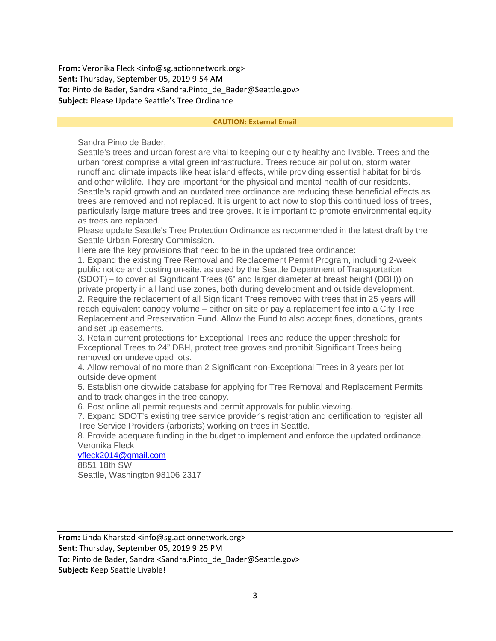**From:** Veronika Fleck <info@sg.actionnetwork.org> **Sent:** Thursday, September 05, 2019 9:54 AM To: Pinto de Bader, Sandra <Sandra.Pinto de Bader@Seattle.gov> **Subject:** Please Update Seattle's Tree Ordinance

#### **CAUTION: External Email**

Sandra Pinto de Bader,

Seattle's trees and urban forest are vital to keeping our city healthy and livable. Trees and the urban forest comprise a vital green infrastructure. Trees reduce air pollution, storm water runoff and climate impacts like heat island effects, while providing essential habitat for birds and other wildlife. They are important for the physical and mental health of our residents. Seattle's rapid growth and an outdated tree ordinance are reducing these beneficial effects as trees are removed and not replaced. It is urgent to act now to stop this continued loss of trees, particularly large mature trees and tree groves. It is important to promote environmental equity as trees are replaced.

Please update Seattle's Tree Protection Ordinance as recommended in the latest draft by the Seattle Urban Forestry Commission.

Here are the key provisions that need to be in the updated tree ordinance:

1. Expand the existing Tree Removal and Replacement Permit Program, including 2-week public notice and posting on-site, as used by the Seattle Department of Transportation (SDOT) – to cover all Significant Trees (6" and larger diameter at breast height (DBH)) on private property in all land use zones, both during development and outside development. 2. Require the replacement of all Significant Trees removed with trees that in 25 years will reach equivalent canopy volume – either on site or pay a replacement fee into a City Tree Replacement and Preservation Fund. Allow the Fund to also accept fines, donations, grants and set up easements.

3. Retain current protections for Exceptional Trees and reduce the upper threshold for Exceptional Trees to 24" DBH, protect tree groves and prohibit Significant Trees being removed on undeveloped lots.

4. Allow removal of no more than 2 Significant non-Exceptional Trees in 3 years per lot outside development

5. Establish one citywide database for applying for Tree Removal and Replacement Permits and to track changes in the tree canopy.

6. Post online all permit requests and permit approvals for public viewing.

7. Expand SDOT's existing tree service provider's registration and certification to register all Tree Service Providers (arborists) working on trees in Seattle.

8. Provide adequate funding in the budget to implement and enforce the updated ordinance. Veronika Fleck

# [vfleck2014@gmail.com](mailto:vfleck2014@gmail.com)

8851 18th SW Seattle, Washington 98106 2317

**From:** Linda Kharstad <info@sg.actionnetwork.org> **Sent:** Thursday, September 05, 2019 9:25 PM To: Pinto de Bader, Sandra <Sandra.Pinto de Bader@Seattle.gov> **Subject:** Keep Seattle Livable!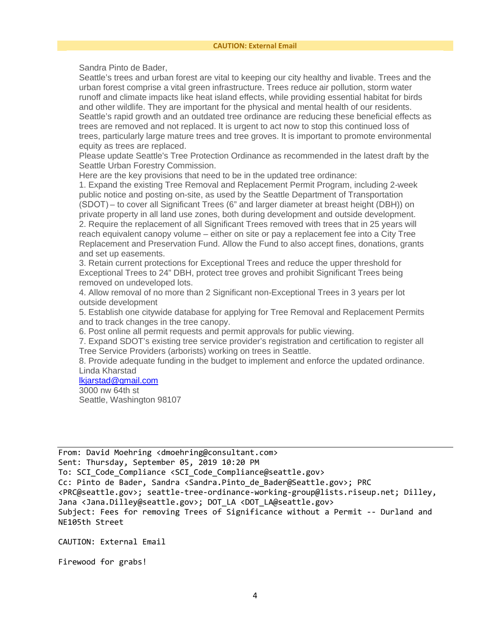Sandra Pinto de Bader,

Seattle's trees and urban forest are vital to keeping our city healthy and livable. Trees and the urban forest comprise a vital green infrastructure. Trees reduce air pollution, storm water runoff and climate impacts like heat island effects, while providing essential habitat for birds and other wildlife. They are important for the physical and mental health of our residents. Seattle's rapid growth and an outdated tree ordinance are reducing these beneficial effects as trees are removed and not replaced. It is urgent to act now to stop this continued loss of trees, particularly large mature trees and tree groves. It is important to promote environmental equity as trees are replaced.

Please update Seattle's Tree Protection Ordinance as recommended in the latest draft by the Seattle Urban Forestry Commission.

Here are the key provisions that need to be in the updated tree ordinance:

1. Expand the existing Tree Removal and Replacement Permit Program, including 2-week public notice and posting on-site, as used by the Seattle Department of Transportation (SDOT) – to cover all Significant Trees (6" and larger diameter at breast height (DBH)) on private property in all land use zones, both during development and outside development. 2. Require the replacement of all Significant Trees removed with trees that in 25 years will reach equivalent canopy volume – either on site or pay a replacement fee into a City Tree Replacement and Preservation Fund. Allow the Fund to also accept fines, donations, grants and set up easements.

3. Retain current protections for Exceptional Trees and reduce the upper threshold for Exceptional Trees to 24" DBH, protect tree groves and prohibit Significant Trees being removed on undeveloped lots.

4. Allow removal of no more than 2 Significant non-Exceptional Trees in 3 years per lot outside development

5. Establish one citywide database for applying for Tree Removal and Replacement Permits and to track changes in the tree canopy.

6. Post online all permit requests and permit approvals for public viewing.

7. Expand SDOT's existing tree service provider's registration and certification to register all Tree Service Providers (arborists) working on trees in Seattle.

8. Provide adequate funding in the budget to implement and enforce the updated ordinance. Linda Kharstad

### [lkjarstad@gmail.com](mailto:lkjarstad@gmail.com)

3000 nw 64th st Seattle, Washington 98107

From: David Moehring <dmoehring@consultant.com> Sent: Thursday, September 05, 2019 10:20 PM To: SCI Code Compliance <SCI Code Compliance@seattle.gov> Cc: Pinto de Bader, Sandra <Sandra.Pinto de Bader@Seattle.gov>; PRC <PRC@seattle.gov>; seattle-tree-ordinance-working-group@lists.riseup.net; Dilley, Jana <Jana.Dilley@seattle.gov>; DOT\_LA <DOT\_LA@seattle.gov> Subject: Fees for removing Trees of Significance without a Permit -- Durland and NE105th Street

CAUTION: External Email

Firewood for grabs!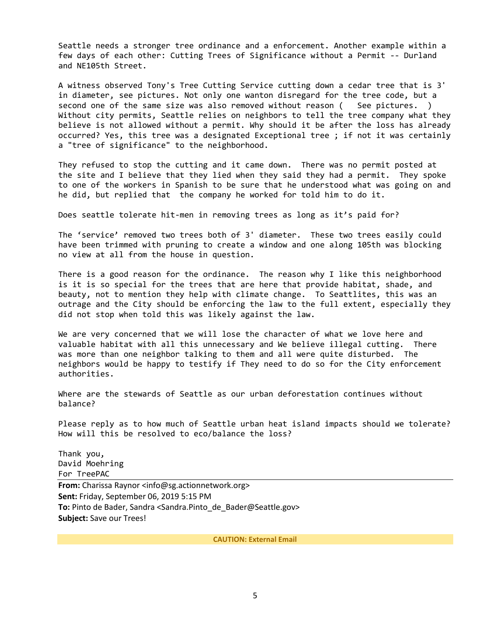Seattle needs a stronger tree ordinance and a enforcement. Another example within a few days of each other: Cutting Trees of Significance without a Permit -- Durland and NE105th Street.

A witness observed Tony's Tree Cutting Service cutting down a cedar tree that is 3' in diameter, see pictures. Not only one wanton disregard for the tree code, but a second one of the same size was also removed without reason ( See pictures. ) Without city permits, Seattle relies on neighbors to tell the tree company what they believe is not allowed without a permit. Why should it be after the loss has already occurred? Yes, this tree was a designated Exceptional tree ; if not it was certainly a "tree of significance" to the neighborhood.

They refused to stop the cutting and it came down. There was no permit posted at the site and I believe that they lied when they said they had a permit. They spoke to one of the workers in Spanish to be sure that he understood what was going on and he did, but replied that the company he worked for told him to do it.

Does seattle tolerate hit-men in removing trees as long as it's paid for?

The 'service' removed two trees both of 3' diameter. These two trees easily could have been trimmed with pruning to create a window and one along 105th was blocking no view at all from the house in question.

There is a good reason for the ordinance. The reason why I like this neighborhood is it is so special for the trees that are here that provide habitat, shade, and beauty, not to mention they help with climate change. To Seattlites, this was an outrage and the City should be enforcing the law to the full extent, especially they did not stop when told this was likely against the law.

We are very concerned that we will lose the character of what we love here and valuable habitat with all this unnecessary and We believe illegal cutting. There was more than one neighbor talking to them and all were quite disturbed. The neighbors would be happy to testify if They need to do so for the City enforcement authorities.

Where are the stewards of Seattle as our urban deforestation continues without balance?

Please reply as to how much of Seattle urban heat island impacts should we tolerate? How will this be resolved to eco/balance the loss?

Thank you, David Moehring For TreePAC

**From:** Charissa Raynor <info@sg.actionnetwork.org> **Sent:** Friday, September 06, 2019 5:15 PM **To:** Pinto de Bader, Sandra <Sandra.Pinto\_de\_Bader@Seattle.gov> **Subject:** Save our Trees!

**CAUTION: External Email**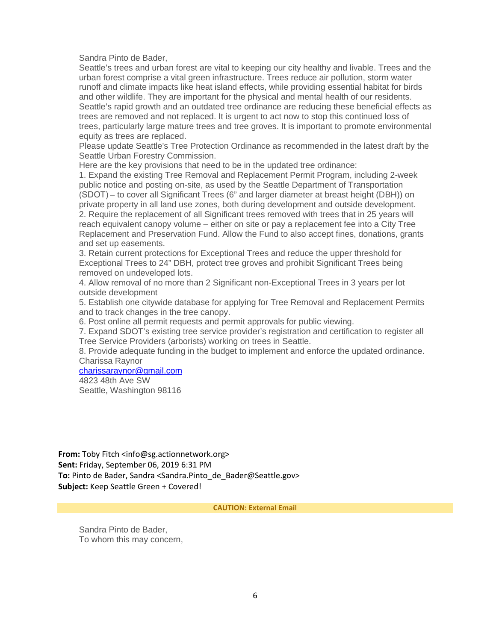Sandra Pinto de Bader,

Seattle's trees and urban forest are vital to keeping our city healthy and livable. Trees and the urban forest comprise a vital green infrastructure. Trees reduce air pollution, storm water runoff and climate impacts like heat island effects, while providing essential habitat for birds and other wildlife. They are important for the physical and mental health of our residents. Seattle's rapid growth and an outdated tree ordinance are reducing these beneficial effects as trees are removed and not replaced. It is urgent to act now to stop this continued loss of trees, particularly large mature trees and tree groves. It is important to promote environmental equity as trees are replaced.

Please update Seattle's Tree Protection Ordinance as recommended in the latest draft by the Seattle Urban Forestry Commission.

Here are the key provisions that need to be in the updated tree ordinance:

1. Expand the existing Tree Removal and Replacement Permit Program, including 2-week public notice and posting on-site, as used by the Seattle Department of Transportation (SDOT) – to cover all Significant Trees (6" and larger diameter at breast height (DBH)) on private property in all land use zones, both during development and outside development. 2. Require the replacement of all Significant trees removed with trees that in 25 years will reach equivalent canopy volume – either on site or pay a replacement fee into a City Tree Replacement and Preservation Fund. Allow the Fund to also accept fines, donations, grants and set up easements.

3. Retain current protections for Exceptional Trees and reduce the upper threshold for Exceptional Trees to 24" DBH, protect tree groves and prohibit Significant Trees being removed on undeveloped lots.

4. Allow removal of no more than 2 Significant non-Exceptional Trees in 3 years per lot outside development

5. Establish one citywide database for applying for Tree Removal and Replacement Permits and to track changes in the tree canopy.

6. Post online all permit requests and permit approvals for public viewing.

7. Expand SDOT's existing tree service provider's registration and certification to register all Tree Service Providers (arborists) working on trees in Seattle.

8. Provide adequate funding in the budget to implement and enforce the updated ordinance. Charissa Raynor

[charissaraynor@gmail.com](mailto:charissaraynor@gmail.com)

4823 48th Ave SW Seattle, Washington 98116

**From:** Toby Fitch <info@sg.actionnetwork.org> **Sent:** Friday, September 06, 2019 6:31 PM To: Pinto de Bader, Sandra <Sandra.Pinto de Bader@Seattle.gov> **Subject:** Keep Seattle Green + Covered!

**CAUTION: External Email**

Sandra Pinto de Bader, To whom this may concern,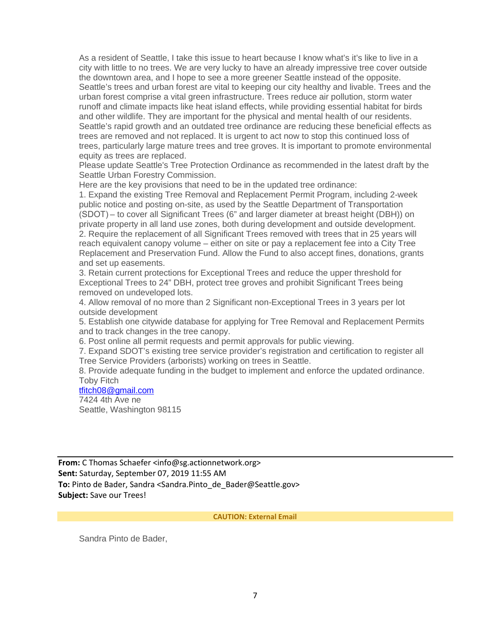As a resident of Seattle, I take this issue to heart because I know what's it's like to live in a city with little to no trees. We are very lucky to have an already impressive tree cover outside the downtown area, and I hope to see a more greener Seattle instead of the opposite. Seattle's trees and urban forest are vital to keeping our city healthy and livable. Trees and the urban forest comprise a vital green infrastructure. Trees reduce air pollution, storm water runoff and climate impacts like heat island effects, while providing essential habitat for birds and other wildlife. They are important for the physical and mental health of our residents. Seattle's rapid growth and an outdated tree ordinance are reducing these beneficial effects as trees are removed and not replaced. It is urgent to act now to stop this continued loss of trees, particularly large mature trees and tree groves. It is important to promote environmental equity as trees are replaced.

Please update Seattle's Tree Protection Ordinance as recommended in the latest draft by the Seattle Urban Forestry Commission.

Here are the key provisions that need to be in the updated tree ordinance:

1. Expand the existing Tree Removal and Replacement Permit Program, including 2-week public notice and posting on-site, as used by the Seattle Department of Transportation (SDOT) – to cover all Significant Trees (6" and larger diameter at breast height (DBH)) on private property in all land use zones, both during development and outside development. 2. Require the replacement of all Significant Trees removed with trees that in 25 years will reach equivalent canopy volume – either on site or pay a replacement fee into a City Tree Replacement and Preservation Fund. Allow the Fund to also accept fines, donations, grants and set up easements.

3. Retain current protections for Exceptional Trees and reduce the upper threshold for Exceptional Trees to 24" DBH, protect tree groves and prohibit Significant Trees being removed on undeveloped lots.

4. Allow removal of no more than 2 Significant non-Exceptional Trees in 3 years per lot outside development

5. Establish one citywide database for applying for Tree Removal and Replacement Permits and to track changes in the tree canopy.

6. Post online all permit requests and permit approvals for public viewing.

7. Expand SDOT's existing tree service provider's registration and certification to register all Tree Service Providers (arborists) working on trees in Seattle.

8. Provide adequate funding in the budget to implement and enforce the updated ordinance. Toby Fitch

[tfitch08@gmail.com](mailto:tfitch08@gmail.com)

7424 4th Ave ne Seattle, Washington 98115

**From:** C Thomas Schaefer <info@sg.actionnetwork.org> **Sent:** Saturday, September 07, 2019 11:55 AM **To:** Pinto de Bader, Sandra <Sandra.Pinto\_de\_Bader@Seattle.gov> **Subject:** Save our Trees!

**CAUTION: External Email**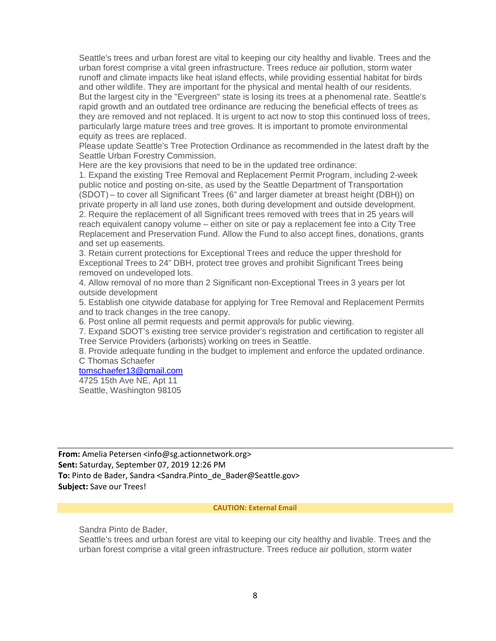Seattle's trees and urban forest are vital to keeping our city healthy and livable. Trees and the urban forest comprise a vital green infrastructure. Trees reduce air pollution, storm water runoff and climate impacts like heat island effects, while providing essential habitat for birds and other wildlife. They are important for the physical and mental health of our residents. But the largest city in the "Evergreen" state is losing its trees at a phenomenal rate. Seattle's rapid growth and an outdated tree ordinance are reducing the beneficial effects of trees as they are removed and not replaced. It is urgent to act now to stop this continued loss of trees, particularly large mature trees and tree groves. It is important to promote environmental equity as trees are replaced.

Please update Seattle's Tree Protection Ordinance as recommended in the latest draft by the Seattle Urban Forestry Commission.

Here are the key provisions that need to be in the updated tree ordinance:

1. Expand the existing Tree Removal and Replacement Permit Program, including 2-week public notice and posting on-site, as used by the Seattle Department of Transportation (SDOT) – to cover all Significant Trees (6" and larger diameter at breast height (DBH)) on private property in all land use zones, both during development and outside development. 2. Require the replacement of all Significant trees removed with trees that in 25 years will reach equivalent canopy volume – either on site or pay a replacement fee into a City Tree Replacement and Preservation Fund. Allow the Fund to also accept fines, donations, grants and set up easements.

3. Retain current protections for Exceptional Trees and reduce the upper threshold for Exceptional Trees to 24" DBH, protect tree groves and prohibit Significant Trees being removed on undeveloped lots.

4. Allow removal of no more than 2 Significant non-Exceptional Trees in 3 years per lot outside development

5. Establish one citywide database for applying for Tree Removal and Replacement Permits and to track changes in the tree canopy.

6. Post online all permit requests and permit approvals for public viewing.

7. Expand SDOT's existing tree service provider's registration and certification to register all Tree Service Providers (arborists) working on trees in Seattle.

8. Provide adequate funding in the budget to implement and enforce the updated ordinance. C Thomas Schaefer

[tomschaefer13@gmail.com](mailto:tomschaefer13@gmail.com)

4725 15th Ave NE, Apt 11 Seattle, Washington 98105

From: Amelia Petersen <info@sg.actionnetwork.org> **Sent:** Saturday, September 07, 2019 12:26 PM **To:** Pinto de Bader, Sandra <Sandra.Pinto\_de\_Bader@Seattle.gov> **Subject:** Save our Trees!

#### **CAUTION: External Email**

Sandra Pinto de Bader,

Seattle's trees and urban forest are vital to keeping our city healthy and livable. Trees and the urban forest comprise a vital green infrastructure. Trees reduce air pollution, storm water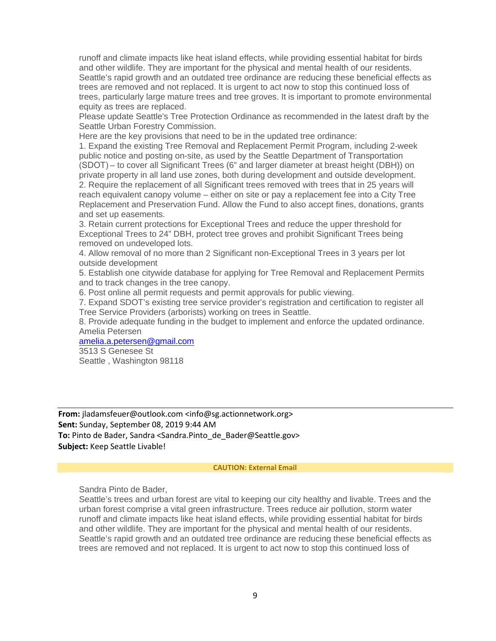runoff and climate impacts like heat island effects, while providing essential habitat for birds and other wildlife. They are important for the physical and mental health of our residents. Seattle's rapid growth and an outdated tree ordinance are reducing these beneficial effects as trees are removed and not replaced. It is urgent to act now to stop this continued loss of trees, particularly large mature trees and tree groves. It is important to promote environmental equity as trees are replaced.

Please update Seattle's Tree Protection Ordinance as recommended in the latest draft by the Seattle Urban Forestry Commission.

Here are the key provisions that need to be in the updated tree ordinance:

1. Expand the existing Tree Removal and Replacement Permit Program, including 2-week public notice and posting on-site, as used by the Seattle Department of Transportation (SDOT) – to cover all Significant Trees (6" and larger diameter at breast height (DBH)) on private property in all land use zones, both during development and outside development. 2. Require the replacement of all Significant trees removed with trees that in 25 years will reach equivalent canopy volume – either on site or pay a replacement fee into a City Tree Replacement and Preservation Fund. Allow the Fund to also accept fines, donations, grants and set up easements.

3. Retain current protections for Exceptional Trees and reduce the upper threshold for Exceptional Trees to 24" DBH, protect tree groves and prohibit Significant Trees being removed on undeveloped lots.

4. Allow removal of no more than 2 Significant non-Exceptional Trees in 3 years per lot outside development

5. Establish one citywide database for applying for Tree Removal and Replacement Permits and to track changes in the tree canopy.

6. Post online all permit requests and permit approvals for public viewing.

7. Expand SDOT's existing tree service provider's registration and certification to register all Tree Service Providers (arborists) working on trees in Seattle.

8. Provide adequate funding in the budget to implement and enforce the updated ordinance. Amelia Petersen

[amelia.a.petersen@gmail.com](mailto:amelia.a.petersen@gmail.com)

3513 S Genesee St Seattle , Washington 98118

**From:** jladamsfeuer@outlook.com <info@sg.actionnetwork.org> **Sent:** Sunday, September 08, 2019 9:44 AM **To:** Pinto de Bader, Sandra <Sandra.Pinto\_de\_Bader@Seattle.gov> **Subject:** Keep Seattle Livable!

#### **CAUTION: External Email**

Sandra Pinto de Bader,

Seattle's trees and urban forest are vital to keeping our city healthy and livable. Trees and the urban forest comprise a vital green infrastructure. Trees reduce air pollution, storm water runoff and climate impacts like heat island effects, while providing essential habitat for birds and other wildlife. They are important for the physical and mental health of our residents. Seattle's rapid growth and an outdated tree ordinance are reducing these beneficial effects as trees are removed and not replaced. It is urgent to act now to stop this continued loss of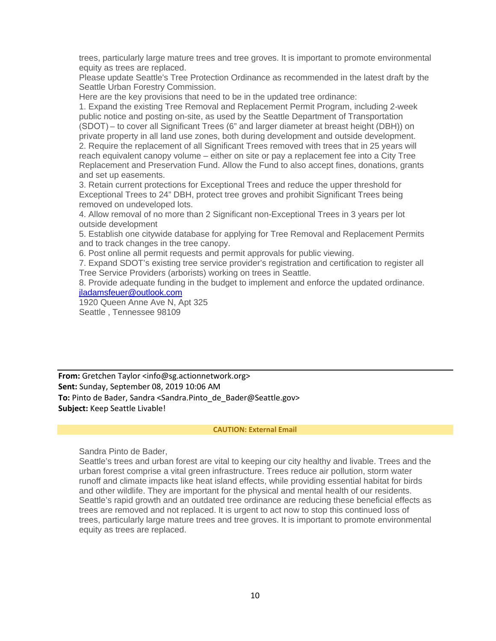trees, particularly large mature trees and tree groves. It is important to promote environmental equity as trees are replaced.

Please update Seattle's Tree Protection Ordinance as recommended in the latest draft by the Seattle Urban Forestry Commission.

Here are the key provisions that need to be in the updated tree ordinance:

1. Expand the existing Tree Removal and Replacement Permit Program, including 2-week public notice and posting on-site, as used by the Seattle Department of Transportation (SDOT) – to cover all Significant Trees (6" and larger diameter at breast height (DBH)) on private property in all land use zones, both during development and outside development. 2. Require the replacement of all Significant Trees removed with trees that in 25 years will reach equivalent canopy volume – either on site or pay a replacement fee into a City Tree Replacement and Preservation Fund. Allow the Fund to also accept fines, donations, grants and set up easements.

3. Retain current protections for Exceptional Trees and reduce the upper threshold for Exceptional Trees to 24" DBH, protect tree groves and prohibit Significant Trees being removed on undeveloped lots.

4. Allow removal of no more than 2 Significant non-Exceptional Trees in 3 years per lot outside development

5. Establish one citywide database for applying for Tree Removal and Replacement Permits and to track changes in the tree canopy.

6. Post online all permit requests and permit approvals for public viewing.

7. Expand SDOT's existing tree service provider's registration and certification to register all Tree Service Providers (arborists) working on trees in Seattle.

8. Provide adequate funding in the budget to implement and enforce the updated ordinance. [jladamsfeuer@outlook.com](mailto:jladamsfeuer@outlook.com)

1920 Queen Anne Ave N, Apt 325 Seattle , Tennessee 98109

**From:** Gretchen Taylor <info@sg.actionnetwork.org> **Sent:** Sunday, September 08, 2019 10:06 AM **To:** Pinto de Bader, Sandra <Sandra.Pinto\_de\_Bader@Seattle.gov> **Subject:** Keep Seattle Livable!

#### **CAUTION: External Email**

Sandra Pinto de Bader,

Seattle's trees and urban forest are vital to keeping our city healthy and livable. Trees and the urban forest comprise a vital green infrastructure. Trees reduce air pollution, storm water runoff and climate impacts like heat island effects, while providing essential habitat for birds and other wildlife. They are important for the physical and mental health of our residents. Seattle's rapid growth and an outdated tree ordinance are reducing these beneficial effects as trees are removed and not replaced. It is urgent to act now to stop this continued loss of trees, particularly large mature trees and tree groves. It is important to promote environmental equity as trees are replaced.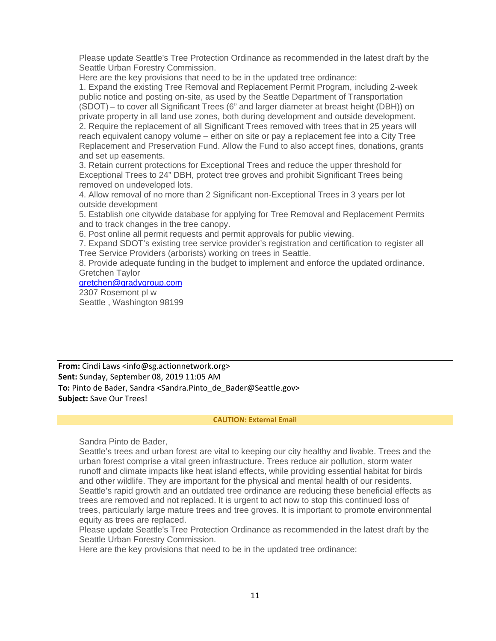Please update Seattle's Tree Protection Ordinance as recommended in the latest draft by the Seattle Urban Forestry Commission.

Here are the key provisions that need to be in the updated tree ordinance:

1. Expand the existing Tree Removal and Replacement Permit Program, including 2-week public notice and posting on-site, as used by the Seattle Department of Transportation (SDOT) – to cover all Significant Trees (6" and larger diameter at breast height (DBH)) on private property in all land use zones, both during development and outside development. 2. Require the replacement of all Significant Trees removed with trees that in 25 years will reach equivalent canopy volume – either on site or pay a replacement fee into a City Tree Replacement and Preservation Fund. Allow the Fund to also accept fines, donations, grants and set up easements.

3. Retain current protections for Exceptional Trees and reduce the upper threshold for Exceptional Trees to 24" DBH, protect tree groves and prohibit Significant Trees being removed on undeveloped lots.

4. Allow removal of no more than 2 Significant non-Exceptional Trees in 3 years per lot outside development

5. Establish one citywide database for applying for Tree Removal and Replacement Permits and to track changes in the tree canopy.

6. Post online all permit requests and permit approvals for public viewing.

7. Expand SDOT's existing tree service provider's registration and certification to register all Tree Service Providers (arborists) working on trees in Seattle.

8. Provide adequate funding in the budget to implement and enforce the updated ordinance. Gretchen Taylor

### [gretchen@gradygroup.com](mailto:gretchen@gradygroup.com)

2307 Rosemont pl w Seattle , Washington 98199

**From:** Cindi Laws <info@sg.actionnetwork.org> **Sent:** Sunday, September 08, 2019 11:05 AM **To:** Pinto de Bader, Sandra <Sandra.Pinto\_de\_Bader@Seattle.gov> **Subject:** Save Our Trees!

#### **CAUTION: External Email**

Sandra Pinto de Bader,

Seattle's trees and urban forest are vital to keeping our city healthy and livable. Trees and the urban forest comprise a vital green infrastructure. Trees reduce air pollution, storm water runoff and climate impacts like heat island effects, while providing essential habitat for birds and other wildlife. They are important for the physical and mental health of our residents. Seattle's rapid growth and an outdated tree ordinance are reducing these beneficial effects as trees are removed and not replaced. It is urgent to act now to stop this continued loss of trees, particularly large mature trees and tree groves. It is important to promote environmental equity as trees are replaced.

Please update Seattle's Tree Protection Ordinance as recommended in the latest draft by the Seattle Urban Forestry Commission.

Here are the key provisions that need to be in the updated tree ordinance: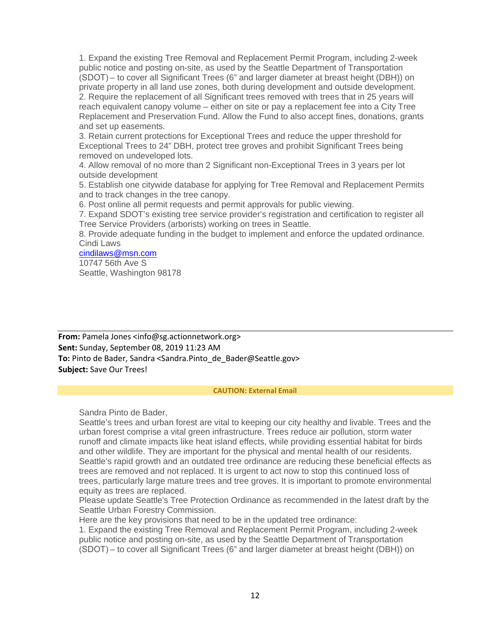1. Expand the existing Tree Removal and Replacement Permit Program, including 2-week public notice and posting on-site, as used by the Seattle Department of Transportation (SDOT) – to cover all Significant Trees (6" and larger diameter at breast height (DBH)) on private property in all land use zones, both during development and outside development. 2. Require the replacement of all Significant trees removed with trees that in 25 years will reach equivalent canopy volume – either on site or pay a replacement fee into a City Tree Replacement and Preservation Fund. Allow the Fund to also accept fines, donations, grants and set up easements.

3. Retain current protections for Exceptional Trees and reduce the upper threshold for Exceptional Trees to 24" DBH, protect tree groves and prohibit Significant Trees being removed on undeveloped lots.

4. Allow removal of no more than 2 Significant non-Exceptional Trees in 3 years per lot outside development

5. Establish one citywide database for applying for Tree Removal and Replacement Permits and to track changes in the tree canopy.

6. Post online all permit requests and permit approvals for public viewing.

7. Expand SDOT's existing tree service provider's registration and certification to register all Tree Service Providers (arborists) working on trees in Seattle.

8. Provide adequate funding in the budget to implement and enforce the updated ordinance. Cindi Laws

[cindilaws@msn.com](mailto:cindilaws@msn.com) 10747 56th Ave S Seattle, Washington 98178

**From:** Pamela Jones <info@sg.actionnetwork.org> **Sent:** Sunday, September 08, 2019 11:23 AM **To:** Pinto de Bader, Sandra <Sandra.Pinto de Bader@Seattle.gov> **Subject:** Save Our Trees!

#### **CAUTION: External Email**

Sandra Pinto de Bader,

Seattle's trees and urban forest are vital to keeping our city healthy and livable. Trees and the urban forest comprise a vital green infrastructure. Trees reduce air pollution, storm water runoff and climate impacts like heat island effects, while providing essential habitat for birds and other wildlife. They are important for the physical and mental health of our residents. Seattle's rapid growth and an outdated tree ordinance are reducing these beneficial effects as trees are removed and not replaced. It is urgent to act now to stop this continued loss of trees, particularly large mature trees and tree groves. It is important to promote environmental equity as trees are replaced.

Please update Seattle's Tree Protection Ordinance as recommended in the latest draft by the Seattle Urban Forestry Commission.

Here are the key provisions that need to be in the updated tree ordinance:

1. Expand the existing Tree Removal and Replacement Permit Program, including 2-week public notice and posting on-site, as used by the Seattle Department of Transportation (SDOT) – to cover all Significant Trees (6" and larger diameter at breast height (DBH)) on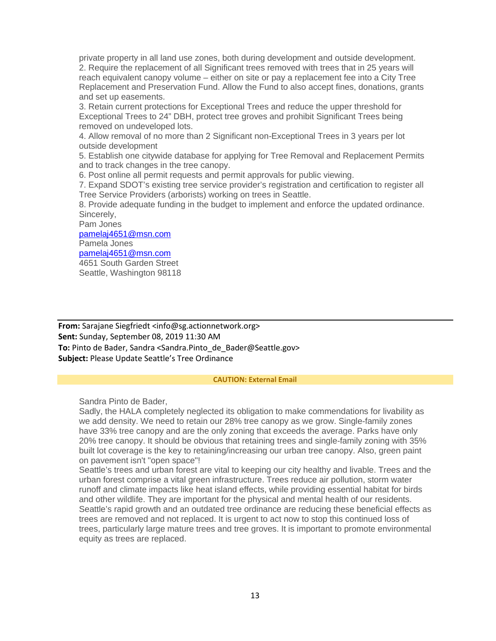private property in all land use zones, both during development and outside development. 2. Require the replacement of all Significant trees removed with trees that in 25 years will reach equivalent canopy volume – either on site or pay a replacement fee into a City Tree Replacement and Preservation Fund. Allow the Fund to also accept fines, donations, grants and set up easements.

3. Retain current protections for Exceptional Trees and reduce the upper threshold for Exceptional Trees to 24" DBH, protect tree groves and prohibit Significant Trees being removed on undeveloped lots.

4. Allow removal of no more than 2 Significant non-Exceptional Trees in 3 years per lot outside development

5. Establish one citywide database for applying for Tree Removal and Replacement Permits and to track changes in the tree canopy.

6. Post online all permit requests and permit approvals for public viewing.

7. Expand SDOT's existing tree service provider's registration and certification to register all Tree Service Providers (arborists) working on trees in Seattle.

8. Provide adequate funding in the budget to implement and enforce the updated ordinance. Sincerely,

Pam Jones [pamelaj4651@msn.com](mailto:pamelaj4651@msn.com) Pamela Jones [pamelaj4651@msn.com](mailto:pamelaj4651@msn.com) 4651 South Garden Street Seattle, Washington 98118

**From:** Sarajane Siegfriedt <info@sg.actionnetwork.org> **Sent:** Sunday, September 08, 2019 11:30 AM **To:** Pinto de Bader, Sandra <Sandra.Pinto\_de\_Bader@Seattle.gov> **Subject:** Please Update Seattle's Tree Ordinance

#### **CAUTION: External Email**

Sandra Pinto de Bader,

Sadly, the HALA completely neglected its obligation to make commendations for livability as we add density. We need to retain our 28% tree canopy as we grow. Single-family zones have 33% tree canopy and are the only zoning that exceeds the average. Parks have only 20% tree canopy. It should be obvious that retaining trees and single-family zoning with 35% built lot coverage is the key to retaining/increasing our urban tree canopy. Also, green paint on pavement isn't "open space"!

Seattle's trees and urban forest are vital to keeping our city healthy and livable. Trees and the urban forest comprise a vital green infrastructure. Trees reduce air pollution, storm water runoff and climate impacts like heat island effects, while providing essential habitat for birds and other wildlife. They are important for the physical and mental health of our residents. Seattle's rapid growth and an outdated tree ordinance are reducing these beneficial effects as trees are removed and not replaced. It is urgent to act now to stop this continued loss of trees, particularly large mature trees and tree groves. It is important to promote environmental equity as trees are replaced.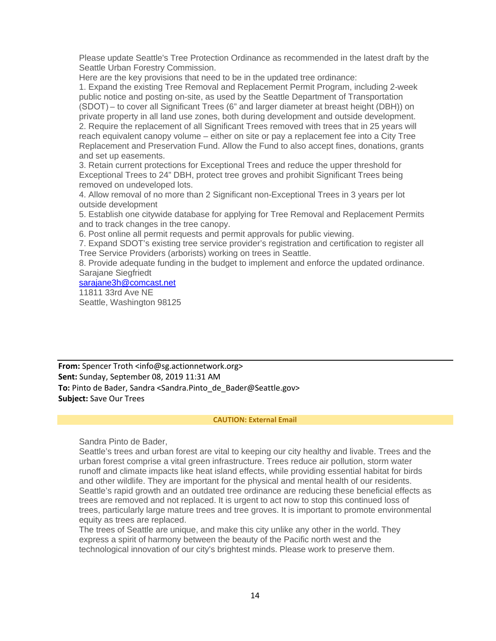Please update Seattle's Tree Protection Ordinance as recommended in the latest draft by the Seattle Urban Forestry Commission.

Here are the key provisions that need to be in the updated tree ordinance:

1. Expand the existing Tree Removal and Replacement Permit Program, including 2-week public notice and posting on-site, as used by the Seattle Department of Transportation (SDOT) – to cover all Significant Trees (6" and larger diameter at breast height (DBH)) on private property in all land use zones, both during development and outside development. 2. Require the replacement of all Significant Trees removed with trees that in 25 years will reach equivalent canopy volume – either on site or pay a replacement fee into a City Tree Replacement and Preservation Fund. Allow the Fund to also accept fines, donations, grants and set up easements.

3. Retain current protections for Exceptional Trees and reduce the upper threshold for Exceptional Trees to 24" DBH, protect tree groves and prohibit Significant Trees being removed on undeveloped lots.

4. Allow removal of no more than 2 Significant non-Exceptional Trees in 3 years per lot outside development

5. Establish one citywide database for applying for Tree Removal and Replacement Permits and to track changes in the tree canopy.

6. Post online all permit requests and permit approvals for public viewing.

7. Expand SDOT's existing tree service provider's registration and certification to register all Tree Service Providers (arborists) working on trees in Seattle.

8. Provide adequate funding in the budget to implement and enforce the updated ordinance. Sarajane Siegfriedt

[sarajane3h@comcast.net](mailto:sarajane3h@comcast.net) 11811 33rd Ave NE

Seattle, Washington 98125

**From:** Spencer Troth <info@sg.actionnetwork.org> **Sent:** Sunday, September 08, 2019 11:31 AM **To:** Pinto de Bader, Sandra <Sandra.Pinto\_de\_Bader@Seattle.gov> **Subject:** Save Our Trees

#### **CAUTION: External Email**

Sandra Pinto de Bader,

Seattle's trees and urban forest are vital to keeping our city healthy and livable. Trees and the urban forest comprise a vital green infrastructure. Trees reduce air pollution, storm water runoff and climate impacts like heat island effects, while providing essential habitat for birds and other wildlife. They are important for the physical and mental health of our residents. Seattle's rapid growth and an outdated tree ordinance are reducing these beneficial effects as trees are removed and not replaced. It is urgent to act now to stop this continued loss of trees, particularly large mature trees and tree groves. It is important to promote environmental equity as trees are replaced.

The trees of Seattle are unique, and make this city unlike any other in the world. They express a spirit of harmony between the beauty of the Pacific north west and the technological innovation of our city's brightest minds. Please work to preserve them.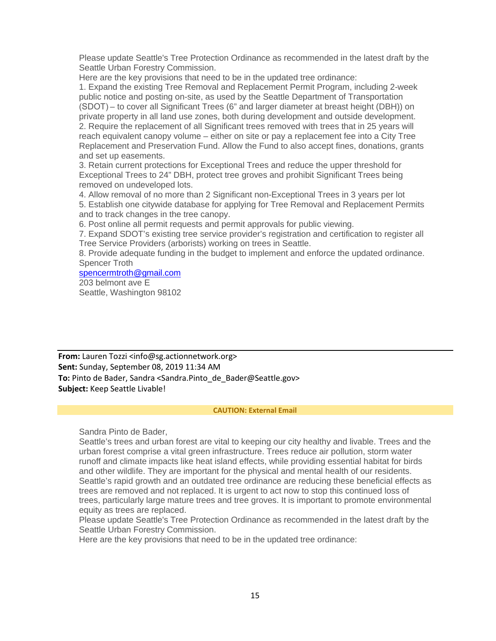Please update Seattle's Tree Protection Ordinance as recommended in the latest draft by the Seattle Urban Forestry Commission.

Here are the key provisions that need to be in the updated tree ordinance:

1. Expand the existing Tree Removal and Replacement Permit Program, including 2-week public notice and posting on-site, as used by the Seattle Department of Transportation (SDOT) – to cover all Significant Trees (6" and larger diameter at breast height (DBH)) on private property in all land use zones, both during development and outside development. 2. Require the replacement of all Significant trees removed with trees that in 25 years will reach equivalent canopy volume – either on site or pay a replacement fee into a City Tree Replacement and Preservation Fund. Allow the Fund to also accept fines, donations, grants and set up easements.

3. Retain current protections for Exceptional Trees and reduce the upper threshold for Exceptional Trees to 24" DBH, protect tree groves and prohibit Significant Trees being removed on undeveloped lots.

4. Allow removal of no more than 2 Significant non-Exceptional Trees in 3 years per lot 5. Establish one citywide database for applying for Tree Removal and Replacement Permits and to track changes in the tree canopy.

6. Post online all permit requests and permit approvals for public viewing.

7. Expand SDOT's existing tree service provider's registration and certification to register all Tree Service Providers (arborists) working on trees in Seattle.

8. Provide adequate funding in the budget to implement and enforce the updated ordinance. Spencer Troth

[spencermtroth@gmail.com](mailto:spencermtroth@gmail.com)

203 belmont ave E Seattle, Washington 98102

**From:** Lauren Tozzi <info@sg.actionnetwork.org> **Sent:** Sunday, September 08, 2019 11:34 AM **To:** Pinto de Bader, Sandra <Sandra.Pinto\_de\_Bader@Seattle.gov> **Subject:** Keep Seattle Livable!

#### **CAUTION: External Email**

Sandra Pinto de Bader,

Seattle's trees and urban forest are vital to keeping our city healthy and livable. Trees and the urban forest comprise a vital green infrastructure. Trees reduce air pollution, storm water runoff and climate impacts like heat island effects, while providing essential habitat for birds and other wildlife. They are important for the physical and mental health of our residents. Seattle's rapid growth and an outdated tree ordinance are reducing these beneficial effects as trees are removed and not replaced. It is urgent to act now to stop this continued loss of trees, particularly large mature trees and tree groves. It is important to promote environmental equity as trees are replaced.

Please update Seattle's Tree Protection Ordinance as recommended in the latest draft by the Seattle Urban Forestry Commission.

Here are the key provisions that need to be in the updated tree ordinance: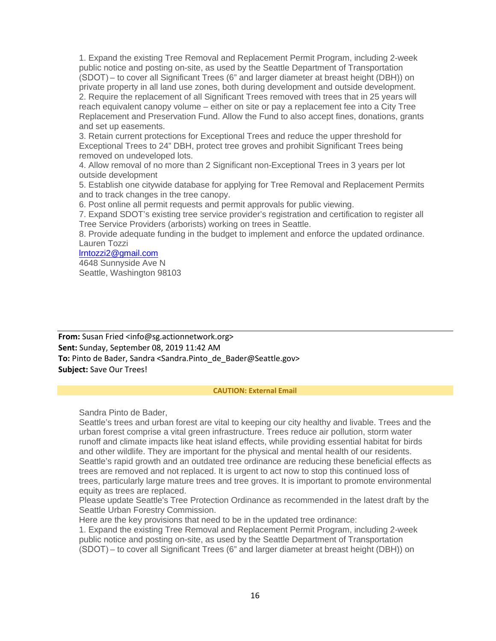1. Expand the existing Tree Removal and Replacement Permit Program, including 2-week public notice and posting on-site, as used by the Seattle Department of Transportation (SDOT) – to cover all Significant Trees (6" and larger diameter at breast height (DBH)) on private property in all land use zones, both during development and outside development. 2. Require the replacement of all Significant Trees removed with trees that in 25 years will reach equivalent canopy volume – either on site or pay a replacement fee into a City Tree Replacement and Preservation Fund. Allow the Fund to also accept fines, donations, grants and set up easements.

3. Retain current protections for Exceptional Trees and reduce the upper threshold for Exceptional Trees to 24" DBH, protect tree groves and prohibit Significant Trees being removed on undeveloped lots.

4. Allow removal of no more than 2 Significant non-Exceptional Trees in 3 years per lot outside development

5. Establish one citywide database for applying for Tree Removal and Replacement Permits and to track changes in the tree canopy.

6. Post online all permit requests and permit approvals for public viewing.

7. Expand SDOT's existing tree service provider's registration and certification to register all Tree Service Providers (arborists) working on trees in Seattle.

8. Provide adequate funding in the budget to implement and enforce the updated ordinance. Lauren Tozzi

[lrntozzi2@gmail.com](mailto:lrntozzi2@gmail.com) 4648 Sunnyside Ave N Seattle, Washington 98103

**From:** Susan Fried <info@sg.actionnetwork.org> **Sent:** Sunday, September 08, 2019 11:42 AM **To:** Pinto de Bader, Sandra <Sandra.Pinto de Bader@Seattle.gov> **Subject:** Save Our Trees!

#### **CAUTION: External Email**

Sandra Pinto de Bader,

Seattle's trees and urban forest are vital to keeping our city healthy and livable. Trees and the urban forest comprise a vital green infrastructure. Trees reduce air pollution, storm water runoff and climate impacts like heat island effects, while providing essential habitat for birds and other wildlife. They are important for the physical and mental health of our residents. Seattle's rapid growth and an outdated tree ordinance are reducing these beneficial effects as trees are removed and not replaced. It is urgent to act now to stop this continued loss of trees, particularly large mature trees and tree groves. It is important to promote environmental equity as trees are replaced.

Please update Seattle's Tree Protection Ordinance as recommended in the latest draft by the Seattle Urban Forestry Commission.

Here are the key provisions that need to be in the updated tree ordinance:

1. Expand the existing Tree Removal and Replacement Permit Program, including 2-week public notice and posting on-site, as used by the Seattle Department of Transportation (SDOT) – to cover all Significant Trees (6" and larger diameter at breast height (DBH)) on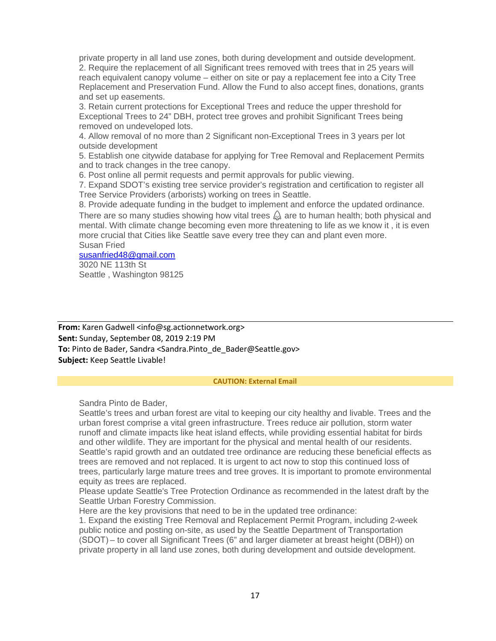private property in all land use zones, both during development and outside development. 2. Require the replacement of all Significant trees removed with trees that in 25 years will reach equivalent canopy volume – either on site or pay a replacement fee into a City Tree Replacement and Preservation Fund. Allow the Fund to also accept fines, donations, grants and set up easements.

3. Retain current protections for Exceptional Trees and reduce the upper threshold for Exceptional Trees to 24" DBH, protect tree groves and prohibit Significant Trees being removed on undeveloped lots.

4. Allow removal of no more than 2 Significant non-Exceptional Trees in 3 years per lot outside development

5. Establish one citywide database for applying for Tree Removal and Replacement Permits and to track changes in the tree canopy.

6. Post online all permit requests and permit approvals for public viewing.

7. Expand SDOT's existing tree service provider's registration and certification to register all Tree Service Providers (arborists) working on trees in Seattle.

8. Provide adequate funding in the budget to implement and enforce the updated ordinance. There are so many studies showing how vital trees  $\triangle$  are to human health; both physical and mental. With climate change becoming even more threatening to life as we know it , it is even more crucial that Cities like Seattle save every tree they can and plant even more.

Susan Fried

[susanfried48@gmail.com](mailto:susanfried48@gmail.com) 3020 NE 113th St Seattle , Washington 98125

**From:** Karen Gadwell <info@sg.actionnetwork.org> **Sent:** Sunday, September 08, 2019 2:19 PM **To:** Pinto de Bader, Sandra <Sandra.Pinto\_de\_Bader@Seattle.gov> **Subject:** Keep Seattle Livable!

#### **CAUTION: External Email**

Sandra Pinto de Bader,

Seattle's trees and urban forest are vital to keeping our city healthy and livable. Trees and the urban forest comprise a vital green infrastructure. Trees reduce air pollution, storm water runoff and climate impacts like heat island effects, while providing essential habitat for birds and other wildlife. They are important for the physical and mental health of our residents. Seattle's rapid growth and an outdated tree ordinance are reducing these beneficial effects as trees are removed and not replaced. It is urgent to act now to stop this continued loss of trees, particularly large mature trees and tree groves. It is important to promote environmental equity as trees are replaced.

Please update Seattle's Tree Protection Ordinance as recommended in the latest draft by the Seattle Urban Forestry Commission.

Here are the key provisions that need to be in the updated tree ordinance:

1. Expand the existing Tree Removal and Replacement Permit Program, including 2-week public notice and posting on-site, as used by the Seattle Department of Transportation (SDOT) – to cover all Significant Trees (6" and larger diameter at breast height (DBH)) on private property in all land use zones, both during development and outside development.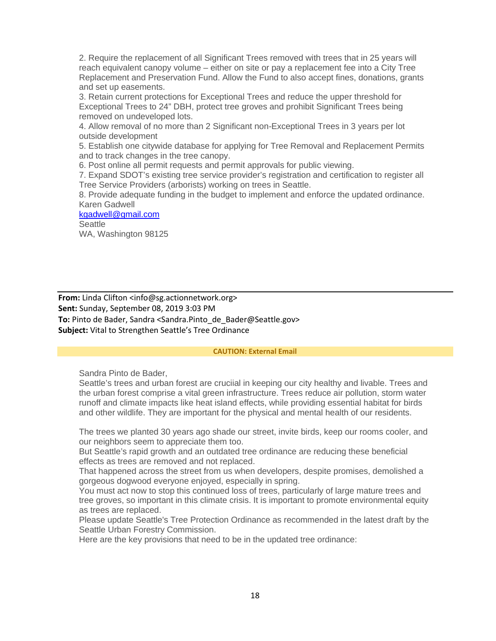2. Require the replacement of all Significant Trees removed with trees that in 25 years will reach equivalent canopy volume – either on site or pay a replacement fee into a City Tree Replacement and Preservation Fund. Allow the Fund to also accept fines, donations, grants and set up easements.

3. Retain current protections for Exceptional Trees and reduce the upper threshold for Exceptional Trees to 24" DBH, protect tree groves and prohibit Significant Trees being removed on undeveloped lots.

4. Allow removal of no more than 2 Significant non-Exceptional Trees in 3 years per lot outside development

5. Establish one citywide database for applying for Tree Removal and Replacement Permits and to track changes in the tree canopy.

6. Post online all permit requests and permit approvals for public viewing.

7. Expand SDOT's existing tree service provider's registration and certification to register all Tree Service Providers (arborists) working on trees in Seattle.

8. Provide adequate funding in the budget to implement and enforce the updated ordinance. Karen Gadwell

[kgadwell@gmail.com](mailto:kgadwell@gmail.com) **Seattle** 

WA, Washington 98125

**From:** Linda Clifton <info@sg.actionnetwork.org> **Sent:** Sunday, September 08, 2019 3:03 PM **To:** Pinto de Bader, Sandra <Sandra.Pinto\_de\_Bader@Seattle.gov> **Subject:** Vital to Strengthen Seattle's Tree Ordinance

### **CAUTION: External Email**

Sandra Pinto de Bader,

Seattle's trees and urban forest are cruciial in keeping our city healthy and livable. Trees and the urban forest comprise a vital green infrastructure. Trees reduce air pollution, storm water runoff and climate impacts like heat island effects, while providing essential habitat for birds and other wildlife. They are important for the physical and mental health of our residents.

The trees we planted 30 years ago shade our street, invite birds, keep our rooms cooler, and our neighbors seem to appreciate them too.

But Seattle's rapid growth and an outdated tree ordinance are reducing these beneficial effects as trees are removed and not replaced.

That happened across the street from us when developers, despite promises, demolished a gorgeous dogwood everyone enjoyed, especially in spring.

You must act now to stop this continued loss of trees, particularly of large mature trees and tree groves, so important in this climate crisis. It is important to promote environmental equity as trees are replaced.

Please update Seattle's Tree Protection Ordinance as recommended in the latest draft by the Seattle Urban Forestry Commission.

Here are the key provisions that need to be in the updated tree ordinance: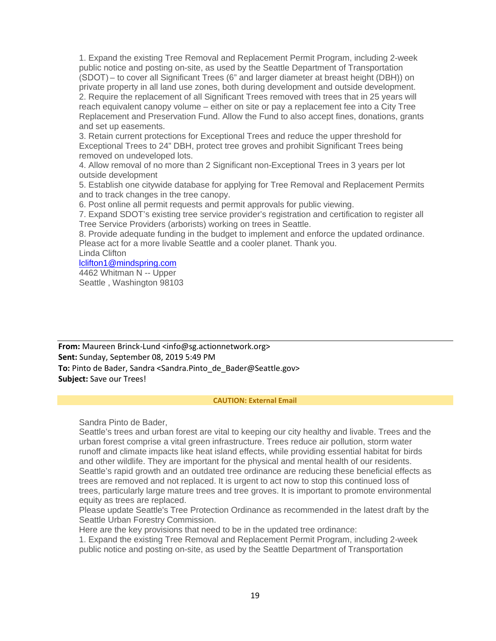1. Expand the existing Tree Removal and Replacement Permit Program, including 2-week public notice and posting on-site, as used by the Seattle Department of Transportation (SDOT) – to cover all Significant Trees (6" and larger diameter at breast height (DBH)) on private property in all land use zones, both during development and outside development. 2. Require the replacement of all Significant Trees removed with trees that in 25 years will reach equivalent canopy volume – either on site or pay a replacement fee into a City Tree Replacement and Preservation Fund. Allow the Fund to also accept fines, donations, grants and set up easements.

3. Retain current protections for Exceptional Trees and reduce the upper threshold for Exceptional Trees to 24" DBH, protect tree groves and prohibit Significant Trees being removed on undeveloped lots.

4. Allow removal of no more than 2 Significant non-Exceptional Trees in 3 years per lot outside development

5. Establish one citywide database for applying for Tree Removal and Replacement Permits and to track changes in the tree canopy.

6. Post online all permit requests and permit approvals for public viewing.

7. Expand SDOT's existing tree service provider's registration and certification to register all Tree Service Providers (arborists) working on trees in Seattle.

8. Provide adequate funding in the budget to implement and enforce the updated ordinance. Please act for a more livable Seattle and a cooler planet. Thank you.

Linda Clifton

[lclifton1@mindspring.com](mailto:lclifton1@mindspring.com)

4462 Whitman N -- Upper Seattle , Washington 98103

**From:** Maureen Brinck-Lund <info@sg.actionnetwork.org> **Sent:** Sunday, September 08, 2019 5:49 PM **To:** Pinto de Bader, Sandra <Sandra.Pinto\_de\_Bader@Seattle.gov> **Subject:** Save our Trees!

### **CAUTION: External Email**

Sandra Pinto de Bader,

Seattle's trees and urban forest are vital to keeping our city healthy and livable. Trees and the urban forest comprise a vital green infrastructure. Trees reduce air pollution, storm water runoff and climate impacts like heat island effects, while providing essential habitat for birds and other wildlife. They are important for the physical and mental health of our residents. Seattle's rapid growth and an outdated tree ordinance are reducing these beneficial effects as trees are removed and not replaced. It is urgent to act now to stop this continued loss of trees, particularly large mature trees and tree groves. It is important to promote environmental equity as trees are replaced.

Please update Seattle's Tree Protection Ordinance as recommended in the latest draft by the Seattle Urban Forestry Commission.

Here are the key provisions that need to be in the updated tree ordinance:

1. Expand the existing Tree Removal and Replacement Permit Program, including 2-week public notice and posting on-site, as used by the Seattle Department of Transportation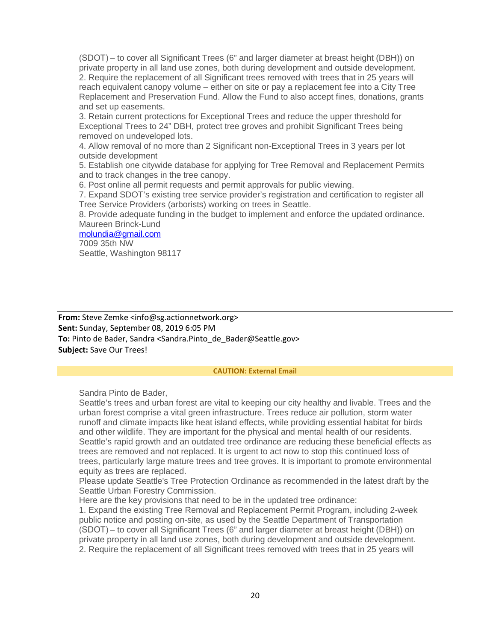(SDOT) – to cover all Significant Trees (6" and larger diameter at breast height (DBH)) on private property in all land use zones, both during development and outside development. 2. Require the replacement of all Significant trees removed with trees that in 25 years will reach equivalent canopy volume – either on site or pay a replacement fee into a City Tree Replacement and Preservation Fund. Allow the Fund to also accept fines, donations, grants and set up easements.

3. Retain current protections for Exceptional Trees and reduce the upper threshold for Exceptional Trees to 24" DBH, protect tree groves and prohibit Significant Trees being removed on undeveloped lots.

4. Allow removal of no more than 2 Significant non-Exceptional Trees in 3 years per lot outside development

5. Establish one citywide database for applying for Tree Removal and Replacement Permits and to track changes in the tree canopy.

6. Post online all permit requests and permit approvals for public viewing.

7. Expand SDOT's existing tree service provider's registration and certification to register all Tree Service Providers (arborists) working on trees in Seattle.

8. Provide adequate funding in the budget to implement and enforce the updated ordinance. Maureen Brinck-Lund

#### [molundia@gmail.com](mailto:molundia@gmail.com)

7009 35th NW Seattle, Washington 98117

**From:** Steve Zemke <info@sg.actionnetwork.org> **Sent:** Sunday, September 08, 2019 6:05 PM **To:** Pinto de Bader, Sandra <Sandra.Pinto\_de\_Bader@Seattle.gov> **Subject:** Save Our Trees!

### **CAUTION: External Email**

Sandra Pinto de Bader,

Seattle's trees and urban forest are vital to keeping our city healthy and livable. Trees and the urban forest comprise a vital green infrastructure. Trees reduce air pollution, storm water runoff and climate impacts like heat island effects, while providing essential habitat for birds and other wildlife. They are important for the physical and mental health of our residents. Seattle's rapid growth and an outdated tree ordinance are reducing these beneficial effects as trees are removed and not replaced. It is urgent to act now to stop this continued loss of trees, particularly large mature trees and tree groves. It is important to promote environmental equity as trees are replaced.

Please update Seattle's Tree Protection Ordinance as recommended in the latest draft by the Seattle Urban Forestry Commission.

Here are the key provisions that need to be in the updated tree ordinance:

1. Expand the existing Tree Removal and Replacement Permit Program, including 2-week public notice and posting on-site, as used by the Seattle Department of Transportation (SDOT) – to cover all Significant Trees (6" and larger diameter at breast height (DBH)) on private property in all land use zones, both during development and outside development. 2. Require the replacement of all Significant trees removed with trees that in 25 years will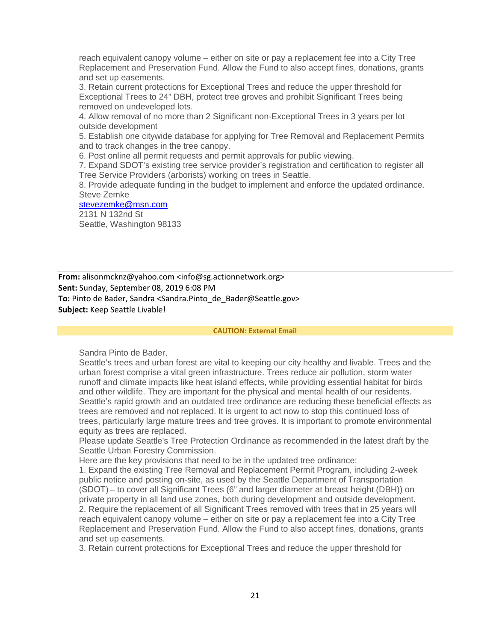reach equivalent canopy volume – either on site or pay a replacement fee into a City Tree Replacement and Preservation Fund. Allow the Fund to also accept fines, donations, grants and set up easements.

3. Retain current protections for Exceptional Trees and reduce the upper threshold for Exceptional Trees to 24" DBH, protect tree groves and prohibit Significant Trees being removed on undeveloped lots.

4. Allow removal of no more than 2 Significant non-Exceptional Trees in 3 years per lot outside development

5. Establish one citywide database for applying for Tree Removal and Replacement Permits and to track changes in the tree canopy.

6. Post online all permit requests and permit approvals for public viewing.

7. Expand SDOT's existing tree service provider's registration and certification to register all Tree Service Providers (arborists) working on trees in Seattle.

8. Provide adequate funding in the budget to implement and enforce the updated ordinance. Steve Zemke

### [stevezemke@msn.com](mailto:stevezemke@msn.com)

2131 N 132nd St Seattle, Washington 98133

**From:** alisonmcknz@yahoo.com <info@sg.actionnetwork.org> **Sent:** Sunday, September 08, 2019 6:08 PM To: Pinto de Bader, Sandra <Sandra.Pinto de Bader@Seattle.gov> **Subject:** Keep Seattle Livable!

#### **CAUTION: External Email**

Sandra Pinto de Bader,

Seattle's trees and urban forest are vital to keeping our city healthy and livable. Trees and the urban forest comprise a vital green infrastructure. Trees reduce air pollution, storm water runoff and climate impacts like heat island effects, while providing essential habitat for birds and other wildlife. They are important for the physical and mental health of our residents. Seattle's rapid growth and an outdated tree ordinance are reducing these beneficial effects as trees are removed and not replaced. It is urgent to act now to stop this continued loss of trees, particularly large mature trees and tree groves. It is important to promote environmental equity as trees are replaced.

Please update Seattle's Tree Protection Ordinance as recommended in the latest draft by the Seattle Urban Forestry Commission.

Here are the key provisions that need to be in the updated tree ordinance:

1. Expand the existing Tree Removal and Replacement Permit Program, including 2-week public notice and posting on-site, as used by the Seattle Department of Transportation (SDOT) – to cover all Significant Trees (6" and larger diameter at breast height (DBH)) on private property in all land use zones, both during development and outside development. 2. Require the replacement of all Significant Trees removed with trees that in 25 years will reach equivalent canopy volume – either on site or pay a replacement fee into a City Tree Replacement and Preservation Fund. Allow the Fund to also accept fines, donations, grants and set up easements.

3. Retain current protections for Exceptional Trees and reduce the upper threshold for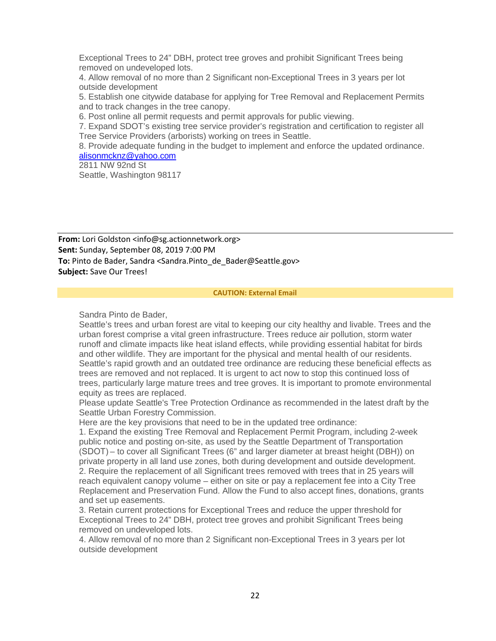Exceptional Trees to 24" DBH, protect tree groves and prohibit Significant Trees being removed on undeveloped lots.

4. Allow removal of no more than 2 Significant non-Exceptional Trees in 3 years per lot outside development

5. Establish one citywide database for applying for Tree Removal and Replacement Permits and to track changes in the tree canopy.

6. Post online all permit requests and permit approvals for public viewing.

7. Expand SDOT's existing tree service provider's registration and certification to register all Tree Service Providers (arborists) working on trees in Seattle.

8. Provide adequate funding in the budget to implement and enforce the updated ordinance. [alisonmcknz@yahoo.com](mailto:alisonmcknz@yahoo.com)

2811 NW 92nd St Seattle, Washington 98117

**From:** Lori Goldston <info@sg.actionnetwork.org> **Sent:** Sunday, September 08, 2019 7:00 PM **To:** Pinto de Bader, Sandra <Sandra.Pinto de Bader@Seattle.gov> **Subject:** Save Our Trees!

#### **CAUTION: External Email**

Sandra Pinto de Bader,

Seattle's trees and urban forest are vital to keeping our city healthy and livable. Trees and the urban forest comprise a vital green infrastructure. Trees reduce air pollution, storm water runoff and climate impacts like heat island effects, while providing essential habitat for birds and other wildlife. They are important for the physical and mental health of our residents. Seattle's rapid growth and an outdated tree ordinance are reducing these beneficial effects as trees are removed and not replaced. It is urgent to act now to stop this continued loss of trees, particularly large mature trees and tree groves. It is important to promote environmental equity as trees are replaced.

Please update Seattle's Tree Protection Ordinance as recommended in the latest draft by the Seattle Urban Forestry Commission.

Here are the key provisions that need to be in the updated tree ordinance:

1. Expand the existing Tree Removal and Replacement Permit Program, including 2-week public notice and posting on-site, as used by the Seattle Department of Transportation (SDOT) – to cover all Significant Trees (6" and larger diameter at breast height (DBH)) on private property in all land use zones, both during development and outside development. 2. Require the replacement of all Significant trees removed with trees that in 25 years will reach equivalent canopy volume – either on site or pay a replacement fee into a City Tree Replacement and Preservation Fund. Allow the Fund to also accept fines, donations, grants and set up easements.

3. Retain current protections for Exceptional Trees and reduce the upper threshold for Exceptional Trees to 24" DBH, protect tree groves and prohibit Significant Trees being removed on undeveloped lots.

4. Allow removal of no more than 2 Significant non-Exceptional Trees in 3 years per lot outside development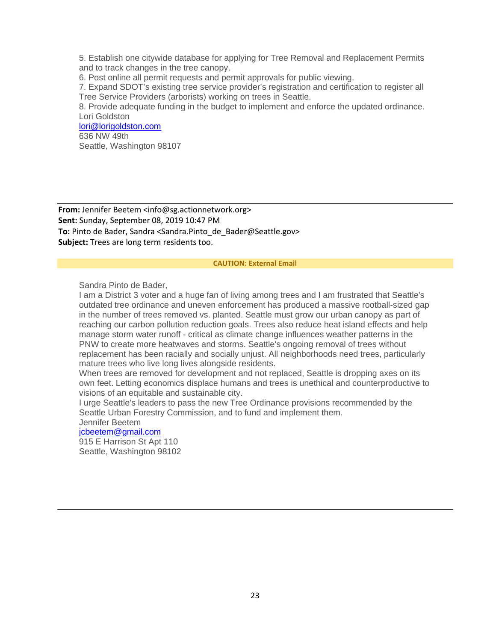5. Establish one citywide database for applying for Tree Removal and Replacement Permits and to track changes in the tree canopy.

6. Post online all permit requests and permit approvals for public viewing.

7. Expand SDOT's existing tree service provider's registration and certification to register all Tree Service Providers (arborists) working on trees in Seattle.

8. Provide adequate funding in the budget to implement and enforce the updated ordinance. Lori Goldston

### [lori@lorigoldston.com](mailto:lori@lorigoldston.com) 636 NW 49th Seattle, Washington 98107

**From:** Jennifer Beetem <info@sg.actionnetwork.org> **Sent:** Sunday, September 08, 2019 10:47 PM **To:** Pinto de Bader, Sandra <Sandra.Pinto\_de\_Bader@Seattle.gov> **Subject:** Trees are long term residents too.

#### **CAUTION: External Email**

Sandra Pinto de Bader,

I am a District 3 voter and a huge fan of living among trees and I am frustrated that Seattle's outdated tree ordinance and uneven enforcement has produced a massive rootball-sized gap in the number of trees removed vs. planted. Seattle must grow our urban canopy as part of reaching our carbon pollution reduction goals. Trees also reduce heat island effects and help manage storm water runoff - critical as climate change influences weather patterns in the PNW to create more heatwaves and storms. Seattle's ongoing removal of trees without replacement has been racially and socially unjust. All neighborhoods need trees, particularly mature trees who live long lives alongside residents.

When trees are removed for development and not replaced, Seattle is dropping axes on its own feet. Letting economics displace humans and trees is unethical and counterproductive to visions of an equitable and sustainable city.

I urge Seattle's leaders to pass the new Tree Ordinance provisions recommended by the Seattle Urban Forestry Commission, and to fund and implement them.

Jennifer Beetem

# [jcbeetem@gmail.com](mailto:jcbeetem@gmail.com)

915 E Harrison St Apt 110 Seattle, Washington 98102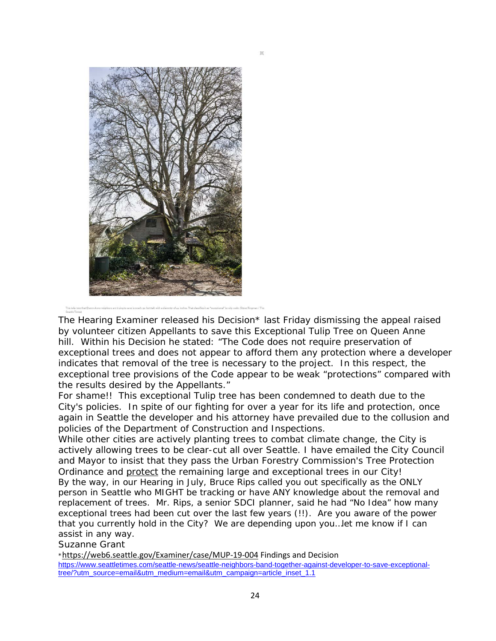

The Hearing Examiner released his Decision\* last Friday dismissing the appeal raised by volunteer citizen Appellants to save this Exceptional Tulip Tree on Queen Anne hill. Within his Decision he stated: *"The Code does not require preservation of exceptional trees and does not appear to afford them any protection where a developer indicates that removal of the tree is necessary to the project. In this respect, the exceptional tree provisions of the Code appear to be weak "protections" compared with the results desired by the Appellants."*

For shame!! This exceptional Tulip tree has been condemned to death due to the City's policies. In spite of our fighting for over a year for its life and protection, once again in Seattle the developer and his attorney have prevailed due to the collusion and policies of the Department of Construction and Inspections.

While other cities are actively planting trees to combat climate change, the City is actively allowing trees to be clear-cut all over Seattle. I have emailed the City Council and Mayor to insist that they pass the Urban Forestry Commission's Tree Protection Ordinance and protect the remaining large and exceptional trees in our City! By the way, in our Hearing in July, Bruce Rips called you out specifically as the ONLY person in Seattle who MIGHT be tracking or have ANY knowledge about the removal and replacement of trees. Mr. Rips, a senior SDCI planner, said he had "No Idea" how many exceptional trees had been cut over the last few years (!!). Are you aware of the power that you currently hold in the City? We are depending upon you…let me know if I can assist in any way.

Suzanne Grant

\*<https://web6.seattle.gov/Examiner/case/MUP-19-004> Findings and Decision [https://www.seattletimes.com/seattle-news/seattle-neighbors-band-together-against-developer-to-save-exceptional](https://www.seattletimes.com/seattle-news/seattle-neighbors-band-together-against-developer-to-save-exceptional-tree/?utm_source=email&utm_medium=email&utm_campaign=article_inset_1.1)[tree/?utm\\_source=email&utm\\_medium=email&utm\\_campaign=article\\_inset\\_1.1](https://www.seattletimes.com/seattle-news/seattle-neighbors-band-together-against-developer-to-save-exceptional-tree/?utm_source=email&utm_medium=email&utm_campaign=article_inset_1.1)

×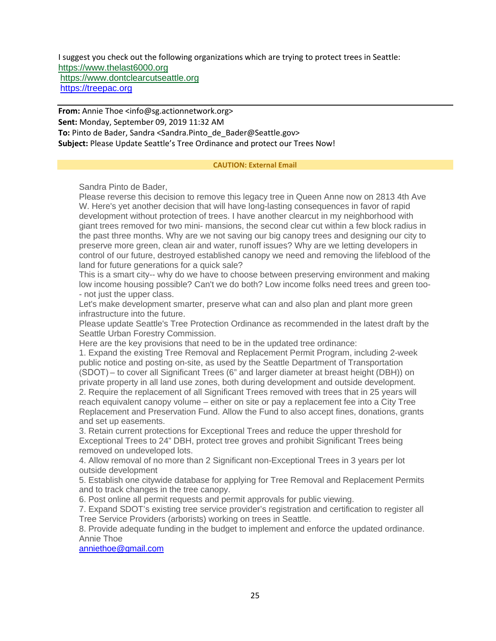I suggest you check out the following organizations which are trying to protect trees in Seattle: [https://www.thelast6000.org](https://www.thelast6000.org/) [https://www.dontclearcutseattle.org](https://www.dontclearcutseattle.org/) [https://treepac.org](https://treepac.org/)

**From:** Annie Thoe <info@sg.actionnetwork.org> **Sent:** Monday, September 09, 2019 11:32 AM **To:** Pinto de Bader, Sandra <Sandra.Pinto\_de\_Bader@Seattle.gov> **Subject:** Please Update Seattle's Tree Ordinance and protect our Trees Now!

### **CAUTION: External Email**

Sandra Pinto de Bader,

Please reverse this decision to remove this legacy tree in Queen Anne now on 2813 4th Ave W. Here's yet another decision that will have long-lasting consequences in favor of rapid development without protection of trees. I have another clearcut in my neighborhood with giant trees removed for two mini- mansions, the second clear cut within a few block radius in the past three months. Why are we not saving our big canopy trees and designing our city to preserve more green, clean air and water, runoff issues? Why are we letting developers in control of our future, destroyed established canopy we need and removing the lifeblood of the land for future generations for a quick sale?

This is a smart city-- why do we have to choose between preserving environment and making low income housing possible? Can't we do both? Low income folks need trees and green too- - not just the upper class.

Let's make development smarter, preserve what can and also plan and plant more green infrastructure into the future.

Please update Seattle's Tree Protection Ordinance as recommended in the latest draft by the Seattle Urban Forestry Commission.

Here are the key provisions that need to be in the updated tree ordinance:

1. Expand the existing Tree Removal and Replacement Permit Program, including 2-week public notice and posting on-site, as used by the Seattle Department of Transportation (SDOT) – to cover all Significant Trees (6" and larger diameter at breast height (DBH)) on private property in all land use zones, both during development and outside development. 2. Require the replacement of all Significant Trees removed with trees that in 25 years will reach equivalent canopy volume – either on site or pay a replacement fee into a City Tree Replacement and Preservation Fund. Allow the Fund to also accept fines, donations, grants and set up easements.

3. Retain current protections for Exceptional Trees and reduce the upper threshold for Exceptional Trees to 24" DBH, protect tree groves and prohibit Significant Trees being removed on undeveloped lots.

4. Allow removal of no more than 2 Significant non-Exceptional Trees in 3 years per lot outside development

5. Establish one citywide database for applying for Tree Removal and Replacement Permits and to track changes in the tree canopy.

6. Post online all permit requests and permit approvals for public viewing.

7. Expand SDOT's existing tree service provider's registration and certification to register all Tree Service Providers (arborists) working on trees in Seattle.

8. Provide adequate funding in the budget to implement and enforce the updated ordinance. Annie Thoe

[anniethoe@gmail.com](mailto:anniethoe@gmail.com)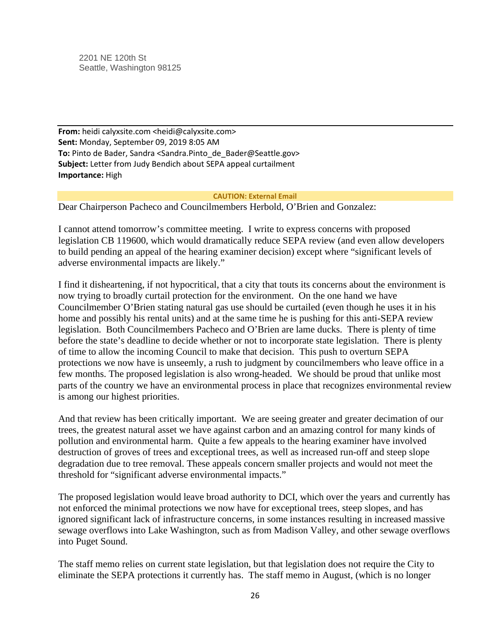2201 NE 120th St Seattle, Washington 98125

**From:** heidi calyxsite.com <heidi@calyxsite.com> **Sent:** Monday, September 09, 2019 8:05 AM **To:** Pinto de Bader, Sandra <Sandra.Pinto de Bader@Seattle.gov> **Subject:** Letter from Judy Bendich about SEPA appeal curtailment **Importance:** High

### **CAUTION: External Email**

Dear Chairperson Pacheco and Councilmembers Herbold, O'Brien and Gonzalez:

I cannot attend tomorrow's committee meeting. I write to express concerns with proposed legislation CB 119600, which would dramatically reduce SEPA review (and even allow developers to build pending an appeal of the hearing examiner decision) except where "significant levels of adverse environmental impacts are likely."

I find it disheartening, if not hypocritical, that a city that touts its concerns about the environment is now trying to broadly curtail protection for the environment. On the one hand we have Councilmember O'Brien stating natural gas use should be curtailed (even though he uses it in his home and possibly his rental units) and at the same time he is pushing for this anti-SEPA review legislation. Both Councilmembers Pacheco and O'Brien are lame ducks. There is plenty of time before the state's deadline to decide whether or not to incorporate state legislation. There is plenty of time to allow the incoming Council to make that decision. This push to overturn SEPA protections we now have is unseemly, a rush to judgment by councilmembers who leave office in a few months. The proposed legislation is also wrong-headed. We should be proud that unlike most parts of the country we have an environmental process in place that recognizes environmental review is among our highest priorities.

And that review has been critically important. We are seeing greater and greater decimation of our trees, the greatest natural asset we have against carbon and an amazing control for many kinds of pollution and environmental harm. Quite a few appeals to the hearing examiner have involved destruction of groves of trees and exceptional trees, as well as increased run-off and steep slope degradation due to tree removal. These appeals concern smaller projects and would not meet the threshold for "significant adverse environmental impacts."

The proposed legislation would leave broad authority to DCI, which over the years and currently has not enforced the minimal protections we now have for exceptional trees, steep slopes, and has ignored significant lack of infrastructure concerns, in some instances resulting in increased massive sewage overflows into Lake Washington, such as from Madison Valley, and other sewage overflows into Puget Sound.

The staff memo relies on current state legislation, but that legislation does not require the City to eliminate the SEPA protections it currently has. The staff memo in August, (which is no longer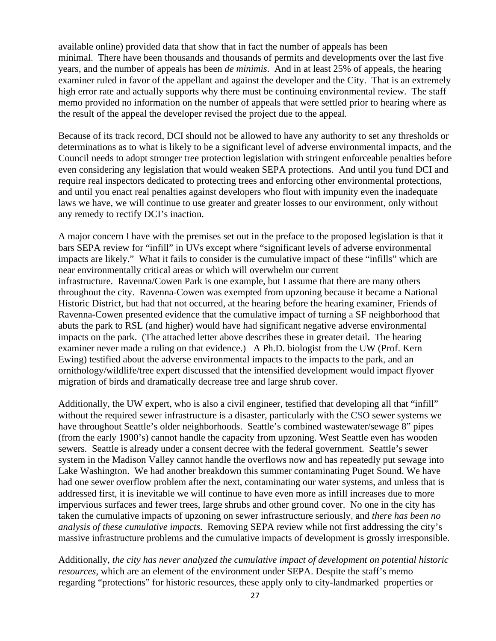available online) provided data that show that in fact the number of appeals has been minimal. There have been thousands and thousands of permits and developments over the last five years, and the number of appeals has been *de minimis*. And in at least 25% of appeals, the hearing examiner ruled in favor of the appellant and against the developer and the City. That is an extremely high error rate and actually supports why there must be continuing environmental review. The staff memo provided no information on the number of appeals that were settled prior to hearing where as the result of the appeal the developer revised the project due to the appeal.

Because of its track record, DCI should not be allowed to have any authority to set any thresholds or determinations as to what is likely to be a significant level of adverse environmental impacts, and the Council needs to adopt stronger tree protection legislation with stringent enforceable penalties before even considering any legislation that would weaken SEPA protections. And until you fund DCI and require real inspectors dedicated to protecting trees and enforcing other environmental protections, and until you enact real penalties against developers who flout with impunity even the inadequate laws we have, we will continue to use greater and greater losses to our environment, only without any remedy to rectify DCI's inaction.

A major concern I have with the premises set out in the preface to the proposed legislation is that it bars SEPA review for "infill" in UVs except where "significant levels of adverse environmental impacts are likely." What it fails to consider is the cumulative impact of these "infills" which are near environmentally critical areas or which will overwhelm our current infrastructure. Ravenna/Cowen Park is one example, but I assume that there are many others throughout the city. Ravenna-Cowen was exempted from upzoning because it became a National Historic District, but had that not occurred, at the hearing before the hearing examiner, Friends of Ravenna-Cowen presented evidence that the cumulative impact of turning a SF neighborhood that abuts the park to RSL (and higher) would have had significant negative adverse environmental impacts on the park. (The attached letter above describes these in greater detail. The hearing examiner never made a ruling on that evidence.) A Ph.D. biologist from the UW (Prof. Kern Ewing) testified about the adverse environmental impacts to the impacts to the park, and an ornithology/wildlife/tree expert discussed that the intensified development would impact flyover migration of birds and dramatically decrease tree and large shrub cover.

Additionally, the UW expert, who is also a civil engineer, testified that developing all that "infill" without the required sewer infrastructure is a disaster, particularly with the CSO sewer systems we have throughout Seattle's older neighborhoods. Seattle's combined wastewater/sewage 8" pipes (from the early 1900's) cannot handle the capacity from upzoning. West Seattle even has wooden sewers. Seattle is already under a consent decree with the federal government. Seattle's sewer system in the Madison Valley cannot handle the overflows now and has repeatedly put sewage into Lake Washington. We had another breakdown this summer contaminating Puget Sound. We have had one sewer overflow problem after the next, contaminating our water systems, and unless that is addressed first, it is inevitable we will continue to have even more as infill increases due to more impervious surfaces and fewer trees, large shrubs and other ground cover. No one in the city has taken the cumulative impacts of upzoning on sewer infrastructure seriously, and *there has been no analysis of these cumulative impacts*. Removing SEPA review while not first addressing the city's massive infrastructure problems and the cumulative impacts of development is grossly irresponsible.

Additionally, *the city has never analyzed the cumulative impact of development on potential historic resources*, which are an element of the environment under SEPA. Despite the staff's memo regarding "protections" for historic resources, these apply only to city-landmarked properties or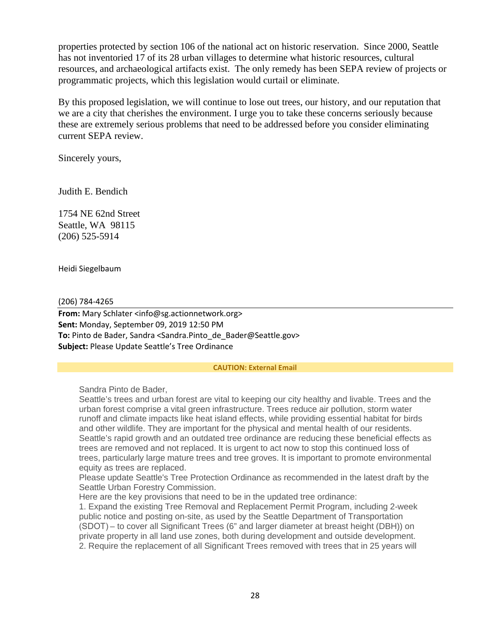properties protected by section 106 of the national act on historic reservation. Since 2000, Seattle has not inventoried 17 of its 28 urban villages to determine what historic resources, cultural resources, and archaeological artifacts exist. The only remedy has been SEPA review of projects or programmatic projects, which this legislation would curtail or eliminate.

By this proposed legislation, we will continue to lose out trees, our history, and our reputation that we are a city that cherishes the environment. I urge you to take these concerns seriously because these are extremely serious problems that need to be addressed before you consider eliminating current SEPA review.

Sincerely yours,

Judith E. Bendich

1754 NE 62nd Street Seattle, WA 98115 (206) 525-5914

Heidi Siegelbaum

(206) 784-4265

**From:** Mary Schlater <info@sg.actionnetwork.org> **Sent:** Monday, September 09, 2019 12:50 PM **To:** Pinto de Bader, Sandra <Sandra.Pinto de Bader@Seattle.gov> **Subject:** Please Update Seattle's Tree Ordinance

### **CAUTION: External Email**

Sandra Pinto de Bader,

Seattle's trees and urban forest are vital to keeping our city healthy and livable. Trees and the urban forest comprise a vital green infrastructure. Trees reduce air pollution, storm water runoff and climate impacts like heat island effects, while providing essential habitat for birds and other wildlife. They are important for the physical and mental health of our residents. Seattle's rapid growth and an outdated tree ordinance are reducing these beneficial effects as trees are removed and not replaced. It is urgent to act now to stop this continued loss of trees, particularly large mature trees and tree groves. It is important to promote environmental equity as trees are replaced.

Please update Seattle's Tree Protection Ordinance as recommended in the latest draft by the Seattle Urban Forestry Commission.

Here are the key provisions that need to be in the updated tree ordinance:

1. Expand the existing Tree Removal and Replacement Permit Program, including 2-week public notice and posting on-site, as used by the Seattle Department of Transportation (SDOT) – to cover all Significant Trees (6" and larger diameter at breast height (DBH)) on private property in all land use zones, both during development and outside development. 2. Require the replacement of all Significant Trees removed with trees that in 25 years will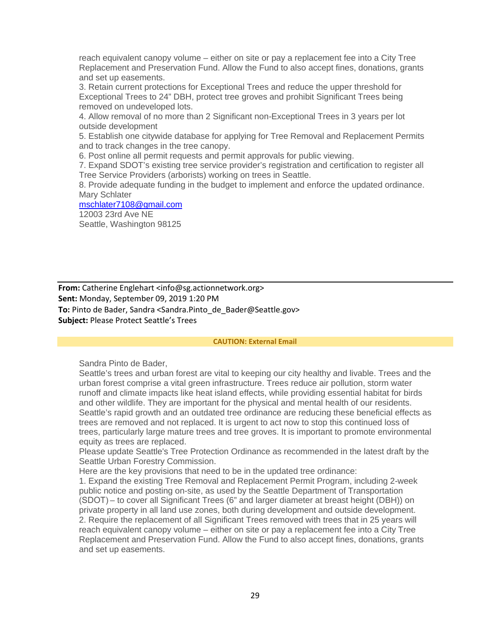reach equivalent canopy volume – either on site or pay a replacement fee into a City Tree Replacement and Preservation Fund. Allow the Fund to also accept fines, donations, grants and set up easements.

3. Retain current protections for Exceptional Trees and reduce the upper threshold for Exceptional Trees to 24" DBH, protect tree groves and prohibit Significant Trees being removed on undeveloped lots.

4. Allow removal of no more than 2 Significant non-Exceptional Trees in 3 years per lot outside development

5. Establish one citywide database for applying for Tree Removal and Replacement Permits and to track changes in the tree canopy.

6. Post online all permit requests and permit approvals for public viewing.

7. Expand SDOT's existing tree service provider's registration and certification to register all Tree Service Providers (arborists) working on trees in Seattle.

8. Provide adequate funding in the budget to implement and enforce the updated ordinance. Mary Schlater

### [mschlater7108@gmail.com](mailto:mschlater7108@gmail.com)

12003 23rd Ave NE Seattle, Washington 98125

**From:** Catherine Englehart <info@sg.actionnetwork.org> **Sent:** Monday, September 09, 2019 1:20 PM **To:** Pinto de Bader, Sandra <Sandra.Pinto de Bader@Seattle.gov> **Subject:** Please Protect Seattle's Trees

#### **CAUTION: External Email**

Sandra Pinto de Bader,

Seattle's trees and urban forest are vital to keeping our city healthy and livable. Trees and the urban forest comprise a vital green infrastructure. Trees reduce air pollution, storm water runoff and climate impacts like heat island effects, while providing essential habitat for birds and other wildlife. They are important for the physical and mental health of our residents. Seattle's rapid growth and an outdated tree ordinance are reducing these beneficial effects as trees are removed and not replaced. It is urgent to act now to stop this continued loss of trees, particularly large mature trees and tree groves. It is important to promote environmental equity as trees are replaced.

Please update Seattle's Tree Protection Ordinance as recommended in the latest draft by the Seattle Urban Forestry Commission.

Here are the key provisions that need to be in the updated tree ordinance:

1. Expand the existing Tree Removal and Replacement Permit Program, including 2-week public notice and posting on-site, as used by the Seattle Department of Transportation (SDOT) – to cover all Significant Trees (6" and larger diameter at breast height (DBH)) on private property in all land use zones, both during development and outside development. 2. Require the replacement of all Significant Trees removed with trees that in 25 years will reach equivalent canopy volume – either on site or pay a replacement fee into a City Tree Replacement and Preservation Fund. Allow the Fund to also accept fines, donations, grants and set up easements.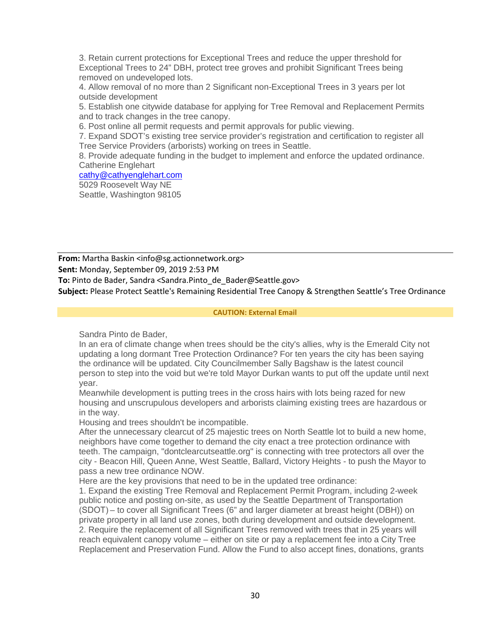3. Retain current protections for Exceptional Trees and reduce the upper threshold for Exceptional Trees to 24" DBH, protect tree groves and prohibit Significant Trees being removed on undeveloped lots.

4. Allow removal of no more than 2 Significant non-Exceptional Trees in 3 years per lot outside development

5. Establish one citywide database for applying for Tree Removal and Replacement Permits and to track changes in the tree canopy.

6. Post online all permit requests and permit approvals for public viewing.

7. Expand SDOT's existing tree service provider's registration and certification to register all Tree Service Providers (arborists) working on trees in Seattle.

8. Provide adequate funding in the budget to implement and enforce the updated ordinance. Catherine Englehart

### [cathy@cathyenglehart.com](mailto:cathy@cathyenglehart.com)

5029 Roosevelt Way NE Seattle, Washington 98105

**From:** Martha Baskin <info@sg.actionnetwork.org>

**Sent:** Monday, September 09, 2019 2:53 PM

**To:** Pinto de Bader, Sandra <Sandra.Pinto\_de\_Bader@Seattle.gov>

**Subject:** Please Protect Seattle's Remaining Residential Tree Canopy & Strengthen Seattle's Tree Ordinance

### **CAUTION: External Email**

Sandra Pinto de Bader,

In an era of climate change when trees should be the city's allies, why is the Emerald City not updating a long dormant Tree Protection Ordinance? For ten years the city has been saying the ordinance will be updated. City Councilmember Sally Bagshaw is the latest council person to step into the void but we're told Mayor Durkan wants to put off the update until next year.

Meanwhile development is putting trees in the cross hairs with lots being razed for new housing and unscrupulous developers and arborists claiming existing trees are hazardous or in the way.

Housing and trees shouldn't be incompatible.

After the unnecessary clearcut of 25 majestic trees on North Seattle lot to build a new home, neighbors have come together to demand the city enact a tree protection ordinance with teeth. The campaign, "dontclearcutseattle.org" is connecting with tree protectors all over the city - Beacon Hill, Queen Anne, West Seattle, Ballard, Victory Heights - to push the Mayor to pass a new tree ordinance NOW.

Here are the key provisions that need to be in the updated tree ordinance:

1. Expand the existing Tree Removal and Replacement Permit Program, including 2-week public notice and posting on-site, as used by the Seattle Department of Transportation (SDOT) – to cover all Significant Trees (6" and larger diameter at breast height (DBH)) on private property in all land use zones, both during development and outside development. 2. Require the replacement of all Significant Trees removed with trees that in 25 years will reach equivalent canopy volume – either on site or pay a replacement fee into a City Tree Replacement and Preservation Fund. Allow the Fund to also accept fines, donations, grants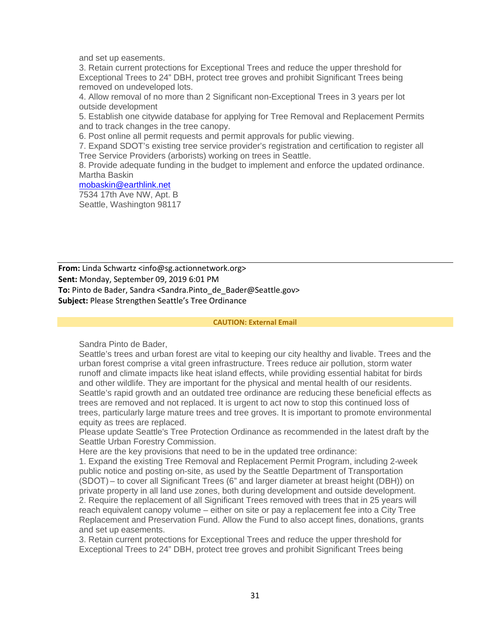and set up easements.

3. Retain current protections for Exceptional Trees and reduce the upper threshold for Exceptional Trees to 24" DBH, protect tree groves and prohibit Significant Trees being removed on undeveloped lots.

4. Allow removal of no more than 2 Significant non-Exceptional Trees in 3 years per lot outside development

5. Establish one citywide database for applying for Tree Removal and Replacement Permits and to track changes in the tree canopy.

6. Post online all permit requests and permit approvals for public viewing.

7. Expand SDOT's existing tree service provider's registration and certification to register all Tree Service Providers (arborists) working on trees in Seattle.

8. Provide adequate funding in the budget to implement and enforce the updated ordinance. Martha Baskin

#### [mobaskin@earthlink.net](mailto:mobaskin@earthlink.net)

7534 17th Ave NW, Apt. B Seattle, Washington 98117

**From:** Linda Schwartz <info@sg.actionnetwork.org> **Sent:** Monday, September 09, 2019 6:01 PM To: Pinto de Bader, Sandra <Sandra.Pinto de Bader@Seattle.gov> **Subject:** Please Strengthen Seattle's Tree Ordinance

#### **CAUTION: External Email**

Sandra Pinto de Bader,

Seattle's trees and urban forest are vital to keeping our city healthy and livable. Trees and the urban forest comprise a vital green infrastructure. Trees reduce air pollution, storm water runoff and climate impacts like heat island effects, while providing essential habitat for birds and other wildlife. They are important for the physical and mental health of our residents. Seattle's rapid growth and an outdated tree ordinance are reducing these beneficial effects as trees are removed and not replaced. It is urgent to act now to stop this continued loss of trees, particularly large mature trees and tree groves. It is important to promote environmental equity as trees are replaced.

Please update Seattle's Tree Protection Ordinance as recommended in the latest draft by the Seattle Urban Forestry Commission.

Here are the key provisions that need to be in the updated tree ordinance:

1. Expand the existing Tree Removal and Replacement Permit Program, including 2-week public notice and posting on-site, as used by the Seattle Department of Transportation (SDOT) – to cover all Significant Trees (6" and larger diameter at breast height (DBH)) on private property in all land use zones, both during development and outside development. 2. Require the replacement of all Significant Trees removed with trees that in 25 years will reach equivalent canopy volume – either on site or pay a replacement fee into a City Tree Replacement and Preservation Fund. Allow the Fund to also accept fines, donations, grants and set up easements.

3. Retain current protections for Exceptional Trees and reduce the upper threshold for Exceptional Trees to 24" DBH, protect tree groves and prohibit Significant Trees being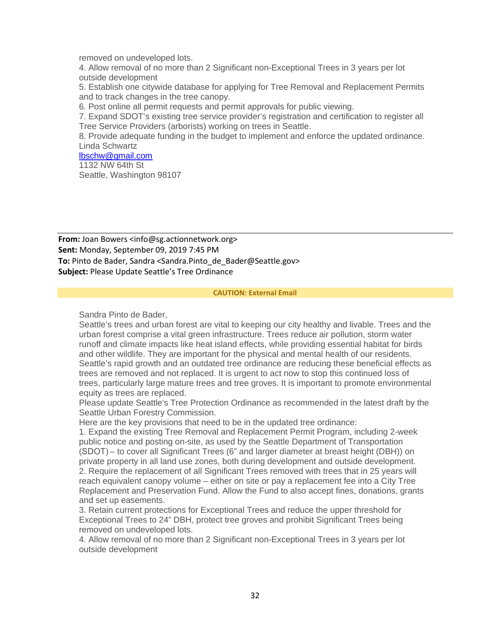removed on undeveloped lots.

4. Allow removal of no more than 2 Significant non-Exceptional Trees in 3 years per lot outside development

5. Establish one citywide database for applying for Tree Removal and Replacement Permits and to track changes in the tree canopy.

6. Post online all permit requests and permit approvals for public viewing.

7. Expand SDOT's existing tree service provider's registration and certification to register all Tree Service Providers (arborists) working on trees in Seattle.

8. Provide adequate funding in the budget to implement and enforce the updated ordinance. Linda Schwartz

[lbschw@gmail.com](mailto:lbschw@gmail.com) 1132 NW 64th St

Seattle, Washington 98107

**From:** Joan Bowers <info@sg.actionnetwork.org> **Sent:** Monday, September 09, 2019 7:45 PM **To:** Pinto de Bader, Sandra <Sandra.Pinto de Bader@Seattle.gov> **Subject:** Please Update Seattle's Tree Ordinance

#### **CAUTION: External Email**

Sandra Pinto de Bader,

Seattle's trees and urban forest are vital to keeping our city healthy and livable. Trees and the urban forest comprise a vital green infrastructure. Trees reduce air pollution, storm water runoff and climate impacts like heat island effects, while providing essential habitat for birds and other wildlife. They are important for the physical and mental health of our residents. Seattle's rapid growth and an outdated tree ordinance are reducing these beneficial effects as trees are removed and not replaced. It is urgent to act now to stop this continued loss of trees, particularly large mature trees and tree groves. It is important to promote environmental equity as trees are replaced.

Please update Seattle's Tree Protection Ordinance as recommended in the latest draft by the Seattle Urban Forestry Commission.

Here are the key provisions that need to be in the updated tree ordinance:

1. Expand the existing Tree Removal and Replacement Permit Program, including 2-week public notice and posting on-site, as used by the Seattle Department of Transportation (SDOT) – to cover all Significant Trees (6" and larger diameter at breast height (DBH)) on private property in all land use zones, both during development and outside development. 2. Require the replacement of all Significant Trees removed with trees that in 25 years will reach equivalent canopy volume – either on site or pay a replacement fee into a City Tree Replacement and Preservation Fund. Allow the Fund to also accept fines, donations, grants and set up easements.

3. Retain current protections for Exceptional Trees and reduce the upper threshold for Exceptional Trees to 24" DBH, protect tree groves and prohibit Significant Trees being removed on undeveloped lots.

4. Allow removal of no more than 2 Significant non-Exceptional Trees in 3 years per lot outside development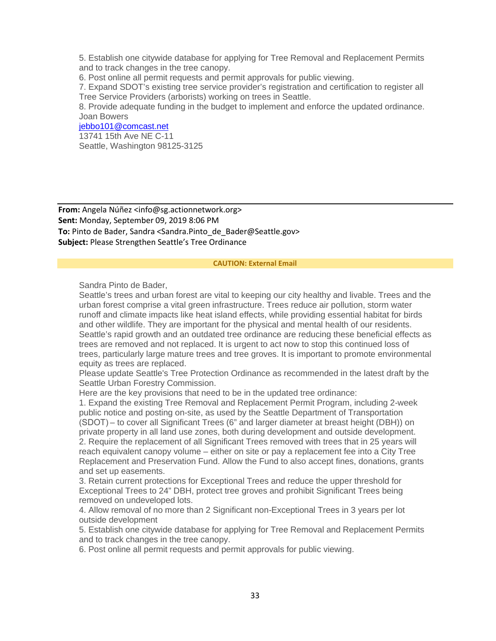5. Establish one citywide database for applying for Tree Removal and Replacement Permits and to track changes in the tree canopy.

6. Post online all permit requests and permit approvals for public viewing.

7. Expand SDOT's existing tree service provider's registration and certification to register all Tree Service Providers (arborists) working on trees in Seattle.

8. Provide adequate funding in the budget to implement and enforce the updated ordinance. Joan Bowers

### [jebbo101@comcast.net](mailto:jebbo101@comcast.net)

13741 15th Ave NE C-11 Seattle, Washington 98125-3125

**From:** Angela Núñez <info@sg.actionnetwork.org> **Sent:** Monday, September 09, 2019 8:06 PM **To:** Pinto de Bader, Sandra <Sandra.Pinto\_de\_Bader@Seattle.gov> **Subject:** Please Strengthen Seattle's Tree Ordinance

#### **CAUTION: External Email**

Sandra Pinto de Bader,

Seattle's trees and urban forest are vital to keeping our city healthy and livable. Trees and the urban forest comprise a vital green infrastructure. Trees reduce air pollution, storm water runoff and climate impacts like heat island effects, while providing essential habitat for birds and other wildlife. They are important for the physical and mental health of our residents. Seattle's rapid growth and an outdated tree ordinance are reducing these beneficial effects as trees are removed and not replaced. It is urgent to act now to stop this continued loss of trees, particularly large mature trees and tree groves. It is important to promote environmental equity as trees are replaced.

Please update Seattle's Tree Protection Ordinance as recommended in the latest draft by the Seattle Urban Forestry Commission.

Here are the key provisions that need to be in the updated tree ordinance:

1. Expand the existing Tree Removal and Replacement Permit Program, including 2-week public notice and posting on-site, as used by the Seattle Department of Transportation (SDOT) – to cover all Significant Trees (6" and larger diameter at breast height (DBH)) on private property in all land use zones, both during development and outside development. 2. Require the replacement of all Significant Trees removed with trees that in 25 years will reach equivalent canopy volume – either on site or pay a replacement fee into a City Tree Replacement and Preservation Fund. Allow the Fund to also accept fines, donations, grants and set up easements.

3. Retain current protections for Exceptional Trees and reduce the upper threshold for Exceptional Trees to 24" DBH, protect tree groves and prohibit Significant Trees being removed on undeveloped lots.

4. Allow removal of no more than 2 Significant non-Exceptional Trees in 3 years per lot outside development

5. Establish one citywide database for applying for Tree Removal and Replacement Permits and to track changes in the tree canopy.

6. Post online all permit requests and permit approvals for public viewing.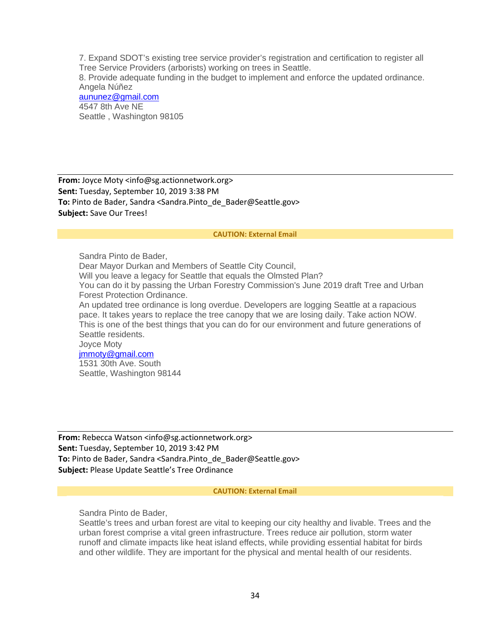7. Expand SDOT's existing tree service provider's registration and certification to register all Tree Service Providers (arborists) working on trees in Seattle.

8. Provide adequate funding in the budget to implement and enforce the updated ordinance. Angela Núñez

[aununez@gmail.com](mailto:aununez@gmail.com) 4547 8th Ave NE Seattle , Washington 98105

**From:** Joyce Moty <info@sg.actionnetwork.org> **Sent:** Tuesday, September 10, 2019 3:38 PM To: Pinto de Bader, Sandra <Sandra.Pinto de Bader@Seattle.gov> **Subject:** Save Our Trees!

#### **CAUTION: External Email**

Sandra Pinto de Bader, Dear Mayor Durkan and Members of Seattle City Council, Will you leave a legacy for Seattle that equals the Olmsted Plan? You can do it by passing the Urban Forestry Commission's June 2019 draft Tree and Urban Forest Protection Ordinance. An updated tree ordinance is long overdue. Developers are logging Seattle at a rapacious pace. It takes years to replace the tree canopy that we are losing daily. Take action NOW. This is one of the best things that you can do for our environment and future generations of Seattle residents. Joyce Moty [jmmoty@gmail.com](mailto:jmmoty@gmail.com) 1531 30th Ave. South Seattle, Washington 98144

**From:** Rebecca Watson <info@sg.actionnetwork.org> **Sent:** Tuesday, September 10, 2019 3:42 PM To: Pinto de Bader, Sandra <Sandra.Pinto de Bader@Seattle.gov> **Subject:** Please Update Seattle's Tree Ordinance

#### **CAUTION: External Email**

Sandra Pinto de Bader,

Seattle's trees and urban forest are vital to keeping our city healthy and livable. Trees and the urban forest comprise a vital green infrastructure. Trees reduce air pollution, storm water runoff and climate impacts like heat island effects, while providing essential habitat for birds and other wildlife. They are important for the physical and mental health of our residents.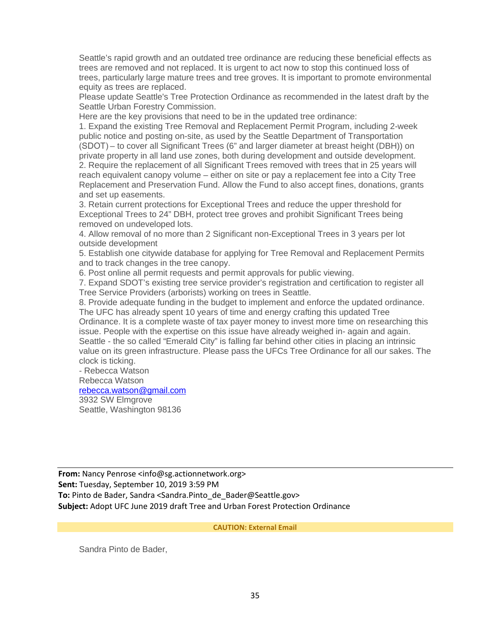Seattle's rapid growth and an outdated tree ordinance are reducing these beneficial effects as trees are removed and not replaced. It is urgent to act now to stop this continued loss of trees, particularly large mature trees and tree groves. It is important to promote environmental equity as trees are replaced.

Please update Seattle's Tree Protection Ordinance as recommended in the latest draft by the Seattle Urban Forestry Commission.

Here are the key provisions that need to be in the updated tree ordinance:

1. Expand the existing Tree Removal and Replacement Permit Program, including 2-week public notice and posting on-site, as used by the Seattle Department of Transportation (SDOT) – to cover all Significant Trees (6" and larger diameter at breast height (DBH)) on private property in all land use zones, both during development and outside development. 2. Require the replacement of all Significant Trees removed with trees that in 25 years will reach equivalent canopy volume – either on site or pay a replacement fee into a City Tree Replacement and Preservation Fund. Allow the Fund to also accept fines, donations, grants and set up easements.

3. Retain current protections for Exceptional Trees and reduce the upper threshold for Exceptional Trees to 24" DBH, protect tree groves and prohibit Significant Trees being removed on undeveloped lots.

4. Allow removal of no more than 2 Significant non-Exceptional Trees in 3 years per lot outside development

5. Establish one citywide database for applying for Tree Removal and Replacement Permits and to track changes in the tree canopy.

6. Post online all permit requests and permit approvals for public viewing.

7. Expand SDOT's existing tree service provider's registration and certification to register all Tree Service Providers (arborists) working on trees in Seattle.

8. Provide adequate funding in the budget to implement and enforce the updated ordinance. The UFC has already spent 10 years of time and energy crafting this updated Tree Ordinance. It is a complete waste of tax payer money to invest more time on researching this issue. People with the expertise on this issue have already weighed in- again and again. Seattle - the so called "Emerald City" is falling far behind other cities in placing an intrinsic value on its green infrastructure. Please pass the UFCs Tree Ordinance for all our sakes. The clock is ticking.

### - Rebecca Watson Rebecca Watson [rebecca.watson@gmail.com](mailto:rebecca.watson@gmail.com) 3932 SW Elmgrove Seattle, Washington 98136

**From:** Nancy Penrose <info@sg.actionnetwork.org> **Sent:** Tuesday, September 10, 2019 3:59 PM To: Pinto de Bader, Sandra <Sandra.Pinto de Bader@Seattle.gov> **Subject:** Adopt UFC June 2019 draft Tree and Urban Forest Protection Ordinance

**CAUTION: External Email**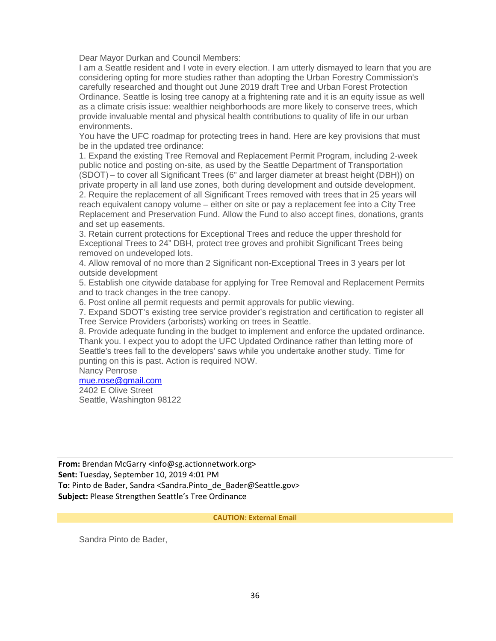Dear Mayor Durkan and Council Members:

I am a Seattle resident and I vote in every election. I am utterly dismayed to learn that you are considering opting for more studies rather than adopting the Urban Forestry Commission's carefully researched and thought out June 2019 draft Tree and Urban Forest Protection Ordinance. Seattle is losing tree canopy at a frightening rate and it is an equity issue as well as a climate crisis issue: wealthier neighborhoods are more likely to conserve trees, which provide invaluable mental and physical health contributions to quality of life in our urban environments.

You have the UFC roadmap for protecting trees in hand. Here are key provisions that must be in the updated tree ordinance:

1. Expand the existing Tree Removal and Replacement Permit Program, including 2-week public notice and posting on-site, as used by the Seattle Department of Transportation (SDOT) – to cover all Significant Trees (6" and larger diameter at breast height (DBH)) on private property in all land use zones, both during development and outside development. 2. Require the replacement of all Significant Trees removed with trees that in 25 years will reach equivalent canopy volume – either on site or pay a replacement fee into a City Tree Replacement and Preservation Fund. Allow the Fund to also accept fines, donations, grants and set up easements.

3. Retain current protections for Exceptional Trees and reduce the upper threshold for Exceptional Trees to 24" DBH, protect tree groves and prohibit Significant Trees being removed on undeveloped lots.

4. Allow removal of no more than 2 Significant non-Exceptional Trees in 3 years per lot outside development

5. Establish one citywide database for applying for Tree Removal and Replacement Permits and to track changes in the tree canopy.

6. Post online all permit requests and permit approvals for public viewing.

7. Expand SDOT's existing tree service provider's registration and certification to register all Tree Service Providers (arborists) working on trees in Seattle.

8. Provide adequate funding in the budget to implement and enforce the updated ordinance. Thank you. I expect you to adopt the UFC Updated Ordinance rather than letting more of Seattle's trees fall to the developers' saws while you undertake another study. Time for punting on this is past. Action is required NOW.

Nancy Penrose

# [mue.rose@gmail.com](mailto:mue.rose@gmail.com)

2402 E Olive Street Seattle, Washington 98122

**From:** Brendan McGarry <info@sg.actionnetwork.org> **Sent:** Tuesday, September 10, 2019 4:01 PM To: Pinto de Bader, Sandra <Sandra.Pinto de Bader@Seattle.gov> **Subject:** Please Strengthen Seattle's Tree Ordinance

**CAUTION: External Email**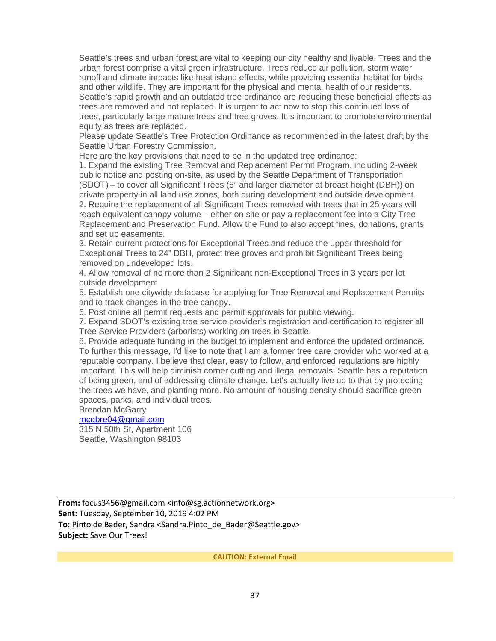Seattle's trees and urban forest are vital to keeping our city healthy and livable. Trees and the urban forest comprise a vital green infrastructure. Trees reduce air pollution, storm water runoff and climate impacts like heat island effects, while providing essential habitat for birds and other wildlife. They are important for the physical and mental health of our residents. Seattle's rapid growth and an outdated tree ordinance are reducing these beneficial effects as trees are removed and not replaced. It is urgent to act now to stop this continued loss of trees, particularly large mature trees and tree groves. It is important to promote environmental equity as trees are replaced.

Please update Seattle's Tree Protection Ordinance as recommended in the latest draft by the Seattle Urban Forestry Commission.

Here are the key provisions that need to be in the updated tree ordinance:

1. Expand the existing Tree Removal and Replacement Permit Program, including 2-week public notice and posting on-site, as used by the Seattle Department of Transportation (SDOT) – to cover all Significant Trees (6" and larger diameter at breast height (DBH)) on private property in all land use zones, both during development and outside development. 2. Require the replacement of all Significant Trees removed with trees that in 25 years will reach equivalent canopy volume – either on site or pay a replacement fee into a City Tree Replacement and Preservation Fund. Allow the Fund to also accept fines, donations, grants and set up easements.

3. Retain current protections for Exceptional Trees and reduce the upper threshold for Exceptional Trees to 24" DBH, protect tree groves and prohibit Significant Trees being removed on undeveloped lots.

4. Allow removal of no more than 2 Significant non-Exceptional Trees in 3 years per lot outside development

5. Establish one citywide database for applying for Tree Removal and Replacement Permits and to track changes in the tree canopy.

6. Post online all permit requests and permit approvals for public viewing.

7. Expand SDOT's existing tree service provider's registration and certification to register all Tree Service Providers (arborists) working on trees in Seattle.

8. Provide adequate funding in the budget to implement and enforce the updated ordinance. To further this message, I'd like to note that I am a former tree care provider who worked at a reputable company. I believe that clear, easy to follow, and enforced regulations are highly important. This will help diminish corner cutting and illegal removals. Seattle has a reputation of being green, and of addressing climate change. Let's actually live up to that by protecting the trees we have, and planting more. No amount of housing density should sacrifice green spaces, parks, and individual trees.

Brendan McGarry

[mcgbre04@gmail.com](mailto:mcgbre04@gmail.com)

315 N 50th St, Apartment 106 Seattle, Washington 98103

**From:** focus3456@gmail.com <info@sg.actionnetwork.org> **Sent:** Tuesday, September 10, 2019 4:02 PM **To:** Pinto de Bader, Sandra <Sandra.Pinto\_de\_Bader@Seattle.gov> **Subject:** Save Our Trees!

**CAUTION: External Email**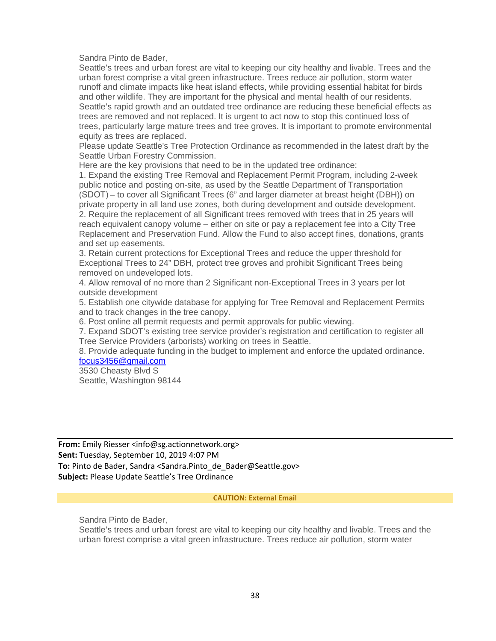Sandra Pinto de Bader,

Seattle's trees and urban forest are vital to keeping our city healthy and livable. Trees and the urban forest comprise a vital green infrastructure. Trees reduce air pollution, storm water runoff and climate impacts like heat island effects, while providing essential habitat for birds and other wildlife. They are important for the physical and mental health of our residents. Seattle's rapid growth and an outdated tree ordinance are reducing these beneficial effects as trees are removed and not replaced. It is urgent to act now to stop this continued loss of trees, particularly large mature trees and tree groves. It is important to promote environmental equity as trees are replaced.

Please update Seattle's Tree Protection Ordinance as recommended in the latest draft by the Seattle Urban Forestry Commission.

Here are the key provisions that need to be in the updated tree ordinance:

1. Expand the existing Tree Removal and Replacement Permit Program, including 2-week public notice and posting on-site, as used by the Seattle Department of Transportation (SDOT) – to cover all Significant Trees (6" and larger diameter at breast height (DBH)) on private property in all land use zones, both during development and outside development. 2. Require the replacement of all Significant trees removed with trees that in 25 years will reach equivalent canopy volume – either on site or pay a replacement fee into a City Tree Replacement and Preservation Fund. Allow the Fund to also accept fines, donations, grants and set up easements.

3. Retain current protections for Exceptional Trees and reduce the upper threshold for Exceptional Trees to 24" DBH, protect tree groves and prohibit Significant Trees being removed on undeveloped lots.

4. Allow removal of no more than 2 Significant non-Exceptional Trees in 3 years per lot outside development

5. Establish one citywide database for applying for Tree Removal and Replacement Permits and to track changes in the tree canopy.

6. Post online all permit requests and permit approvals for public viewing.

7. Expand SDOT's existing tree service provider's registration and certification to register all Tree Service Providers (arborists) working on trees in Seattle.

8. Provide adequate funding in the budget to implement and enforce the updated ordinance. [focus3456@gmail.com](mailto:focus3456@gmail.com)

3530 Cheasty Blvd S

Seattle, Washington 98144

**From:** Emily Riesser <info@sg.actionnetwork.org> **Sent:** Tuesday, September 10, 2019 4:07 PM To: Pinto de Bader, Sandra <Sandra.Pinto de Bader@Seattle.gov> **Subject:** Please Update Seattle's Tree Ordinance

#### **CAUTION: External Email**

Sandra Pinto de Bader,

Seattle's trees and urban forest are vital to keeping our city healthy and livable. Trees and the urban forest comprise a vital green infrastructure. Trees reduce air pollution, storm water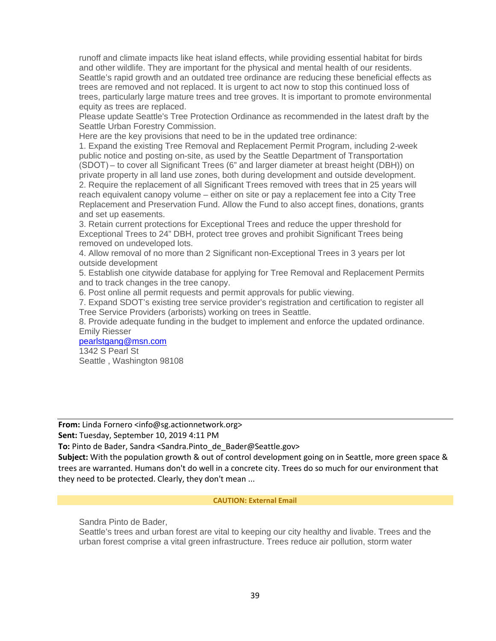runoff and climate impacts like heat island effects, while providing essential habitat for birds and other wildlife. They are important for the physical and mental health of our residents. Seattle's rapid growth and an outdated tree ordinance are reducing these beneficial effects as trees are removed and not replaced. It is urgent to act now to stop this continued loss of trees, particularly large mature trees and tree groves. It is important to promote environmental equity as trees are replaced.

Please update Seattle's Tree Protection Ordinance as recommended in the latest draft by the Seattle Urban Forestry Commission.

Here are the key provisions that need to be in the updated tree ordinance:

1. Expand the existing Tree Removal and Replacement Permit Program, including 2-week public notice and posting on-site, as used by the Seattle Department of Transportation (SDOT) – to cover all Significant Trees (6" and larger diameter at breast height (DBH)) on private property in all land use zones, both during development and outside development. 2. Require the replacement of all Significant Trees removed with trees that in 25 years will reach equivalent canopy volume – either on site or pay a replacement fee into a City Tree Replacement and Preservation Fund. Allow the Fund to also accept fines, donations, grants and set up easements.

3. Retain current protections for Exceptional Trees and reduce the upper threshold for Exceptional Trees to 24" DBH, protect tree groves and prohibit Significant Trees being removed on undeveloped lots.

4. Allow removal of no more than 2 Significant non-Exceptional Trees in 3 years per lot outside development

5. Establish one citywide database for applying for Tree Removal and Replacement Permits and to track changes in the tree canopy.

6. Post online all permit requests and permit approvals for public viewing.

7. Expand SDOT's existing tree service provider's registration and certification to register all Tree Service Providers (arborists) working on trees in Seattle.

8. Provide adequate funding in the budget to implement and enforce the updated ordinance. Emily Riesser

# [pearlstgang@msn.com](mailto:pearlstgang@msn.com)

1342 S Pearl St Seattle , Washington 98108

**From:** Linda Fornero <info@sg.actionnetwork.org>

**Sent:** Tuesday, September 10, 2019 4:11 PM

**To:** Pinto de Bader, Sandra <Sandra.Pinto de Bader@Seattle.gov>

**Subject:** With the population growth & out of control development going on in Seattle, more green space & trees are warranted. Humans don't do well in a concrete city. Trees do so much for our environment that they need to be protected. Clearly, they don't mean ...

### **CAUTION: External Email**

Sandra Pinto de Bader,

Seattle's trees and urban forest are vital to keeping our city healthy and livable. Trees and the urban forest comprise a vital green infrastructure. Trees reduce air pollution, storm water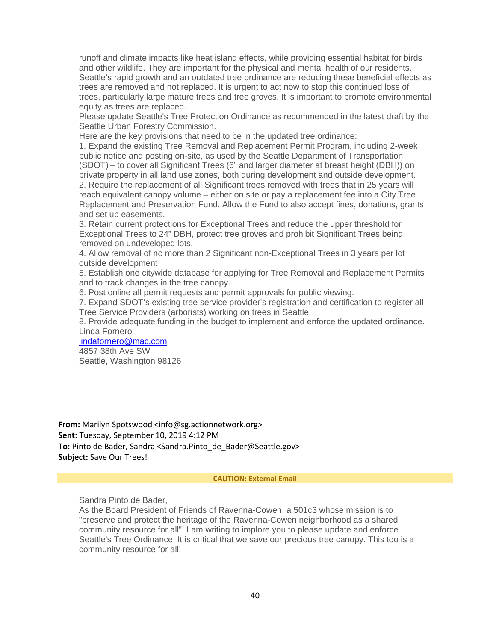runoff and climate impacts like heat island effects, while providing essential habitat for birds and other wildlife. They are important for the physical and mental health of our residents. Seattle's rapid growth and an outdated tree ordinance are reducing these beneficial effects as trees are removed and not replaced. It is urgent to act now to stop this continued loss of trees, particularly large mature trees and tree groves. It is important to promote environmental equity as trees are replaced.

Please update Seattle's Tree Protection Ordinance as recommended in the latest draft by the Seattle Urban Forestry Commission.

Here are the key provisions that need to be in the updated tree ordinance:

1. Expand the existing Tree Removal and Replacement Permit Program, including 2-week public notice and posting on-site, as used by the Seattle Department of Transportation (SDOT) – to cover all Significant Trees (6" and larger diameter at breast height (DBH)) on private property in all land use zones, both during development and outside development. 2. Require the replacement of all Significant trees removed with trees that in 25 years will reach equivalent canopy volume – either on site or pay a replacement fee into a City Tree Replacement and Preservation Fund. Allow the Fund to also accept fines, donations, grants and set up easements.

3. Retain current protections for Exceptional Trees and reduce the upper threshold for Exceptional Trees to 24" DBH, protect tree groves and prohibit Significant Trees being removed on undeveloped lots.

4. Allow removal of no more than 2 Significant non-Exceptional Trees in 3 years per lot outside development

5. Establish one citywide database for applying for Tree Removal and Replacement Permits and to track changes in the tree canopy.

6. Post online all permit requests and permit approvals for public viewing.

7. Expand SDOT's existing tree service provider's registration and certification to register all Tree Service Providers (arborists) working on trees in Seattle.

8. Provide adequate funding in the budget to implement and enforce the updated ordinance. Linda Fornero

### [lindafornero@mac.com](mailto:lindafornero@mac.com)

4857 38th Ave SW Seattle, Washington 98126

**From:** Marilyn Spotswood <info@sg.actionnetwork.org> **Sent:** Tuesday, September 10, 2019 4:12 PM To: Pinto de Bader, Sandra <Sandra.Pinto de Bader@Seattle.gov> **Subject:** Save Our Trees!

#### **CAUTION: External Email**

Sandra Pinto de Bader,

As the Board President of Friends of Ravenna-Cowen, a 501c3 whose mission is to "preserve and protect the heritage of the Ravenna-Cowen neighborhood as a shared community resource for all", I am writing to implore you to please update and enforce Seattle's Tree Ordinance. It is critical that we save our precious tree canopy. This too is a community resource for all!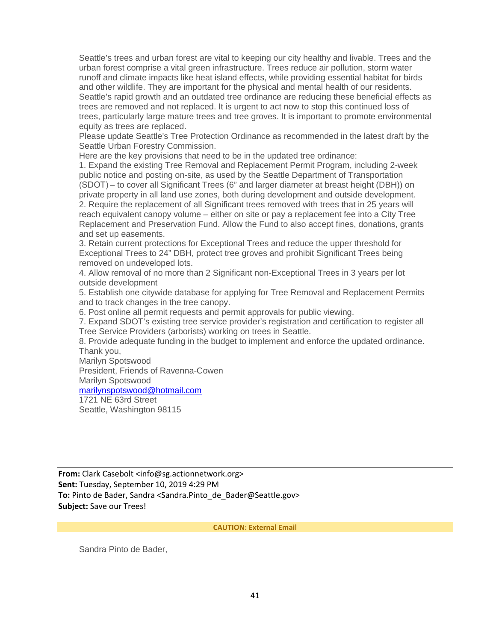Seattle's trees and urban forest are vital to keeping our city healthy and livable. Trees and the urban forest comprise a vital green infrastructure. Trees reduce air pollution, storm water runoff and climate impacts like heat island effects, while providing essential habitat for birds and other wildlife. They are important for the physical and mental health of our residents. Seattle's rapid growth and an outdated tree ordinance are reducing these beneficial effects as trees are removed and not replaced. It is urgent to act now to stop this continued loss of trees, particularly large mature trees and tree groves. It is important to promote environmental equity as trees are replaced.

Please update Seattle's Tree Protection Ordinance as recommended in the latest draft by the Seattle Urban Forestry Commission.

Here are the key provisions that need to be in the updated tree ordinance:

1. Expand the existing Tree Removal and Replacement Permit Program, including 2-week public notice and posting on-site, as used by the Seattle Department of Transportation (SDOT) – to cover all Significant Trees (6" and larger diameter at breast height (DBH)) on private property in all land use zones, both during development and outside development. 2. Require the replacement of all Significant trees removed with trees that in 25 years will reach equivalent canopy volume – either on site or pay a replacement fee into a City Tree Replacement and Preservation Fund. Allow the Fund to also accept fines, donations, grants and set up easements.

3. Retain current protections for Exceptional Trees and reduce the upper threshold for Exceptional Trees to 24" DBH, protect tree groves and prohibit Significant Trees being removed on undeveloped lots.

4. Allow removal of no more than 2 Significant non-Exceptional Trees in 3 years per lot outside development

5. Establish one citywide database for applying for Tree Removal and Replacement Permits and to track changes in the tree canopy.

6. Post online all permit requests and permit approvals for public viewing.

7. Expand SDOT's existing tree service provider's registration and certification to register all Tree Service Providers (arborists) working on trees in Seattle.

8. Provide adequate funding in the budget to implement and enforce the updated ordinance. Thank you,

Marilyn Spotswood President, Friends of Ravenna-Cowen Marilyn Spotswood [marilynspotswood@hotmail.com](mailto:marilynspotswood@hotmail.com) 1721 NE 63rd Street

Seattle, Washington 98115

**From:** Clark Casebolt <info@sg.actionnetwork.org> **Sent:** Tuesday, September 10, 2019 4:29 PM To: Pinto de Bader, Sandra <Sandra.Pinto de Bader@Seattle.gov> **Subject:** Save our Trees!

**CAUTION: External Email**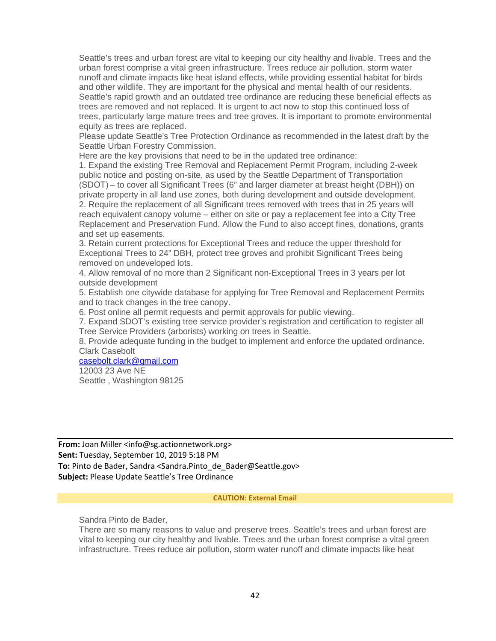Seattle's trees and urban forest are vital to keeping our city healthy and livable. Trees and the urban forest comprise a vital green infrastructure. Trees reduce air pollution, storm water runoff and climate impacts like heat island effects, while providing essential habitat for birds and other wildlife. They are important for the physical and mental health of our residents. Seattle's rapid growth and an outdated tree ordinance are reducing these beneficial effects as trees are removed and not replaced. It is urgent to act now to stop this continued loss of trees, particularly large mature trees and tree groves. It is important to promote environmental equity as trees are replaced.

Please update Seattle's Tree Protection Ordinance as recommended in the latest draft by the Seattle Urban Forestry Commission.

Here are the key provisions that need to be in the updated tree ordinance:

1. Expand the existing Tree Removal and Replacement Permit Program, including 2-week public notice and posting on-site, as used by the Seattle Department of Transportation (SDOT) – to cover all Significant Trees (6" and larger diameter at breast height (DBH)) on private property in all land use zones, both during development and outside development. 2. Require the replacement of all Significant trees removed with trees that in 25 years will reach equivalent canopy volume – either on site or pay a replacement fee into a City Tree Replacement and Preservation Fund. Allow the Fund to also accept fines, donations, grants and set up easements.

3. Retain current protections for Exceptional Trees and reduce the upper threshold for Exceptional Trees to 24" DBH, protect tree groves and prohibit Significant Trees being removed on undeveloped lots.

4. Allow removal of no more than 2 Significant non-Exceptional Trees in 3 years per lot outside development

5. Establish one citywide database for applying for Tree Removal and Replacement Permits and to track changes in the tree canopy.

6. Post online all permit requests and permit approvals for public viewing.

7. Expand SDOT's existing tree service provider's registration and certification to register all Tree Service Providers (arborists) working on trees in Seattle.

8. Provide adequate funding in the budget to implement and enforce the updated ordinance. Clark Casebolt

[casebolt.clark@gmail.com](mailto:casebolt.clark@gmail.com)

12003 23 Ave NE Seattle , Washington 98125

**From:** Joan Miller <info@sg.actionnetwork.org> **Sent:** Tuesday, September 10, 2019 5:18 PM To: Pinto de Bader, Sandra <Sandra.Pinto de Bader@Seattle.gov> **Subject:** Please Update Seattle's Tree Ordinance

#### **CAUTION: External Email**

Sandra Pinto de Bader,

There are so many reasons to value and preserve trees. Seattle's trees and urban forest are vital to keeping our city healthy and livable. Trees and the urban forest comprise a vital green infrastructure. Trees reduce air pollution, storm water runoff and climate impacts like heat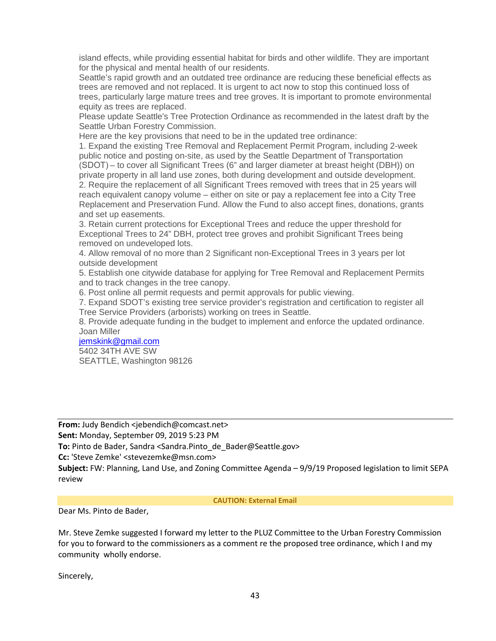island effects, while providing essential habitat for birds and other wildlife. They are important for the physical and mental health of our residents.

Seattle's rapid growth and an outdated tree ordinance are reducing these beneficial effects as trees are removed and not replaced. It is urgent to act now to stop this continued loss of trees, particularly large mature trees and tree groves. It is important to promote environmental equity as trees are replaced.

Please update Seattle's Tree Protection Ordinance as recommended in the latest draft by the Seattle Urban Forestry Commission.

Here are the key provisions that need to be in the updated tree ordinance:

1. Expand the existing Tree Removal and Replacement Permit Program, including 2-week public notice and posting on-site, as used by the Seattle Department of Transportation (SDOT) – to cover all Significant Trees (6" and larger diameter at breast height (DBH)) on private property in all land use zones, both during development and outside development. 2. Require the replacement of all Significant Trees removed with trees that in 25 years will reach equivalent canopy volume – either on site or pay a replacement fee into a City Tree Replacement and Preservation Fund. Allow the Fund to also accept fines, donations, grants and set up easements.

3. Retain current protections for Exceptional Trees and reduce the upper threshold for Exceptional Trees to 24" DBH, protect tree groves and prohibit Significant Trees being removed on undeveloped lots.

4. Allow removal of no more than 2 Significant non-Exceptional Trees in 3 years per lot outside development

5. Establish one citywide database for applying for Tree Removal and Replacement Permits and to track changes in the tree canopy.

6. Post online all permit requests and permit approvals for public viewing.

7. Expand SDOT's existing tree service provider's registration and certification to register all Tree Service Providers (arborists) working on trees in Seattle.

8. Provide adequate funding in the budget to implement and enforce the updated ordinance. Joan Miller

#### [jemskink@gmail.com](mailto:jemskink@gmail.com) 5402 34TH AVE SW

SEATTLE, Washington 98126

**From:** Judy Bendich <jebendich@comcast.net>

**Sent:** Monday, September 09, 2019 5:23 PM

To: Pinto de Bader, Sandra <Sandra.Pinto de Bader@Seattle.gov>

**Cc:** 'Steve Zemke' <stevezemke@msn.com>

**Subject:** FW: Planning, Land Use, and Zoning Committee Agenda – 9/9/19 Proposed legislation to limit SEPA review

### **CAUTION: External Email**

Dear Ms. Pinto de Bader,

Mr. Steve Zemke suggested I forward my letter to the PLUZ Committee to the Urban Forestry Commission for you to forward to the commissioners as a comment re the proposed tree ordinance, which I and my community wholly endorse.

Sincerely,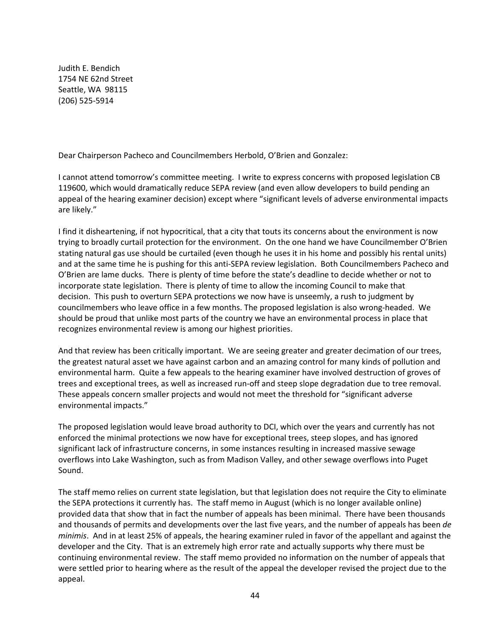Judith E. Bendich 1754 NE 62nd Street Seattle, WA 98115 (206) 525-5914

Dear Chairperson Pacheco and Councilmembers Herbold, O'Brien and Gonzalez:

I cannot attend tomorrow's committee meeting. I write to express concerns with proposed legislation CB 119600, which would dramatically reduce SEPA review (and even allow developers to build pending an appeal of the hearing examiner decision) except where "significant levels of adverse environmental impacts are likely."

I find it disheartening, if not hypocritical, that a city that touts its concerns about the environment is now trying to broadly curtail protection for the environment. On the one hand we have Councilmember O'Brien stating natural gas use should be curtailed (even though he uses it in his home and possibly his rental units) and at the same time he is pushing for this anti-SEPA review legislation. Both Councilmembers Pacheco and O'Brien are lame ducks. There is plenty of time before the state's deadline to decide whether or not to incorporate state legislation. There is plenty of time to allow the incoming Council to make that decision. This push to overturn SEPA protections we now have is unseemly, a rush to judgment by councilmembers who leave office in a few months. The proposed legislation is also wrong-headed. We should be proud that unlike most parts of the country we have an environmental process in place that recognizes environmental review is among our highest priorities.

And that review has been critically important. We are seeing greater and greater decimation of our trees, the greatest natural asset we have against carbon and an amazing control for many kinds of pollution and environmental harm. Quite a few appeals to the hearing examiner have involved destruction of groves of trees and exceptional trees, as well as increased run-off and steep slope degradation due to tree removal. These appeals concern smaller projects and would not meet the threshold for "significant adverse environmental impacts."

The proposed legislation would leave broad authority to DCI, which over the years and currently has not enforced the minimal protections we now have for exceptional trees, steep slopes, and has ignored significant lack of infrastructure concerns, in some instances resulting in increased massive sewage overflows into Lake Washington, such as from Madison Valley, and other sewage overflows into Puget Sound.

The staff memo relies on current state legislation, but that legislation does not require the City to eliminate the SEPA protections it currently has. The staff memo in August (which is no longer available online) provided data that show that in fact the number of appeals has been minimal. There have been thousands and thousands of permits and developments over the last five years, and the number of appeals has been *de minimis*. And in at least 25% of appeals, the hearing examiner ruled in favor of the appellant and against the developer and the City. That is an extremely high error rate and actually supports why there must be continuing environmental review. The staff memo provided no information on the number of appeals that were settled prior to hearing where as the result of the appeal the developer revised the project due to the appeal.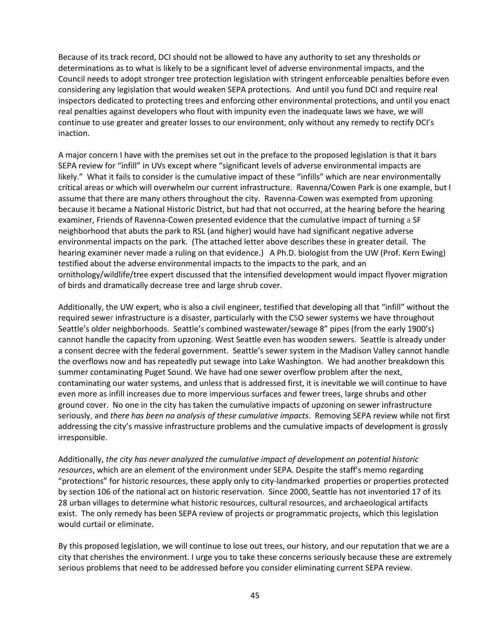Because of its track record, DCI should not be allowed to have any authority to set any thresholds or determinations as to what is likely to be a significant level of adverse environmental impacts, and the Council needs to adopt stronger tree protection legislation with stringent enforceable penalties before even considering any legislation that would weaken SEPA protections. And until you fund DCI and require real inspectors dedicated to protecting trees and enforcing other environmental protections, and until you enact real penalties against developers who flout with impunity even the inadequate laws we have, we will continue to use greater and greater losses to our environment, only without any remedy to rectify DCI's inaction.

A major concern I have with the premises set out in the preface to the proposed legislation is that it bars SEPA review for "infill" in UVs except where "significant levels of adverse environmental impacts are likely." What it fails to consider is the cumulative impact of these "infills" which are near environmentally critical areas or which will overwhelm our current infrastructure. Ravenna/Cowen Park is one example, but I assume that there are many others throughout the city. Ravenna-Cowen was exempted from upzoning because it became a National Historic District, but had that not occurred, at the hearing before the hearing examiner, Friends of Ravenna-Cowen presented evidence that the cumulative impact of turning a SF neighborhood that abuts the park to RSL (and higher) would have had significant negative adverse environmental impacts on the park. (The attached letter above describes these in greater detail. The hearing examiner never made a ruling on that evidence.) A Ph.D. biologist from the UW (Prof. Kern Ewing) testified about the adverse environmental impacts to the impacts to the park, and an ornithology/wildlife/tree expert discussed that the intensified development would impact flyover migration of birds and dramatically decrease tree and large shrub cover.

Additionally, the UW expert, who is also a civil engineer, testified that developing all that "infill" without the required sewer infrastructure is a disaster, particularly with the CSO sewer systems we have throughout Seattle's older neighborhoods. Seattle's combined wastewater/sewage 8" pipes (from the early 1900's) cannot handle the capacity from upzoning. West Seattle even has wooden sewers. Seattle is already under a consent decree with the federal government. Seattle's sewer system in the Madison Valley cannot handle the overflows now and has repeatedly put sewage into Lake Washington. We had another breakdown this summer contaminating Puget Sound. We have had one sewer overflow problem after the next, contaminating our water systems, and unless that is addressed first, it is inevitable we will continue to have even more as infill increases due to more impervious surfaces and fewer trees, large shrubs and other ground cover. No one in the city has taken the cumulative impacts of upzoning on sewer infrastructure seriously, and *there has been no analysis of these cumulative impacts*. Removing SEPA review while not first addressing the city's massive infrastructure problems and the cumulative impacts of development is grossly irresponsible.

Additionally, *the city has never analyzed the cumulative impact of development on potential historic resources*, which are an element of the environment under SEPA. Despite the staff's memo regarding "protections" for historic resources, these apply only to city-landmarked properties or properties protected by section 106 of the national act on historic reservation. Since 2000, Seattle has not inventoried 17 of its 28 urban villages to determine what historic resources, cultural resources, and archaeological artifacts exist. The only remedy has been SEPA review of projects or programmatic projects, which this legislation would curtail or eliminate.

By this proposed legislation, we will continue to lose out trees, our history, and our reputation that we are a city that cherishes the environment. I urge you to take these concerns seriously because these are extremely serious problems that need to be addressed before you consider eliminating current SEPA review.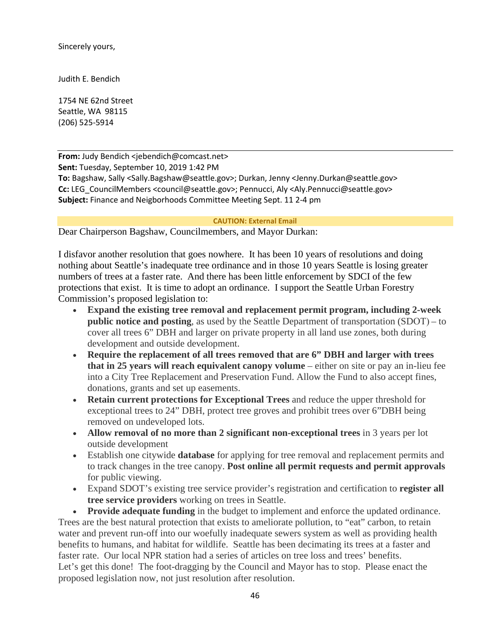Sincerely yours,

Judith E. Bendich

1754 NE 62nd Street Seattle, WA 98115 (206) 525-5914

**From:** Judy Bendich <jebendich@comcast.net> **Sent:** Tuesday, September 10, 2019 1:42 PM **To:** Bagshaw, Sally <Sally.Bagshaw@seattle.gov>; Durkan, Jenny <Jenny.Durkan@seattle.gov> **Cc:** LEG\_CouncilMembers <council@seattle.gov>; Pennucci, Aly <Aly.Pennucci@seattle.gov> **Subject:** Finance and Neigborhoods Committee Meeting Sept. 11 2-4 pm

### **CAUTION: External Email**

Dear Chairperson Bagshaw, Councilmembers, and Mayor Durkan:

I disfavor another resolution that goes nowhere. It has been 10 years of resolutions and doing nothing about Seattle's inadequate tree ordinance and in those 10 years Seattle is losing greater numbers of trees at a faster rate. And there has been little enforcement by SDCI of the few protections that exist. It is time to adopt an ordinance. I support the Seattle Urban Forestry Commission's proposed legislation to:

- **Expand the existing tree removal and replacement permit program, including 2-week public notice and posting**, as used by the Seattle Department of transportation (SDOT) – to cover all trees 6" DBH and larger on private property in all land use zones, both during development and outside development.
- **Require the replacement of all trees removed that are 6" DBH and larger with trees that in 25 years will reach equivalent canopy volume** – either on site or pay an in-lieu fee into a City Tree Replacement and Preservation Fund. Allow the Fund to also accept fines, donations, grants and set up easements.
- **Retain current protections for Exceptional Trees** and reduce the upper threshold for exceptional trees to 24" DBH, protect tree groves and prohibit trees over 6"DBH being removed on undeveloped lots.
- **Allow removal of no more than 2 significant non-exceptional trees** in 3 years per lot outside development
- Establish one citywide **database** for applying for tree removal and replacement permits and to track changes in the tree canopy. **Post online all permit requests and permit approvals** for public viewing.
- Expand SDOT's existing tree service provider's registration and certification to **register all tree service providers** working on trees in Seattle.

• **Provide adequate funding** in the budget to implement and enforce the updated ordinance. Trees are the best natural protection that exists to ameliorate pollution, to "eat" carbon, to retain water and prevent run-off into our woefully inadequate sewers system as well as providing health benefits to humans, and habitat for wildlife. Seattle has been decimating its trees at a faster and faster rate. Our local NPR station had a series of articles on tree loss and trees' benefits. Let's get this done! The foot-dragging by the Council and Mayor has to stop. Please enact the proposed legislation now, not just resolution after resolution.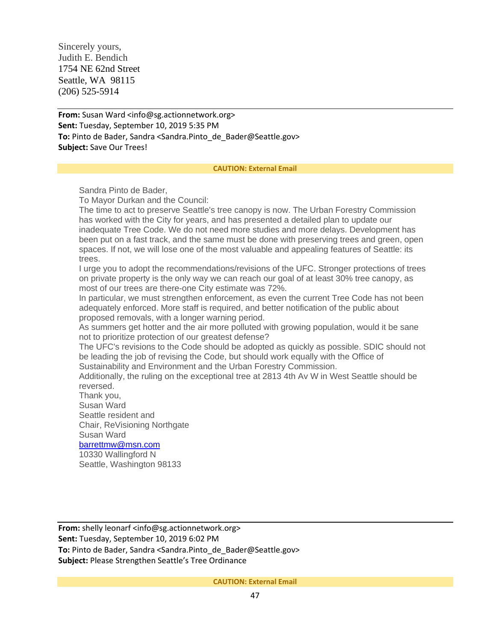Sincerely yours, Judith E. Bendich 1754 NE 62nd Street Seattle, WA 98115 (206) 525-5914

**From:** Susan Ward <info@sg.actionnetwork.org> **Sent:** Tuesday, September 10, 2019 5:35 PM To: Pinto de Bader, Sandra <Sandra.Pinto de Bader@Seattle.gov> **Subject:** Save Our Trees!

#### **CAUTION: External Email**

Sandra Pinto de Bader,

To Mayor Durkan and the Council:

The time to act to preserve Seattle's tree canopy is now. The Urban Forestry Commission has worked with the City for years, and has presented a detailed plan to update our inadequate Tree Code. We do not need more studies and more delays. Development has been put on a fast track, and the same must be done with preserving trees and green, open spaces. If not, we will lose one of the most valuable and appealing features of Seattle: its trees.

I urge you to adopt the recommendations/revisions of the UFC. Stronger protections of trees on private property is the only way we can reach our goal of at least 30% tree canopy, as most of our trees are there-one City estimate was 72%.

In particular, we must strengthen enforcement, as even the current Tree Code has not been adequately enforced. More staff is required, and better notification of the public about proposed removals, with a longer warning period.

As summers get hotter and the air more polluted with growing population, would it be sane not to prioritize protection of our greatest defense?

The UFC's revisions to the Code should be adopted as quickly as possible. SDIC should not be leading the job of revising the Code, but should work equally with the Office of Sustainability and Environment and the Urban Forestry Commission.

Additionally, the ruling on the exceptional tree at 2813 4th Av W in West Seattle should be reversed.

Thank you, Susan Ward Seattle resident and Chair, ReVisioning Northgate Susan Ward

# [barrettmw@msn.com](mailto:barrettmw@msn.com)

10330 Wallingford N Seattle, Washington 98133

**From:** shelly leonarf <info@sg.actionnetwork.org> **Sent:** Tuesday, September 10, 2019 6:02 PM **To:** Pinto de Bader, Sandra <Sandra.Pinto de Bader@Seattle.gov> **Subject:** Please Strengthen Seattle's Tree Ordinance

**CAUTION: External Email**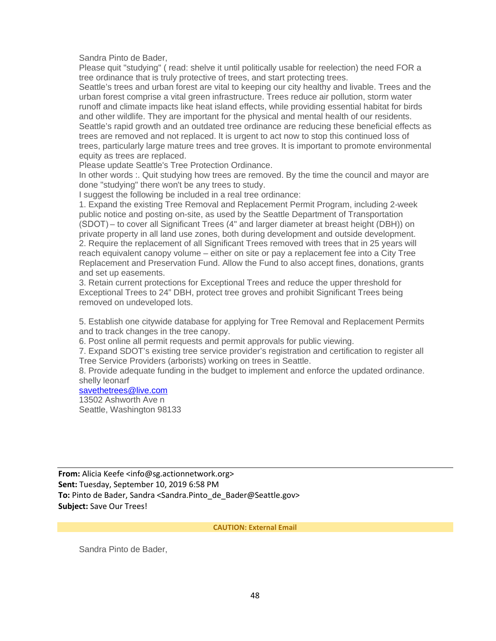Sandra Pinto de Bader,

Please quit "studying" ( read: shelve it until politically usable for reelection) the need FOR a tree ordinance that is truly protective of trees, and start protecting trees.

Seattle's trees and urban forest are vital to keeping our city healthy and livable. Trees and the urban forest comprise a vital green infrastructure. Trees reduce air pollution, storm water runoff and climate impacts like heat island effects, while providing essential habitat for birds and other wildlife. They are important for the physical and mental health of our residents. Seattle's rapid growth and an outdated tree ordinance are reducing these beneficial effects as trees are removed and not replaced. It is urgent to act now to stop this continued loss of trees, particularly large mature trees and tree groves. It is important to promote environmental equity as trees are replaced.

Please update Seattle's Tree Protection Ordinance.

In other words :. Quit studying how trees are removed. By the time the council and mayor are done "studying" there won't be any trees to study.

I suggest the following be included in a real tree ordinance:

1. Expand the existing Tree Removal and Replacement Permit Program, including 2-week public notice and posting on-site, as used by the Seattle Department of Transportation (SDOT) – to cover all Significant Trees (4" and larger diameter at breast height (DBH)) on private property in all land use zones, both during development and outside development. 2. Require the replacement of all Significant Trees removed with trees that in 25 years will reach equivalent canopy volume – either on site or pay a replacement fee into a City Tree Replacement and Preservation Fund. Allow the Fund to also accept fines, donations, grants and set up easements.

3. Retain current protections for Exceptional Trees and reduce the upper threshold for Exceptional Trees to 24" DBH, protect tree groves and prohibit Significant Trees being removed on undeveloped lots.

5. Establish one citywide database for applying for Tree Removal and Replacement Permits and to track changes in the tree canopy.

6. Post online all permit requests and permit approvals for public viewing.

7. Expand SDOT's existing tree service provider's registration and certification to register all Tree Service Providers (arborists) working on trees in Seattle.

8. Provide adequate funding in the budget to implement and enforce the updated ordinance. shelly leonarf

# [savethetrees@live.com](mailto:savethetrees@live.com)

13502 Ashworth Ave n Seattle, Washington 98133

**From:** Alicia Keefe <info@sg.actionnetwork.org> **Sent:** Tuesday, September 10, 2019 6:58 PM To: Pinto de Bader, Sandra <Sandra.Pinto de Bader@Seattle.gov> **Subject:** Save Our Trees!

**CAUTION: External Email**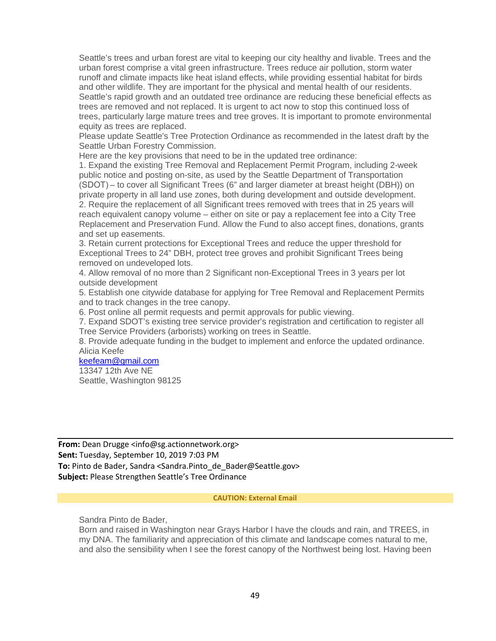Seattle's trees and urban forest are vital to keeping our city healthy and livable. Trees and the urban forest comprise a vital green infrastructure. Trees reduce air pollution, storm water runoff and climate impacts like heat island effects, while providing essential habitat for birds and other wildlife. They are important for the physical and mental health of our residents. Seattle's rapid growth and an outdated tree ordinance are reducing these beneficial effects as trees are removed and not replaced. It is urgent to act now to stop this continued loss of trees, particularly large mature trees and tree groves. It is important to promote environmental equity as trees are replaced.

Please update Seattle's Tree Protection Ordinance as recommended in the latest draft by the Seattle Urban Forestry Commission.

Here are the key provisions that need to be in the updated tree ordinance:

1. Expand the existing Tree Removal and Replacement Permit Program, including 2-week public notice and posting on-site, as used by the Seattle Department of Transportation (SDOT) – to cover all Significant Trees (6" and larger diameter at breast height (DBH)) on private property in all land use zones, both during development and outside development. 2. Require the replacement of all Significant trees removed with trees that in 25 years will reach equivalent canopy volume – either on site or pay a replacement fee into a City Tree Replacement and Preservation Fund. Allow the Fund to also accept fines, donations, grants and set up easements.

3. Retain current protections for Exceptional Trees and reduce the upper threshold for Exceptional Trees to 24" DBH, protect tree groves and prohibit Significant Trees being removed on undeveloped lots.

4. Allow removal of no more than 2 Significant non-Exceptional Trees in 3 years per lot outside development

5. Establish one citywide database for applying for Tree Removal and Replacement Permits and to track changes in the tree canopy.

6. Post online all permit requests and permit approvals for public viewing.

7. Expand SDOT's existing tree service provider's registration and certification to register all Tree Service Providers (arborists) working on trees in Seattle.

8. Provide adequate funding in the budget to implement and enforce the updated ordinance. Alicia Keefe

[keefeam@gmail.com](mailto:keefeam@gmail.com) 13347 12th Ave NE

Seattle, Washington 98125

**From:** Dean Drugge <info@sg.actionnetwork.org> **Sent:** Tuesday, September 10, 2019 7:03 PM To: Pinto de Bader, Sandra <Sandra.Pinto de Bader@Seattle.gov> **Subject:** Please Strengthen Seattle's Tree Ordinance

### **CAUTION: External Email**

Sandra Pinto de Bader,

Born and raised in Washington near Grays Harbor I have the clouds and rain, and TREES, in my DNA. The familiarity and appreciation of this climate and landscape comes natural to me, and also the sensibility when I see the forest canopy of the Northwest being lost. Having been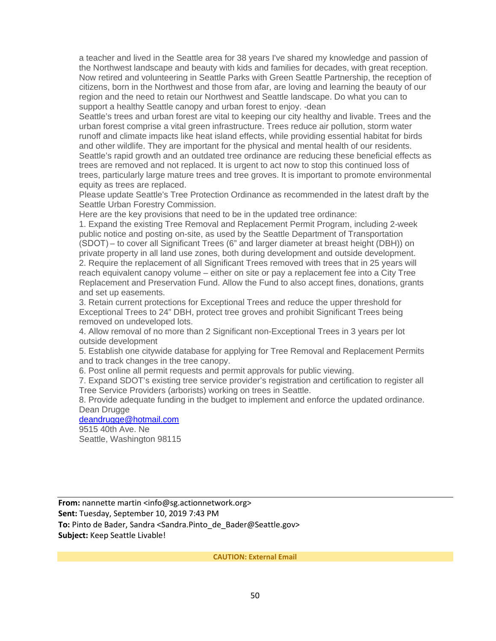a teacher and lived in the Seattle area for 38 years I've shared my knowledge and passion of the Northwest landscape and beauty with kids and families for decades, with great reception. Now retired and volunteering in Seattle Parks with Green Seattle Partnership, the reception of citizens, born in the Northwest and those from afar, are loving and learning the beauty of our region and the need to retain our Northwest and Seattle landscape. Do what you can to support a healthy Seattle canopy and urban forest to enjoy. -dean

Seattle's trees and urban forest are vital to keeping our city healthy and livable. Trees and the urban forest comprise a vital green infrastructure. Trees reduce air pollution, storm water runoff and climate impacts like heat island effects, while providing essential habitat for birds and other wildlife. They are important for the physical and mental health of our residents. Seattle's rapid growth and an outdated tree ordinance are reducing these beneficial effects as trees are removed and not replaced. It is urgent to act now to stop this continued loss of trees, particularly large mature trees and tree groves. It is important to promote environmental equity as trees are replaced.

Please update Seattle's Tree Protection Ordinance as recommended in the latest draft by the Seattle Urban Forestry Commission.

Here are the key provisions that need to be in the updated tree ordinance:

1. Expand the existing Tree Removal and Replacement Permit Program, including 2-week public notice and posting on-site, as used by the Seattle Department of Transportation (SDOT) – to cover all Significant Trees (6" and larger diameter at breast height (DBH)) on private property in all land use zones, both during development and outside development. 2. Require the replacement of all Significant Trees removed with trees that in 25 years will reach equivalent canopy volume – either on site or pay a replacement fee into a City Tree Replacement and Preservation Fund. Allow the Fund to also accept fines, donations, grants and set up easements.

3. Retain current protections for Exceptional Trees and reduce the upper threshold for Exceptional Trees to 24" DBH, protect tree groves and prohibit Significant Trees being removed on undeveloped lots.

4. Allow removal of no more than 2 Significant non-Exceptional Trees in 3 years per lot outside development

5. Establish one citywide database for applying for Tree Removal and Replacement Permits and to track changes in the tree canopy.

6. Post online all permit requests and permit approvals for public viewing.

7. Expand SDOT's existing tree service provider's registration and certification to register all Tree Service Providers (arborists) working on trees in Seattle.

8. Provide adequate funding in the budget to implement and enforce the updated ordinance. Dean Drugge

### [deandrugge@hotmail.com](mailto:deandrugge@hotmail.com)

9515 40th Ave. Ne Seattle, Washington 98115

From: nannette martin <info@sg.actionnetwork.org> **Sent:** Tuesday, September 10, 2019 7:43 PM **To:** Pinto de Bader, Sandra <Sandra.Pinto\_de\_Bader@Seattle.gov> **Subject:** Keep Seattle Livable!

**CAUTION: External Email**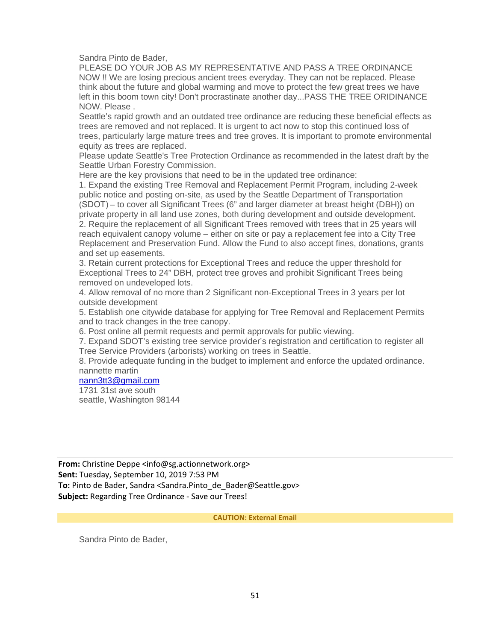Sandra Pinto de Bader,

PLEASE DO YOUR JOB AS MY REPRESENTATIVE AND PASS A TREE ORDINANCE NOW !! We are losing precious ancient trees everyday. They can not be replaced. Please think about the future and global warming and move to protect the few great trees we have left in this boom town city! Don't procrastinate another day...PASS THE TREE ORIDINANCE NOW. Please .

Seattle's rapid growth and an outdated tree ordinance are reducing these beneficial effects as trees are removed and not replaced. It is urgent to act now to stop this continued loss of trees, particularly large mature trees and tree groves. It is important to promote environmental equity as trees are replaced.

Please update Seattle's Tree Protection Ordinance as recommended in the latest draft by the Seattle Urban Forestry Commission.

Here are the key provisions that need to be in the updated tree ordinance:

1. Expand the existing Tree Removal and Replacement Permit Program, including 2-week public notice and posting on-site, as used by the Seattle Department of Transportation (SDOT) – to cover all Significant Trees (6" and larger diameter at breast height (DBH)) on private property in all land use zones, both during development and outside development. 2. Require the replacement of all Significant Trees removed with trees that in 25 years will reach equivalent canopy volume – either on site or pay a replacement fee into a City Tree Replacement and Preservation Fund. Allow the Fund to also accept fines, donations, grants and set up easements.

3. Retain current protections for Exceptional Trees and reduce the upper threshold for Exceptional Trees to 24" DBH, protect tree groves and prohibit Significant Trees being removed on undeveloped lots.

4. Allow removal of no more than 2 Significant non-Exceptional Trees in 3 years per lot outside development

5. Establish one citywide database for applying for Tree Removal and Replacement Permits and to track changes in the tree canopy.

6. Post online all permit requests and permit approvals for public viewing.

7. Expand SDOT's existing tree service provider's registration and certification to register all Tree Service Providers (arborists) working on trees in Seattle.

8. Provide adequate funding in the budget to implement and enforce the updated ordinance. nannette martin

# [nann3tt3@gmail.com](mailto:nann3tt3@gmail.com)

1731 31st ave south seattle, Washington 98144

**From:** Christine Deppe <info@sg.actionnetwork.org> **Sent:** Tuesday, September 10, 2019 7:53 PM To: Pinto de Bader, Sandra <Sandra.Pinto de Bader@Seattle.gov> **Subject:** Regarding Tree Ordinance - Save our Trees!

**CAUTION: External Email**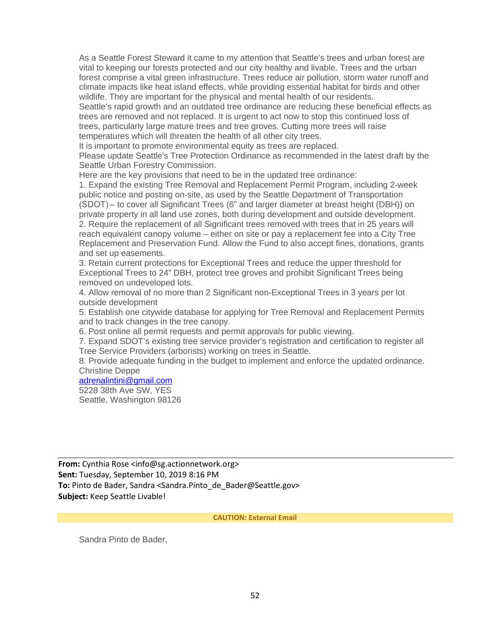As a Seattle Forest Steward it came to my attention that Seattle's trees and urban forest are vital to keeping our forests protected and our city healthy and livable. Trees and the urban forest comprise a vital green infrastructure. Trees reduce air pollution, storm water runoff and climate impacts like heat island effects, while providing essential habitat for birds and other wildlife. They are important for the physical and mental health of our residents. Seattle's rapid growth and an outdated tree ordinance are reducing these beneficial effects as trees are removed and not replaced. It is urgent to act now to stop this continued loss of

trees, particularly large mature trees and tree groves. Cutting more trees will raise temperatures which will threaten the health of all other city trees.

It is important to promote environmental equity as trees are replaced.

Please update Seattle's Tree Protection Ordinance as recommended in the latest draft by the Seattle Urban Forestry Commission.

Here are the key provisions that need to be in the updated tree ordinance:

1. Expand the existing Tree Removal and Replacement Permit Program, including 2-week public notice and posting on-site, as used by the Seattle Department of Transportation (SDOT) – to cover all Significant Trees (6" and larger diameter at breast height (DBH)) on private property in all land use zones, both during development and outside development. 2. Require the replacement of all Significant trees removed with trees that in 25 years will reach equivalent canopy volume – either on site or pay a replacement fee into a City Tree Replacement and Preservation Fund. Allow the Fund to also accept fines, donations, grants and set up easements.

3. Retain current protections for Exceptional Trees and reduce the upper threshold for Exceptional Trees to 24" DBH, protect tree groves and prohibit Significant Trees being removed on undeveloped lots.

4. Allow removal of no more than 2 Significant non-Exceptional Trees in 3 years per lot outside development

5. Establish one citywide database for applying for Tree Removal and Replacement Permits and to track changes in the tree canopy.

6. Post online all permit requests and permit approvals for public viewing.

7. Expand SDOT's existing tree service provider's registration and certification to register all Tree Service Providers (arborists) working on trees in Seattle.

8. Provide adequate funding in the budget to implement and enforce the updated ordinance. Christine Deppe

# [adrenalintini@gmail.com](mailto:adrenalintini@gmail.com)

5228 38th Ave SW, YES Seattle, Washington 98126

**From:** Cynthia Rose <info@sg.actionnetwork.org> **Sent:** Tuesday, September 10, 2019 8:16 PM To: Pinto de Bader, Sandra <Sandra.Pinto de Bader@Seattle.gov> **Subject:** Keep Seattle Livable!

#### **CAUTION: External Email**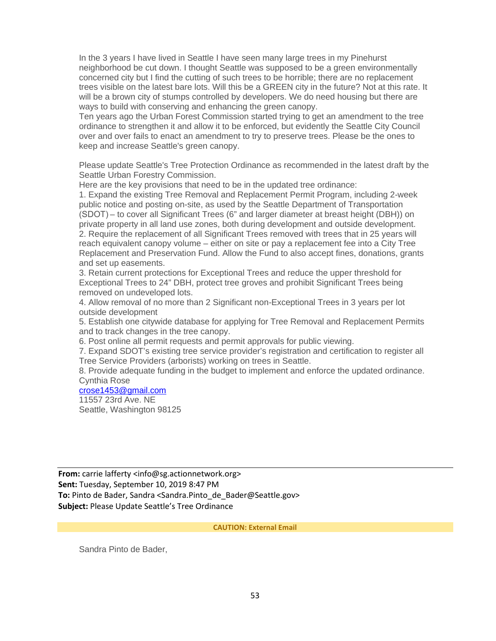In the 3 years I have lived in Seattle I have seen many large trees in my Pinehurst neighborhood be cut down. I thought Seattle was supposed to be a green environmentally concerned city but I find the cutting of such trees to be horrible; there are no replacement trees visible on the latest bare lots. Will this be a GREEN city in the future? Not at this rate. It will be a brown city of stumps controlled by developers. We do need housing but there are ways to build with conserving and enhancing the green canopy.

Ten years ago the Urban Forest Commission started trying to get an amendment to the tree ordinance to strengthen it and allow it to be enforced, but evidently the Seattle City Council over and over fails to enact an amendment to try to preserve trees. Please be the ones to keep and increase Seattle's green canopy.

Please update Seattle's Tree Protection Ordinance as recommended in the latest draft by the Seattle Urban Forestry Commission.

Here are the key provisions that need to be in the updated tree ordinance:

1. Expand the existing Tree Removal and Replacement Permit Program, including 2-week public notice and posting on-site, as used by the Seattle Department of Transportation (SDOT) – to cover all Significant Trees (6" and larger diameter at breast height (DBH)) on private property in all land use zones, both during development and outside development. 2. Require the replacement of all Significant Trees removed with trees that in 25 years will reach equivalent canopy volume – either on site or pay a replacement fee into a City Tree Replacement and Preservation Fund. Allow the Fund to also accept fines, donations, grants and set up easements.

3. Retain current protections for Exceptional Trees and reduce the upper threshold for Exceptional Trees to 24" DBH, protect tree groves and prohibit Significant Trees being removed on undeveloped lots.

4. Allow removal of no more than 2 Significant non-Exceptional Trees in 3 years per lot outside development

5. Establish one citywide database for applying for Tree Removal and Replacement Permits and to track changes in the tree canopy.

6. Post online all permit requests and permit approvals for public viewing.

7. Expand SDOT's existing tree service provider's registration and certification to register all Tree Service Providers (arborists) working on trees in Seattle.

8. Provide adequate funding in the budget to implement and enforce the updated ordinance. Cynthia Rose

### [crose1453@gmail.com](mailto:crose1453@gmail.com)

11557 23rd Ave. NE Seattle, Washington 98125

**From:** carrie lafferty <info@sg.actionnetwork.org> **Sent:** Tuesday, September 10, 2019 8:47 PM To: Pinto de Bader, Sandra <Sandra.Pinto de Bader@Seattle.gov> **Subject:** Please Update Seattle's Tree Ordinance

**CAUTION: External Email**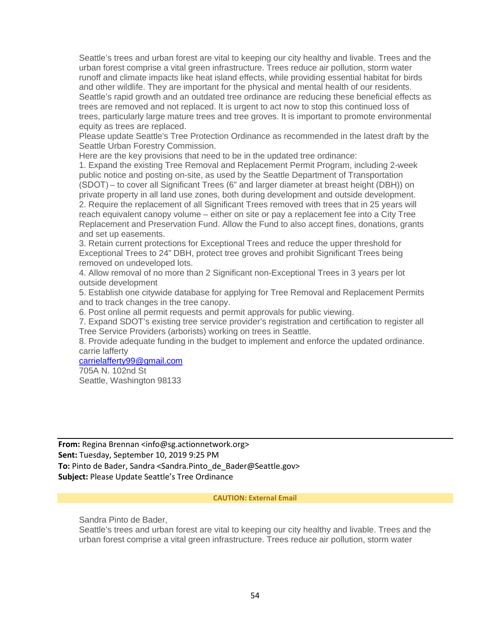Seattle's trees and urban forest are vital to keeping our city healthy and livable. Trees and the urban forest comprise a vital green infrastructure. Trees reduce air pollution, storm water runoff and climate impacts like heat island effects, while providing essential habitat for birds and other wildlife. They are important for the physical and mental health of our residents. Seattle's rapid growth and an outdated tree ordinance are reducing these beneficial effects as trees are removed and not replaced. It is urgent to act now to stop this continued loss of trees, particularly large mature trees and tree groves. It is important to promote environmental equity as trees are replaced.

Please update Seattle's Tree Protection Ordinance as recommended in the latest draft by the Seattle Urban Forestry Commission.

Here are the key provisions that need to be in the updated tree ordinance:

1. Expand the existing Tree Removal and Replacement Permit Program, including 2-week public notice and posting on-site, as used by the Seattle Department of Transportation (SDOT) – to cover all Significant Trees (6" and larger diameter at breast height (DBH)) on private property in all land use zones, both during development and outside development. 2. Require the replacement of all Significant Trees removed with trees that in 25 years will reach equivalent canopy volume – either on site or pay a replacement fee into a City Tree Replacement and Preservation Fund. Allow the Fund to also accept fines, donations, grants and set up easements.

3. Retain current protections for Exceptional Trees and reduce the upper threshold for Exceptional Trees to 24" DBH, protect tree groves and prohibit Significant Trees being removed on undeveloped lots.

4. Allow removal of no more than 2 Significant non-Exceptional Trees in 3 years per lot outside development

5. Establish one citywide database for applying for Tree Removal and Replacement Permits and to track changes in the tree canopy.

6. Post online all permit requests and permit approvals for public viewing.

7. Expand SDOT's existing tree service provider's registration and certification to register all Tree Service Providers (arborists) working on trees in Seattle.

8. Provide adequate funding in the budget to implement and enforce the updated ordinance. carrie lafferty

[carrielafferty99@gmail.com](mailto:carrielafferty99@gmail.com)

705A N. 102nd St Seattle, Washington 98133

**From:** Regina Brennan <info@sg.actionnetwork.org> **Sent:** Tuesday, September 10, 2019 9:25 PM To: Pinto de Bader, Sandra <Sandra.Pinto de Bader@Seattle.gov> **Subject:** Please Update Seattle's Tree Ordinance

#### **CAUTION: External Email**

Sandra Pinto de Bader,

Seattle's trees and urban forest are vital to keeping our city healthy and livable. Trees and the urban forest comprise a vital green infrastructure. Trees reduce air pollution, storm water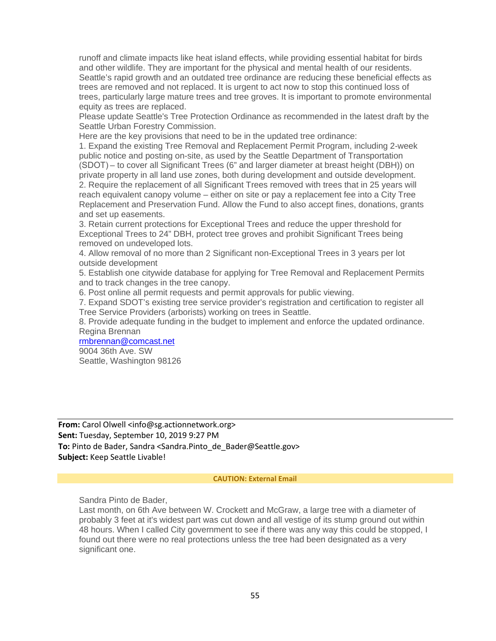runoff and climate impacts like heat island effects, while providing essential habitat for birds and other wildlife. They are important for the physical and mental health of our residents. Seattle's rapid growth and an outdated tree ordinance are reducing these beneficial effects as trees are removed and not replaced. It is urgent to act now to stop this continued loss of trees, particularly large mature trees and tree groves. It is important to promote environmental equity as trees are replaced.

Please update Seattle's Tree Protection Ordinance as recommended in the latest draft by the Seattle Urban Forestry Commission.

Here are the key provisions that need to be in the updated tree ordinance:

1. Expand the existing Tree Removal and Replacement Permit Program, including 2-week public notice and posting on-site, as used by the Seattle Department of Transportation (SDOT) – to cover all Significant Trees (6" and larger diameter at breast height (DBH)) on private property in all land use zones, both during development and outside development. 2. Require the replacement of all Significant Trees removed with trees that in 25 years will reach equivalent canopy volume – either on site or pay a replacement fee into a City Tree Replacement and Preservation Fund. Allow the Fund to also accept fines, donations, grants and set up easements.

3. Retain current protections for Exceptional Trees and reduce the upper threshold for Exceptional Trees to 24" DBH, protect tree groves and prohibit Significant Trees being removed on undeveloped lots.

4. Allow removal of no more than 2 Significant non-Exceptional Trees in 3 years per lot outside development

5. Establish one citywide database for applying for Tree Removal and Replacement Permits and to track changes in the tree canopy.

6. Post online all permit requests and permit approvals for public viewing.

7. Expand SDOT's existing tree service provider's registration and certification to register all Tree Service Providers (arborists) working on trees in Seattle.

8. Provide adequate funding in the budget to implement and enforce the updated ordinance. Regina Brennan

# [rmbrennan@comcast.net](mailto:rmbrennan@comcast.net)

9004 36th Ave. SW Seattle, Washington 98126

**From:** Carol Olwell <info@sg.actionnetwork.org> **Sent:** Tuesday, September 10, 2019 9:27 PM To: Pinto de Bader, Sandra <Sandra.Pinto de Bader@Seattle.gov> **Subject:** Keep Seattle Livable!

#### **CAUTION: External Email**

Sandra Pinto de Bader,

Last month, on 6th Ave between W. Crockett and McGraw, a large tree with a diameter of probably 3 feet at it's widest part was cut down and all vestige of its stump ground out within 48 hours. When I called City government to see if there was any way this could be stopped, I found out there were no real protections unless the tree had been designated as a very significant one.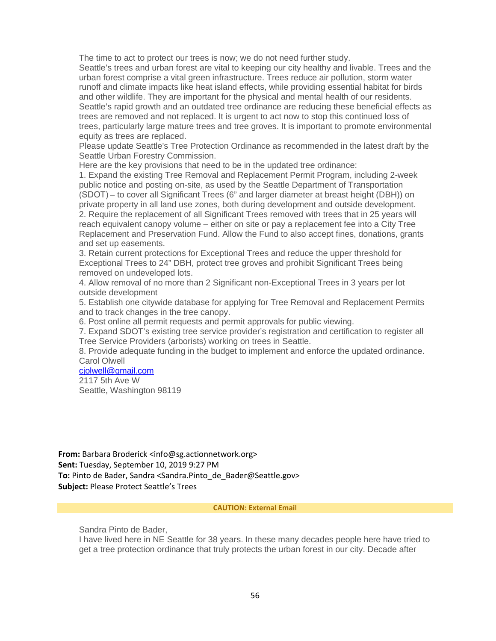The time to act to protect our trees is now; we do not need further study.

Seattle's trees and urban forest are vital to keeping our city healthy and livable. Trees and the urban forest comprise a vital green infrastructure. Trees reduce air pollution, storm water runoff and climate impacts like heat island effects, while providing essential habitat for birds and other wildlife. They are important for the physical and mental health of our residents. Seattle's rapid growth and an outdated tree ordinance are reducing these beneficial effects as trees are removed and not replaced. It is urgent to act now to stop this continued loss of trees, particularly large mature trees and tree groves. It is important to promote environmental equity as trees are replaced.

Please update Seattle's Tree Protection Ordinance as recommended in the latest draft by the Seattle Urban Forestry Commission.

Here are the key provisions that need to be in the updated tree ordinance:

1. Expand the existing Tree Removal and Replacement Permit Program, including 2-week public notice and posting on-site, as used by the Seattle Department of Transportation (SDOT) – to cover all Significant Trees (6" and larger diameter at breast height (DBH)) on private property in all land use zones, both during development and outside development. 2. Require the replacement of all Significant Trees removed with trees that in 25 years will reach equivalent canopy volume – either on site or pay a replacement fee into a City Tree Replacement and Preservation Fund. Allow the Fund to also accept fines, donations, grants and set up easements.

3. Retain current protections for Exceptional Trees and reduce the upper threshold for Exceptional Trees to 24" DBH, protect tree groves and prohibit Significant Trees being removed on undeveloped lots.

4. Allow removal of no more than 2 Significant non-Exceptional Trees in 3 years per lot outside development

5. Establish one citywide database for applying for Tree Removal and Replacement Permits and to track changes in the tree canopy.

6. Post online all permit requests and permit approvals for public viewing.

7. Expand SDOT's existing tree service provider's registration and certification to register all Tree Service Providers (arborists) working on trees in Seattle.

8. Provide adequate funding in the budget to implement and enforce the updated ordinance. Carol Olwell

[cjolwell@gmail.com](mailto:cjolwell@gmail.com)

2117 5th Ave W Seattle, Washington 98119

**From:** Barbara Broderick <info@sg.actionnetwork.org> **Sent:** Tuesday, September 10, 2019 9:27 PM **To:** Pinto de Bader, Sandra <Sandra.Pinto\_de\_Bader@Seattle.gov> **Subject:** Please Protect Seattle's Trees

#### **CAUTION: External Email**

Sandra Pinto de Bader,

I have lived here in NE Seattle for 38 years. In these many decades people here have tried to get a tree protection ordinance that truly protects the urban forest in our city. Decade after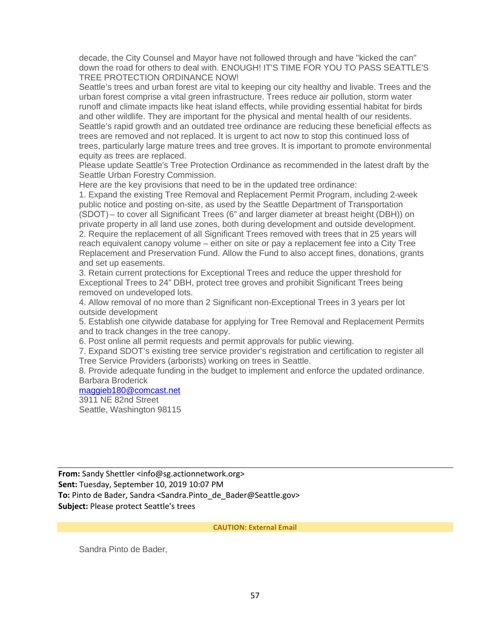decade, the City Counsel and Mayor have not followed through and have "kicked the can" down the road for others to deal with. ENOUGH! IT'S TIME FOR YOU TO PASS SEATTLE'S TREE PROTECTION ORDINANCE NOW!

Seattle's trees and urban forest are vital to keeping our city healthy and livable. Trees and the urban forest comprise a vital green infrastructure. Trees reduce air pollution, storm water runoff and climate impacts like heat island effects, while providing essential habitat for birds and other wildlife. They are important for the physical and mental health of our residents. Seattle's rapid growth and an outdated tree ordinance are reducing these beneficial effects as trees are removed and not replaced. It is urgent to act now to stop this continued loss of trees, particularly large mature trees and tree groves. It is important to promote environmental equity as trees are replaced.

Please update Seattle's Tree Protection Ordinance as recommended in the latest draft by the Seattle Urban Forestry Commission.

Here are the key provisions that need to be in the updated tree ordinance:

1. Expand the existing Tree Removal and Replacement Permit Program, including 2-week public notice and posting on-site, as used by the Seattle Department of Transportation (SDOT) – to cover all Significant Trees (6" and larger diameter at breast height (DBH)) on private property in all land use zones, both during development and outside development. 2. Require the replacement of all Significant Trees removed with trees that in 25 years will reach equivalent canopy volume – either on site or pay a replacement fee into a City Tree Replacement and Preservation Fund. Allow the Fund to also accept fines, donations, grants and set up easements.

3. Retain current protections for Exceptional Trees and reduce the upper threshold for Exceptional Trees to 24" DBH, protect tree groves and prohibit Significant Trees being removed on undeveloped lots.

4. Allow removal of no more than 2 Significant non-Exceptional Trees in 3 years per lot outside development

5. Establish one citywide database for applying for Tree Removal and Replacement Permits and to track changes in the tree canopy.

6. Post online all permit requests and permit approvals for public viewing.

7. Expand SDOT's existing tree service provider's registration and certification to register all Tree Service Providers (arborists) working on trees in Seattle.

8. Provide adequate funding in the budget to implement and enforce the updated ordinance. Barbara Broderick

### [maggieb180@comcast.net](mailto:maggieb180@comcast.net)

3911 NE 82nd Street

Seattle, Washington 98115

**From:** Sandy Shettler <info@sg.actionnetwork.org> **Sent:** Tuesday, September 10, 2019 10:07 PM To: Pinto de Bader, Sandra <Sandra.Pinto de Bader@Seattle.gov> **Subject:** Please protect Seattle's trees

**CAUTION: External Email**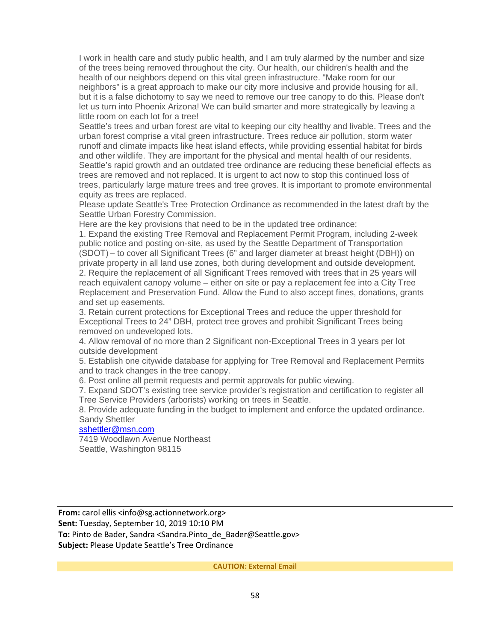I work in health care and study public health, and I am truly alarmed by the number and size of the trees being removed throughout the city. Our health, our children's health and the health of our neighbors depend on this vital green infrastructure. "Make room for our neighbors" is a great approach to make our city more inclusive and provide housing for all, but it is a false dichotomy to say we need to remove our tree canopy to do this. Please don't let us turn into Phoenix Arizona! We can build smarter and more strategically by leaving a little room on each lot for a tree!

Seattle's trees and urban forest are vital to keeping our city healthy and livable. Trees and the urban forest comprise a vital green infrastructure. Trees reduce air pollution, storm water runoff and climate impacts like heat island effects, while providing essential habitat for birds and other wildlife. They are important for the physical and mental health of our residents. Seattle's rapid growth and an outdated tree ordinance are reducing these beneficial effects as trees are removed and not replaced. It is urgent to act now to stop this continued loss of trees, particularly large mature trees and tree groves. It is important to promote environmental equity as trees are replaced.

Please update Seattle's Tree Protection Ordinance as recommended in the latest draft by the Seattle Urban Forestry Commission.

Here are the key provisions that need to be in the updated tree ordinance:

1. Expand the existing Tree Removal and Replacement Permit Program, including 2-week public notice and posting on-site, as used by the Seattle Department of Transportation (SDOT) – to cover all Significant Trees (6" and larger diameter at breast height (DBH)) on private property in all land use zones, both during development and outside development. 2. Require the replacement of all Significant Trees removed with trees that in 25 years will reach equivalent canopy volume – either on site or pay a replacement fee into a City Tree Replacement and Preservation Fund. Allow the Fund to also accept fines, donations, grants and set up easements.

3. Retain current protections for Exceptional Trees and reduce the upper threshold for Exceptional Trees to 24" DBH, protect tree groves and prohibit Significant Trees being removed on undeveloped lots.

4. Allow removal of no more than 2 Significant non-Exceptional Trees in 3 years per lot outside development

5. Establish one citywide database for applying for Tree Removal and Replacement Permits and to track changes in the tree canopy.

6. Post online all permit requests and permit approvals for public viewing.

7. Expand SDOT's existing tree service provider's registration and certification to register all Tree Service Providers (arborists) working on trees in Seattle.

8. Provide adequate funding in the budget to implement and enforce the updated ordinance. Sandy Shettler

### [sshettler@msn.com](mailto:sshettler@msn.com)

7419 Woodlawn Avenue Northeast Seattle, Washington 98115

**From:** carol ellis <info@sg.actionnetwork.org> **Sent:** Tuesday, September 10, 2019 10:10 PM **To:** Pinto de Bader, Sandra <Sandra.Pinto\_de\_Bader@Seattle.gov> **Subject:** Please Update Seattle's Tree Ordinance

**CAUTION: External Email**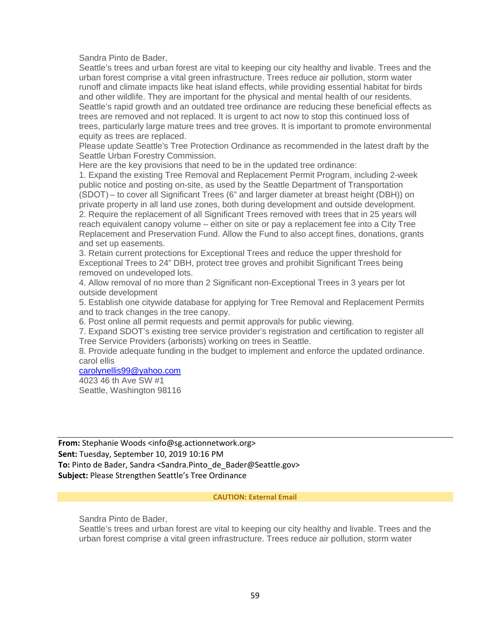Sandra Pinto de Bader,

Seattle's trees and urban forest are vital to keeping our city healthy and livable. Trees and the urban forest comprise a vital green infrastructure. Trees reduce air pollution, storm water runoff and climate impacts like heat island effects, while providing essential habitat for birds and other wildlife. They are important for the physical and mental health of our residents. Seattle's rapid growth and an outdated tree ordinance are reducing these beneficial effects as trees are removed and not replaced. It is urgent to act now to stop this continued loss of trees, particularly large mature trees and tree groves. It is important to promote environmental equity as trees are replaced.

Please update Seattle's Tree Protection Ordinance as recommended in the latest draft by the Seattle Urban Forestry Commission.

Here are the key provisions that need to be in the updated tree ordinance:

1. Expand the existing Tree Removal and Replacement Permit Program, including 2-week public notice and posting on-site, as used by the Seattle Department of Transportation (SDOT) – to cover all Significant Trees (6" and larger diameter at breast height (DBH)) on private property in all land use zones, both during development and outside development. 2. Require the replacement of all Significant Trees removed with trees that in 25 years will reach equivalent canopy volume – either on site or pay a replacement fee into a City Tree Replacement and Preservation Fund. Allow the Fund to also accept fines, donations, grants and set up easements.

3. Retain current protections for Exceptional Trees and reduce the upper threshold for Exceptional Trees to 24" DBH, protect tree groves and prohibit Significant Trees being removed on undeveloped lots.

4. Allow removal of no more than 2 Significant non-Exceptional Trees in 3 years per lot outside development

5. Establish one citywide database for applying for Tree Removal and Replacement Permits and to track changes in the tree canopy.

6. Post online all permit requests and permit approvals for public viewing.

7. Expand SDOT's existing tree service provider's registration and certification to register all Tree Service Providers (arborists) working on trees in Seattle.

8. Provide adequate funding in the budget to implement and enforce the updated ordinance. carol ellis

[carolynellis99@yahoo.com](mailto:carolynellis99@yahoo.com)

4023 46 th Ave SW #1 Seattle, Washington 98116

**From:** Stephanie Woods <info@sg.actionnetwork.org> **Sent:** Tuesday, September 10, 2019 10:16 PM To: Pinto de Bader, Sandra <Sandra.Pinto de Bader@Seattle.gov> **Subject:** Please Strengthen Seattle's Tree Ordinance

#### **CAUTION: External Email**

Sandra Pinto de Bader,

Seattle's trees and urban forest are vital to keeping our city healthy and livable. Trees and the urban forest comprise a vital green infrastructure. Trees reduce air pollution, storm water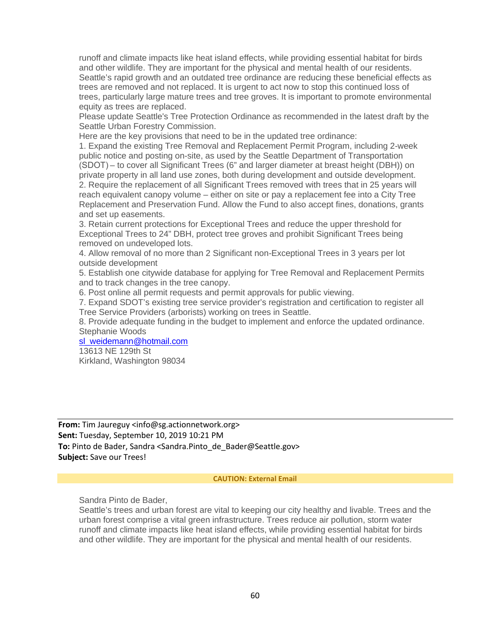runoff and climate impacts like heat island effects, while providing essential habitat for birds and other wildlife. They are important for the physical and mental health of our residents. Seattle's rapid growth and an outdated tree ordinance are reducing these beneficial effects as trees are removed and not replaced. It is urgent to act now to stop this continued loss of trees, particularly large mature trees and tree groves. It is important to promote environmental equity as trees are replaced.

Please update Seattle's Tree Protection Ordinance as recommended in the latest draft by the Seattle Urban Forestry Commission.

Here are the key provisions that need to be in the updated tree ordinance:

1. Expand the existing Tree Removal and Replacement Permit Program, including 2-week public notice and posting on-site, as used by the Seattle Department of Transportation (SDOT) – to cover all Significant Trees (6" and larger diameter at breast height (DBH)) on private property in all land use zones, both during development and outside development. 2. Require the replacement of all Significant Trees removed with trees that in 25 years will reach equivalent canopy volume – either on site or pay a replacement fee into a City Tree Replacement and Preservation Fund. Allow the Fund to also accept fines, donations, grants and set up easements.

3. Retain current protections for Exceptional Trees and reduce the upper threshold for Exceptional Trees to 24" DBH, protect tree groves and prohibit Significant Trees being removed on undeveloped lots.

4. Allow removal of no more than 2 Significant non-Exceptional Trees in 3 years per lot outside development

5. Establish one citywide database for applying for Tree Removal and Replacement Permits and to track changes in the tree canopy.

6. Post online all permit requests and permit approvals for public viewing.

7. Expand SDOT's existing tree service provider's registration and certification to register all Tree Service Providers (arborists) working on trees in Seattle.

8. Provide adequate funding in the budget to implement and enforce the updated ordinance. Stephanie Woods

[sl\\_weidemann@hotmail.com](mailto:sl_weidemann@hotmail.com)

13613 NE 129th St Kirkland, Washington 98034

**From:** Tim Jaureguy <info@sg.actionnetwork.org> **Sent:** Tuesday, September 10, 2019 10:21 PM To: Pinto de Bader, Sandra <Sandra.Pinto de Bader@Seattle.gov> **Subject:** Save our Trees!

#### **CAUTION: External Email**

Sandra Pinto de Bader,

Seattle's trees and urban forest are vital to keeping our city healthy and livable. Trees and the urban forest comprise a vital green infrastructure. Trees reduce air pollution, storm water runoff and climate impacts like heat island effects, while providing essential habitat for birds and other wildlife. They are important for the physical and mental health of our residents.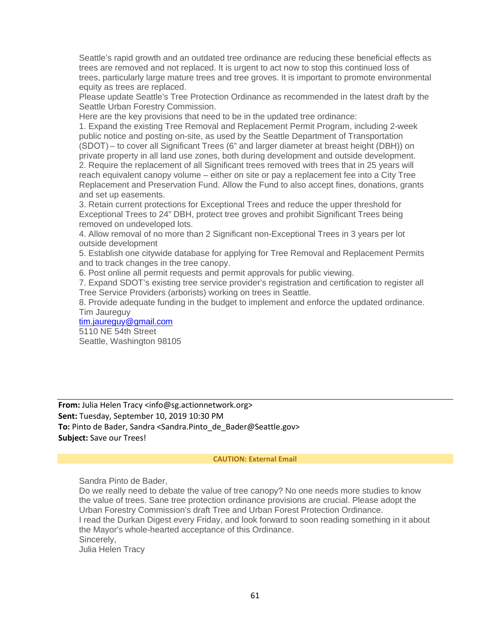Seattle's rapid growth and an outdated tree ordinance are reducing these beneficial effects as trees are removed and not replaced. It is urgent to act now to stop this continued loss of trees, particularly large mature trees and tree groves. It is important to promote environmental equity as trees are replaced.

Please update Seattle's Tree Protection Ordinance as recommended in the latest draft by the Seattle Urban Forestry Commission.

Here are the key provisions that need to be in the updated tree ordinance:

1. Expand the existing Tree Removal and Replacement Permit Program, including 2-week public notice and posting on-site, as used by the Seattle Department of Transportation (SDOT) – to cover all Significant Trees (6" and larger diameter at breast height (DBH)) on private property in all land use zones, both during development and outside development. 2. Require the replacement of all Significant trees removed with trees that in 25 years will reach equivalent canopy volume – either on site or pay a replacement fee into a City Tree Replacement and Preservation Fund. Allow the Fund to also accept fines, donations, grants and set up easements.

3. Retain current protections for Exceptional Trees and reduce the upper threshold for Exceptional Trees to 24" DBH, protect tree groves and prohibit Significant Trees being removed on undeveloped lots.

4. Allow removal of no more than 2 Significant non-Exceptional Trees in 3 years per lot outside development

5. Establish one citywide database for applying for Tree Removal and Replacement Permits and to track changes in the tree canopy.

6. Post online all permit requests and permit approvals for public viewing.

7. Expand SDOT's existing tree service provider's registration and certification to register all Tree Service Providers (arborists) working on trees in Seattle.

8. Provide adequate funding in the budget to implement and enforce the updated ordinance. Tim Jaureguy

[tim.jaureguy@gmail.com](mailto:tim.jaureguy@gmail.com) 5110 NE 54th Street Seattle, Washington 98105

**From:** Julia Helen Tracy <info@sg.actionnetwork.org> **Sent:** Tuesday, September 10, 2019 10:30 PM **To:** Pinto de Bader, Sandra <Sandra.Pinto\_de\_Bader@Seattle.gov> **Subject:** Save our Trees!

### **CAUTION: External Email**

Sandra Pinto de Bader,

Do we really need to debate the value of tree canopy? No one needs more studies to know the value of trees. Sane tree protection ordinance provisions are crucial. Please adopt the Urban Forestry Commission's draft Tree and Urban Forest Protection Ordinance. I read the Durkan Digest every Friday, and look forward to soon reading something in it about the Mayor's whole-hearted acceptance of this Ordinance. Sincerely, Julia Helen Tracy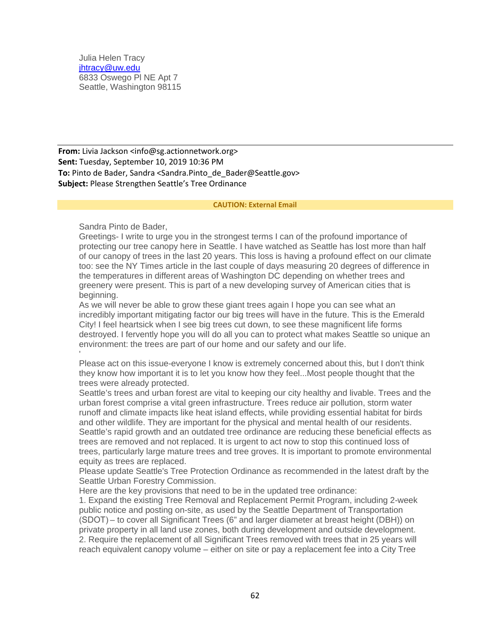Julia Helen Tracy [jhtracy@uw.edu](mailto:jhtracy@uw.edu) 6833 Oswego Pl NE Apt 7 Seattle, Washington 98115

**From:** Livia Jackson <info@sg.actionnetwork.org> **Sent:** Tuesday, September 10, 2019 10:36 PM **To:** Pinto de Bader, Sandra <Sandra.Pinto de Bader@Seattle.gov> **Subject:** Please Strengthen Seattle's Tree Ordinance

#### **CAUTION: External Email**

Sandra Pinto de Bader,

Greetings- I write to urge you in the strongest terms I can of the profound importance of protecting our tree canopy here in Seattle. I have watched as Seattle has lost more than half of our canopy of trees in the last 20 years. This loss is having a profound effect on our climate too: see the NY Times article in the last couple of days measuring 20 degrees of difference in the temperatures in different areas of Washington DC depending on whether trees and greenery were present. This is part of a new developing survey of American cities that is beginning.

As we will never be able to grow these giant trees again I hope you can see what an incredibly important mitigating factor our big trees will have in the future. This is the Emerald City! I feel heartsick when I see big trees cut down, to see these magnificent life forms destroyed. I fervently hope you will do all you can to protect what makes Seattle so unique an environment: the trees are part of our home and our safety and our life.

' Please act on this issue-everyone I know is extremely concerned about this, but I don't think they know how important it is to let you know how they feel...Most people thought that the trees were already protected.

Seattle's trees and urban forest are vital to keeping our city healthy and livable. Trees and the urban forest comprise a vital green infrastructure. Trees reduce air pollution, storm water runoff and climate impacts like heat island effects, while providing essential habitat for birds and other wildlife. They are important for the physical and mental health of our residents. Seattle's rapid growth and an outdated tree ordinance are reducing these beneficial effects as trees are removed and not replaced. It is urgent to act now to stop this continued loss of trees, particularly large mature trees and tree groves. It is important to promote environmental equity as trees are replaced.

Please update Seattle's Tree Protection Ordinance as recommended in the latest draft by the Seattle Urban Forestry Commission.

Here are the key provisions that need to be in the updated tree ordinance:

1. Expand the existing Tree Removal and Replacement Permit Program, including 2-week public notice and posting on-site, as used by the Seattle Department of Transportation (SDOT) – to cover all Significant Trees (6" and larger diameter at breast height (DBH)) on private property in all land use zones, both during development and outside development. 2. Require the replacement of all Significant Trees removed with trees that in 25 years will reach equivalent canopy volume – either on site or pay a replacement fee into a City Tree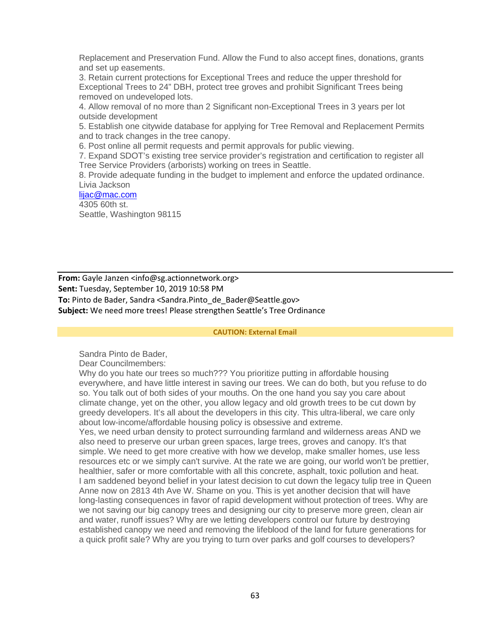Replacement and Preservation Fund. Allow the Fund to also accept fines, donations, grants and set up easements.

3. Retain current protections for Exceptional Trees and reduce the upper threshold for Exceptional Trees to 24" DBH, protect tree groves and prohibit Significant Trees being removed on undeveloped lots.

4. Allow removal of no more than 2 Significant non-Exceptional Trees in 3 years per lot outside development

5. Establish one citywide database for applying for Tree Removal and Replacement Permits and to track changes in the tree canopy.

6. Post online all permit requests and permit approvals for public viewing.

7. Expand SDOT's existing tree service provider's registration and certification to register all Tree Service Providers (arborists) working on trees in Seattle.

8. Provide adequate funding in the budget to implement and enforce the updated ordinance. Livia Jackson

[lijac@mac.com](mailto:lijac@mac.com) 4305 60th st. Seattle, Washington 98115

**From:** Gayle Janzen <info@sg.actionnetwork.org> **Sent:** Tuesday, September 10, 2019 10:58 PM To: Pinto de Bader, Sandra <Sandra.Pinto de Bader@Seattle.gov> **Subject:** We need more trees! Please strengthen Seattle's Tree Ordinance

#### **CAUTION: External Email**

Sandra Pinto de Bader,

Dear Councilmembers:

Why do you hate our trees so much??? You prioritize putting in affordable housing everywhere, and have little interest in saving our trees. We can do both, but you refuse to do so. You talk out of both sides of your mouths. On the one hand you say you care about climate change, yet on the other, you allow legacy and old growth trees to be cut down by greedy developers. It's all about the developers in this city. This ultra-liberal, we care only about low-income/affordable housing policy is obsessive and extreme.

Yes, we need urban density to protect surrounding farmland and wilderness areas AND we also need to preserve our urban green spaces, large trees, groves and canopy. It's that simple. We need to get more creative with how we develop, make smaller homes, use less resources etc or we simply can't survive. At the rate we are going, our world won't be prettier, healthier, safer or more comfortable with all this concrete, asphalt, toxic pollution and heat. I am saddened beyond belief in your latest decision to cut down the legacy tulip tree in Queen Anne now on 2813 4th Ave W. Shame on you. This is yet another decision that will have long-lasting consequences in favor of rapid development without protection of trees. Why are we not saving our big canopy trees and designing our city to preserve more green, clean air and water, runoff issues? Why are we letting developers control our future by destroying established canopy we need and removing the lifeblood of the land for future generations for a quick profit sale? Why are you trying to turn over parks and golf courses to developers?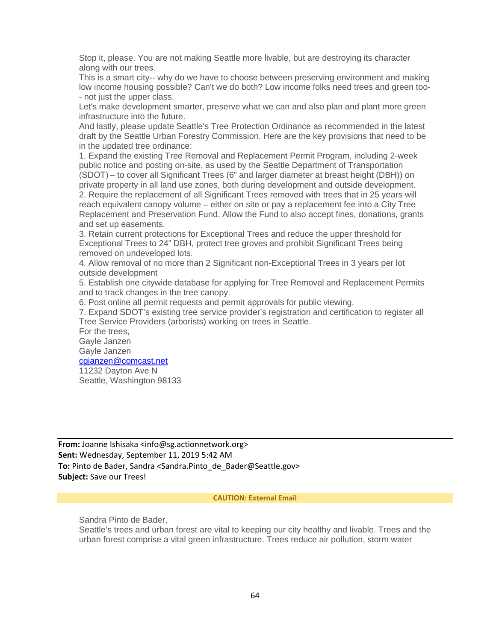Stop it, please. You are not making Seattle more livable, but are destroying its character along with our trees.

This is a smart city-- why do we have to choose between preserving environment and making low income housing possible? Can't we do both? Low income folks need trees and green too- - not just the upper class.

Let's make development smarter, preserve what we can and also plan and plant more green infrastructure into the future.

And lastly, please update Seattle's Tree Protection Ordinance as recommended in the latest draft by the Seattle Urban Forestry Commission. Here are the key provisions that need to be in the updated tree ordinance:

1. Expand the existing Tree Removal and Replacement Permit Program, including 2-week public notice and posting on-site, as used by the Seattle Department of Transportation (SDOT) – to cover all Significant Trees (6" and larger diameter at breast height (DBH)) on private property in all land use zones, both during development and outside development. 2. Require the replacement of all Significant Trees removed with trees that in 25 years will reach equivalent canopy volume – either on site or pay a replacement fee into a City Tree Replacement and Preservation Fund. Allow the Fund to also accept fines, donations, grants and set up easements.

3. Retain current protections for Exceptional Trees and reduce the upper threshold for Exceptional Trees to 24" DBH, protect tree groves and prohibit Significant Trees being removed on undeveloped lots.

4. Allow removal of no more than 2 Significant non-Exceptional Trees in 3 years per lot outside development

5. Establish one citywide database for applying for Tree Removal and Replacement Permits and to track changes in the tree canopy.

6. Post online all permit requests and permit approvals for public viewing.

7. Expand SDOT's existing tree service provider's registration and certification to register all Tree Service Providers (arborists) working on trees in Seattle.

For the trees, Gayle Janzen Gayle Janzen

[cgjanzen@comcast.net](mailto:cgjanzen@comcast.net) 11232 Dayton Ave N

Seattle, Washington 98133

**From:** Joanne Ishisaka <info@sg.actionnetwork.org> **Sent:** Wednesday, September 11, 2019 5:42 AM To: Pinto de Bader, Sandra <Sandra.Pinto de Bader@Seattle.gov> **Subject:** Save our Trees!

#### **CAUTION: External Email**

Sandra Pinto de Bader,

Seattle's trees and urban forest are vital to keeping our city healthy and livable. Trees and the urban forest comprise a vital green infrastructure. Trees reduce air pollution, storm water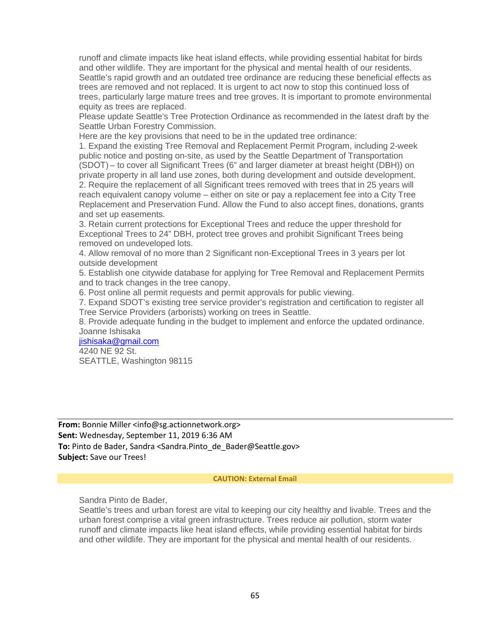runoff and climate impacts like heat island effects, while providing essential habitat for birds and other wildlife. They are important for the physical and mental health of our residents. Seattle's rapid growth and an outdated tree ordinance are reducing these beneficial effects as trees are removed and not replaced. It is urgent to act now to stop this continued loss of trees, particularly large mature trees and tree groves. It is important to promote environmental equity as trees are replaced.

Please update Seattle's Tree Protection Ordinance as recommended in the latest draft by the Seattle Urban Forestry Commission.

Here are the key provisions that need to be in the updated tree ordinance:

1. Expand the existing Tree Removal and Replacement Permit Program, including 2-week public notice and posting on-site, as used by the Seattle Department of Transportation (SDOT) – to cover all Significant Trees (6" and larger diameter at breast height (DBH)) on private property in all land use zones, both during development and outside development. 2. Require the replacement of all Significant trees removed with trees that in 25 years will reach equivalent canopy volume – either on site or pay a replacement fee into a City Tree Replacement and Preservation Fund. Allow the Fund to also accept fines, donations, grants and set up easements.

3. Retain current protections for Exceptional Trees and reduce the upper threshold for Exceptional Trees to 24" DBH, protect tree groves and prohibit Significant Trees being removed on undeveloped lots.

4. Allow removal of no more than 2 Significant non-Exceptional Trees in 3 years per lot outside development

5. Establish one citywide database for applying for Tree Removal and Replacement Permits and to track changes in the tree canopy.

6. Post online all permit requests and permit approvals for public viewing.

7. Expand SDOT's existing tree service provider's registration and certification to register all Tree Service Providers (arborists) working on trees in Seattle.

8. Provide adequate funding in the budget to implement and enforce the updated ordinance. Joanne Ishisaka

[jishisaka@gmail.com](mailto:jishisaka@gmail.com) 4240 NE 92 St.

SEATTLE, Washington 98115

**From:** Bonnie Miller <info@sg.actionnetwork.org> **Sent:** Wednesday, September 11, 2019 6:36 AM To: Pinto de Bader, Sandra <Sandra.Pinto de Bader@Seattle.gov> **Subject:** Save our Trees!

#### **CAUTION: External Email**

Sandra Pinto de Bader,

Seattle's trees and urban forest are vital to keeping our city healthy and livable. Trees and the urban forest comprise a vital green infrastructure. Trees reduce air pollution, storm water runoff and climate impacts like heat island effects, while providing essential habitat for birds and other wildlife. They are important for the physical and mental health of our residents.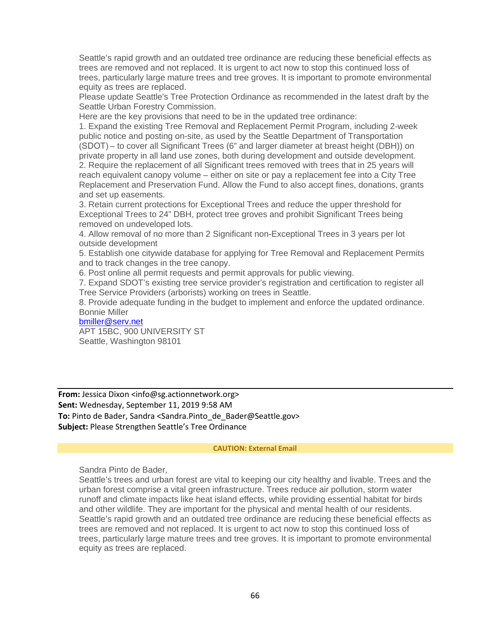Seattle's rapid growth and an outdated tree ordinance are reducing these beneficial effects as trees are removed and not replaced. It is urgent to act now to stop this continued loss of trees, particularly large mature trees and tree groves. It is important to promote environmental equity as trees are replaced.

Please update Seattle's Tree Protection Ordinance as recommended in the latest draft by the Seattle Urban Forestry Commission.

Here are the key provisions that need to be in the updated tree ordinance:

1. Expand the existing Tree Removal and Replacement Permit Program, including 2-week public notice and posting on-site, as used by the Seattle Department of Transportation (SDOT) – to cover all Significant Trees (6" and larger diameter at breast height (DBH)) on private property in all land use zones, both during development and outside development. 2. Require the replacement of all Significant trees removed with trees that in 25 years will reach equivalent canopy volume – either on site or pay a replacement fee into a City Tree Replacement and Preservation Fund. Allow the Fund to also accept fines, donations, grants and set up easements.

3. Retain current protections for Exceptional Trees and reduce the upper threshold for Exceptional Trees to 24" DBH, protect tree groves and prohibit Significant Trees being removed on undeveloped lots.

4. Allow removal of no more than 2 Significant non-Exceptional Trees in 3 years per lot outside development

5. Establish one citywide database for applying for Tree Removal and Replacement Permits and to track changes in the tree canopy.

6. Post online all permit requests and permit approvals for public viewing.

7. Expand SDOT's existing tree service provider's registration and certification to register all Tree Service Providers (arborists) working on trees in Seattle.

8. Provide adequate funding in the budget to implement and enforce the updated ordinance. Bonnie Miller

[bmiller@serv.net](mailto:bmiller@serv.net) APT 15BC, 900 UNIVERSITY ST

Seattle, Washington 98101

**From:** Jessica Dixon <info@sg.actionnetwork.org> **Sent:** Wednesday, September 11, 2019 9:58 AM To: Pinto de Bader, Sandra <Sandra.Pinto de Bader@Seattle.gov> **Subject:** Please Strengthen Seattle's Tree Ordinance

#### **CAUTION: External Email**

Sandra Pinto de Bader,

Seattle's trees and urban forest are vital to keeping our city healthy and livable. Trees and the urban forest comprise a vital green infrastructure. Trees reduce air pollution, storm water runoff and climate impacts like heat island effects, while providing essential habitat for birds and other wildlife. They are important for the physical and mental health of our residents. Seattle's rapid growth and an outdated tree ordinance are reducing these beneficial effects as trees are removed and not replaced. It is urgent to act now to stop this continued loss of trees, particularly large mature trees and tree groves. It is important to promote environmental equity as trees are replaced.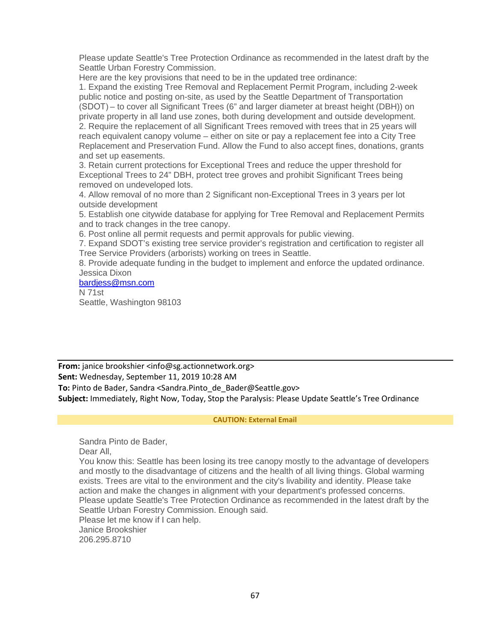Please update Seattle's Tree Protection Ordinance as recommended in the latest draft by the Seattle Urban Forestry Commission.

Here are the key provisions that need to be in the updated tree ordinance:

1. Expand the existing Tree Removal and Replacement Permit Program, including 2-week public notice and posting on-site, as used by the Seattle Department of Transportation (SDOT) – to cover all Significant Trees (6" and larger diameter at breast height (DBH)) on private property in all land use zones, both during development and outside development. 2. Require the replacement of all Significant Trees removed with trees that in 25 years will reach equivalent canopy volume – either on site or pay a replacement fee into a City Tree Replacement and Preservation Fund. Allow the Fund to also accept fines, donations, grants and set up easements.

3. Retain current protections for Exceptional Trees and reduce the upper threshold for Exceptional Trees to 24" DBH, protect tree groves and prohibit Significant Trees being removed on undeveloped lots.

4. Allow removal of no more than 2 Significant non-Exceptional Trees in 3 years per lot outside development

5. Establish one citywide database for applying for Tree Removal and Replacement Permits and to track changes in the tree canopy.

6. Post online all permit requests and permit approvals for public viewing.

7. Expand SDOT's existing tree service provider's registration and certification to register all Tree Service Providers (arborists) working on trees in Seattle.

8. Provide adequate funding in the budget to implement and enforce the updated ordinance. Jessica Dixon

[bardjess@msn.com](mailto:bardjess@msn.com) N 71st Seattle, Washington 98103

**From:** janice brookshier <info@sg.actionnetwork.org> **Sent:** Wednesday, September 11, 2019 10:28 AM To: Pinto de Bader, Sandra <Sandra.Pinto de Bader@Seattle.gov> **Subject:** Immediately, Right Now, Today, Stop the Paralysis: Please Update Seattle's Tree Ordinance

### **CAUTION: External Email**

Sandra Pinto de Bader, Dear All,

You know this: Seattle has been losing its tree canopy mostly to the advantage of developers and mostly to the disadvantage of citizens and the health of all living things. Global warming exists. Trees are vital to the environment and the city's livability and identity. Please take action and make the changes in alignment with your department's professed concerns. Please update Seattle's Tree Protection Ordinance as recommended in the latest draft by the Seattle Urban Forestry Commission. Enough said.

Please let me know if I can help. Janice Brookshier 206.295.8710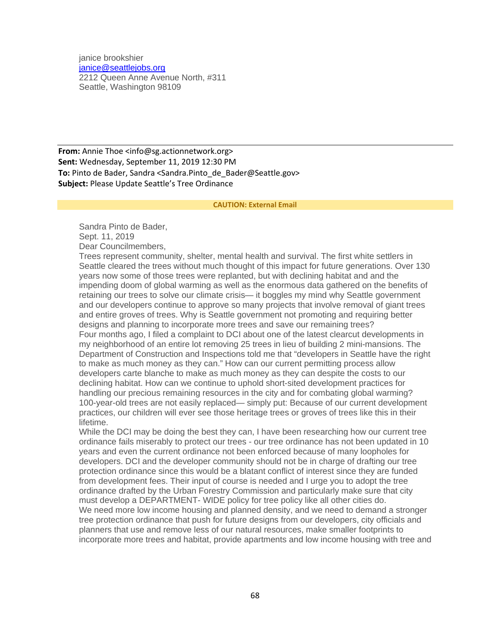janice brookshier [janice@seattlejobs.org](mailto:janice@seattlejobs.org) 2212 Queen Anne Avenue North, #311 Seattle, Washington 98109

**From:** Annie Thoe <info@sg.actionnetwork.org> **Sent:** Wednesday, September 11, 2019 12:30 PM **To:** Pinto de Bader, Sandra <Sandra.Pinto de Bader@Seattle.gov> **Subject:** Please Update Seattle's Tree Ordinance

#### **CAUTION: External Email**

Sandra Pinto de Bader, Sept. 11, 2019 Dear Councilmembers,

Trees represent community, shelter, mental health and survival. The first white settlers in Seattle cleared the trees without much thought of this impact for future generations. Over 130 years now some of those trees were replanted, but with declining habitat and and the impending doom of global warming as well as the enormous data gathered on the benefits of retaining our trees to solve our climate crisis— it boggles my mind why Seattle government and our developers continue to approve so many projects that involve removal of giant trees and entire groves of trees. Why is Seattle government not promoting and requiring better designs and planning to incorporate more trees and save our remaining trees? Four months ago, I filed a complaint to DCI about one of the latest clearcut developments in my neighborhood of an entire lot removing 25 trees in lieu of building 2 mini-mansions. The Department of Construction and Inspections told me that "developers in Seattle have the right to make as much money as they can." How can our current permitting process allow developers carte blanche to make as much money as they can despite the costs to our declining habitat. How can we continue to uphold short-sited development practices for handling our precious remaining resources in the city and for combating global warming? 100-year-old trees are not easily replaced— simply put: Because of our current development practices, our children will ever see those heritage trees or groves of trees like this in their lifetime.

While the DCI may be doing the best they can, I have been researching how our current tree ordinance fails miserably to protect our trees - our tree ordinance has not been updated in 10 years and even the current ordinance not been enforced because of many loopholes for developers. DCI and the developer community should not be in charge of drafting our tree protection ordinance since this would be a blatant conflict of interest since they are funded from development fees. Their input of course is needed and I urge you to adopt the tree ordinance drafted by the Urban Forestry Commission and particularly make sure that city must develop a DEPARTMENT- WIDE policy for tree policy like all other cities do. We need more low income housing and planned density, and we need to demand a stronger tree protection ordinance that push for future designs from our developers, city officials and planners that use and remove less of our natural resources, make smaller footprints to incorporate more trees and habitat, provide apartments and low income housing with tree and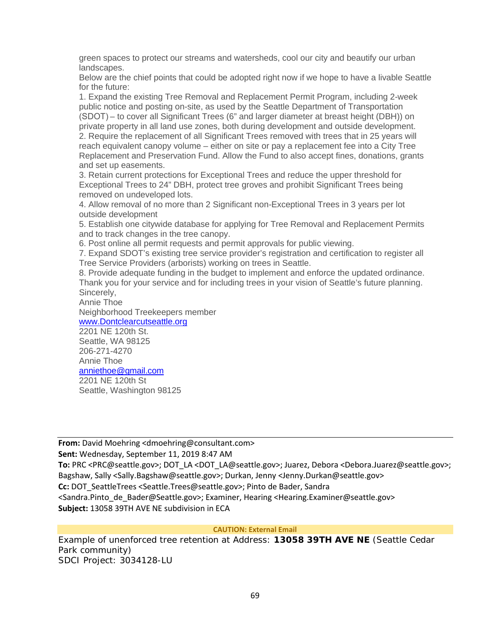green spaces to protect our streams and watersheds, cool our city and beautify our urban landscapes.

Below are the chief points that could be adopted right now if we hope to have a livable Seattle for the future:

1. Expand the existing Tree Removal and Replacement Permit Program, including 2-week public notice and posting on-site, as used by the Seattle Department of Transportation (SDOT) – to cover all Significant Trees (6" and larger diameter at breast height (DBH)) on private property in all land use zones, both during development and outside development. 2. Require the replacement of all Significant Trees removed with trees that in 25 years will reach equivalent canopy volume – either on site or pay a replacement fee into a City Tree Replacement and Preservation Fund. Allow the Fund to also accept fines, donations, grants and set up easements.

3. Retain current protections for Exceptional Trees and reduce the upper threshold for Exceptional Trees to 24" DBH, protect tree groves and prohibit Significant Trees being removed on undeveloped lots.

4. Allow removal of no more than 2 Significant non-Exceptional Trees in 3 years per lot outside development

5. Establish one citywide database for applying for Tree Removal and Replacement Permits and to track changes in the tree canopy.

6. Post online all permit requests and permit approvals for public viewing.

7. Expand SDOT's existing tree service provider's registration and certification to register all Tree Service Providers (arborists) working on trees in Seattle.

8. Provide adequate funding in the budget to implement and enforce the updated ordinance. Thank you for your service and for including trees in your vision of Seattle's future planning. Sincerely,

Annie Thoe Neighborhood Treekeepers member [www.Dontclearcutseattle.org](http://www.dontclearcutseattle.org/) 2201 NE 120th St. Seattle, WA 98125 206-271-4270 Annie Thoe [anniethoe@gmail.com](mailto:anniethoe@gmail.com) 2201 NE 120th St Seattle, Washington 98125

**From:** David Moehring <dmoehring@consultant.com>

**Sent:** Wednesday, September 11, 2019 8:47 AM

**To:** PRC <PRC@seattle.gov>; DOT\_LA <DOT\_LA@seattle.gov>; Juarez, Debora <Debora.Juarez@seattle.gov>; Bagshaw, Sally <Sally.Bagshaw@seattle.gov>; Durkan, Jenny <Jenny.Durkan@seattle.gov>

**Cc:** DOT\_SeattleTrees <Seattle.Trees@seattle.gov>; Pinto de Bader, Sandra

<Sandra.Pinto de Bader@Seattle.gov>; Examiner, Hearing <Hearing.Examiner@seattle.gov> **Subject:** 13058 39TH AVE NE subdivision in ECA

### **CAUTION: External Email**

Example of unenforced tree retention at Address: **13058 39TH AVE NE** (Seattle Cedar Park community) SDCI Project: 3034128-LU